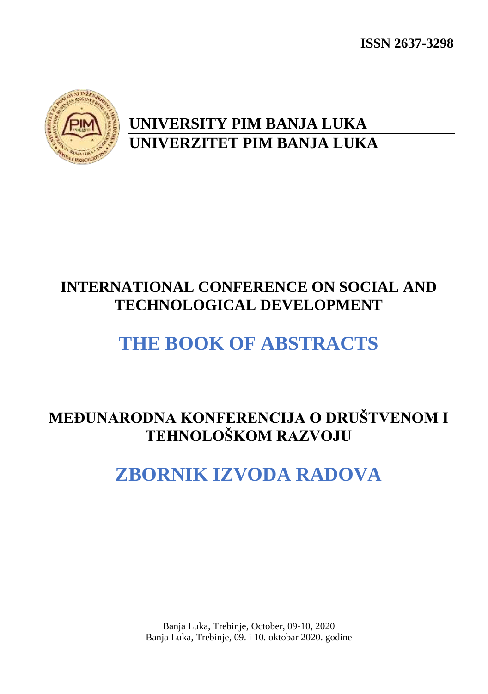**ISSN 2637-3298**



## **UNIVERSITY PIM BANJA LUKA UNIVERZITET PIM BANJA LUKA**

# **INTERNATIONAL CONFERENCE ON SOCIAL AND TECHNOLOGICAL DEVELOPMENT**

# **THE BOOK OF ABSTRACTS**

## **MEĐUNARODNA KONFERENCIJA O DRUŠTVENOM I TEHNOLOŠKOM RAZVOJU**

# **ZBORNIK IZVODA RADOVA**

Banja Luka, Trebinje, October, 09-10, 2020 Banja Luka, Trebinje, 09. i 10. oktobar 2020. godine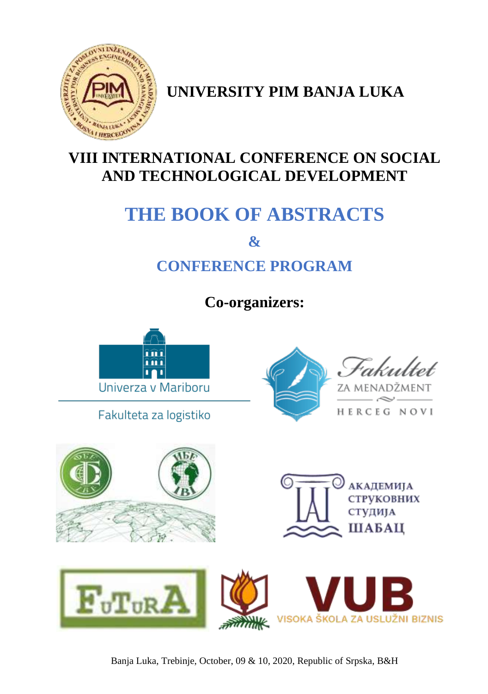

**UNIVERSITY PIM BANJA LUKA**

## **VIII INTERNATIONAL CONFERENCE ON SOCIAL AND TECHNOLOGICAL DEVELOPMENT**

# **THE BOOK OF ABSTRACTS**

**&**

# **CONFERENCE PROGRAM**

**Co-organizers:**



Banja Luka, Trebinje, October, 09 & 10, 2020, Republic of Srpska, B&H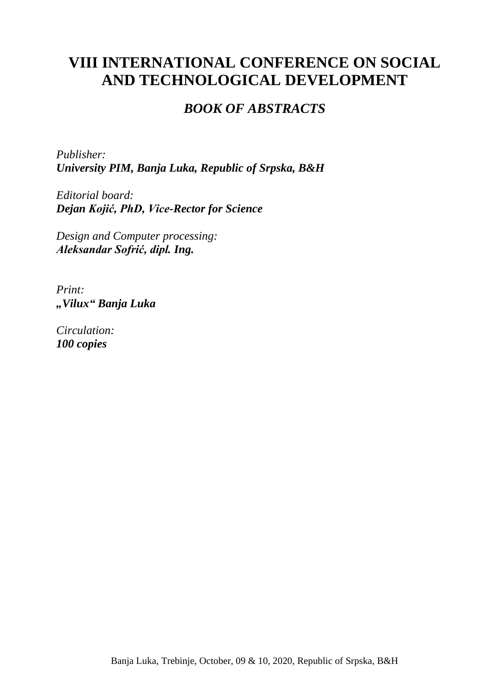## **VIII INTERNATIONAL CONFERENCE ON SOCIAL AND TECHNOLOGICAL DEVELOPMENT**

### *BOOK OF ABSTRACTS*

*Publisher: University PIM, Banja Luka, Republic of Srpska, B&H*

*Editorial board: Dejan Kojić, PhD, Vice-Rector for Science*

*Design and Computer processing: Aleksandar Sofrić, dipl. Ing.*

*Print: "Vilux" Banja Luka*

*Circulation: 100 copies*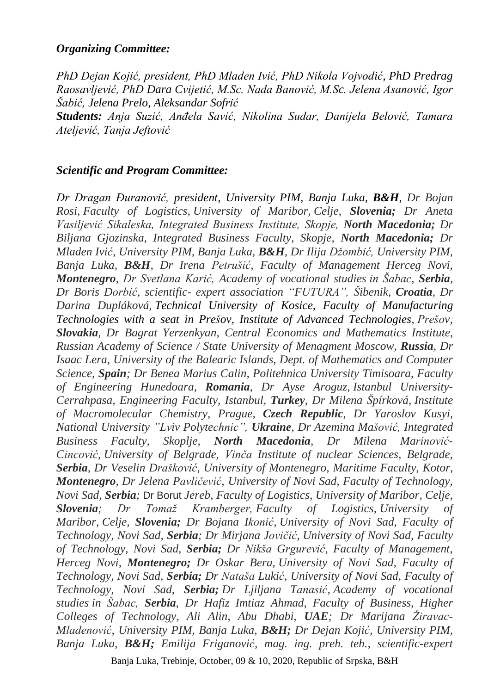### *Organizing Committee:*

*PhD Dejan Kojić, president, PhD Mladen Ivić, PhD Nikola Vojvodić, PhD Predrag Raosavljević, PhD Dara Cvijetić, M.Sc. Nada Banović, M.Sc. Jelena Asanović, Igor Šabić, Jelena Prelo, Aleksandar Sofrić*

*Students: Anja Suzić, Anđela Savić, Nikolina Sudar, Danijela Belović, Tamara Ateljević, Tanja Jeftović*

### *Scientific and Program Committee:*

*Dr Dragan Đuranović, president, University PIM, Banja Luka, B&H, Dr Bojan Rosi, Faculty of Logistics, University of Maribor, Celje, Slovenia; Dr Aneta Vasiljević Sikaleska, Integrated Business Institute, Skopje, North Macedonia; Dr Biljana Gjozinska, Integrated Business Faculty, Skopje, North Macedonia; Dr Mladen Ivić, University PIM, Banja Luka, B&H, Dr Ilija Džombić, University PIM, Banja Luka, B&H, Dr Irena Petrušić, Faculty of Management Herceg Novi, Montenegro, Dr Svetlana Karić, Academy of vocational studies in Šabac, Serbia, Dr Boris Dorbić, scientific- expert association "FUTURA", Šibenik, Croatia, Dr Darina Dupláková, Technical University of Kosice, Faculty of Manufacturing Technologies with a seat in Prešov, Institute of Advanced Technologies, Prešov, Slovakia, Dr Bagrat Yerzenkyan, Central Economics and Mathematics Institute, Russian Academy of Science / State University of Menagment Moscow, Russia, Dr Isaac Lera, University of the Balearic Islands, Dept. of Mathematics and Computer Science, Spain; Dr Benea Marius Calin, Politehnica University Timisoara, Faculty of Engineering Hunedoara, Romania, Dr Ayse Aroguz, Istanbul University-Cerrahpasa, Engineering Faculty, Istanbul, Turkey, Dr Milena Špírková, Institute of Macromolecular Chemistry, Prague, Czech Republic, Dr Yaroslov Kusyi, National University "Lviv Polytechnic", Ukraine, Dr Azemina Mašović, Integrated Business Faculty, Skoplje, North Macedonia, Dr Milena Marinović-Cincović, University of Belgrade, Vinča Institute of nuclear Sciences, Belgrade, Serbia, Dr Veselin Drašković, University of Montenegro, Maritime Faculty, Kotor, Montenegro, Dr Jelena Pavličević, University of Novi Sad, Faculty of Technology, Novi Sad, Serbia;* Dr Borut *Jereb, Faculty of Logistics, University of Maribor, Celje, Slovenia; Dr Tomaž Kramberger, Faculty of Logistics, University of Maribor, Celje, Slovenia; Dr Bojana Ikonić, University of Novi Sad, Faculty of Technology, Novi Sad, Serbia; Dr Mirjana Jovičić, University of Novi Sad, Faculty of Technology, Novi Sad, Serbia; Dr Nikša Grgurević, Faculty of Management, Herceg Novi, Montenegro; Dr Oskar Bera, University of Novi Sad, Faculty of Technology, Novi Sad, Serbia; Dr Nataša Lukić, University of Novi Sad, Faculty of Technology, Novi Sad, Serbia; Dr Ljiljana Tanasić, Academy of vocational studies in Šabac, Serbia, Dr Hafiz Imtiaz Ahmad, Faculty of Business, Higher Colleges of Technology, Ali Alin, Abu Dhabi, UAE; Dr Marijana Žiravac-Mladenović, University PIM, Banja Luka, B&H; Dr Dejan Kojić, University PIM, Banja Luka, B&H; Emilija Friganović, mag. ing. preh. teh., scientific-expert*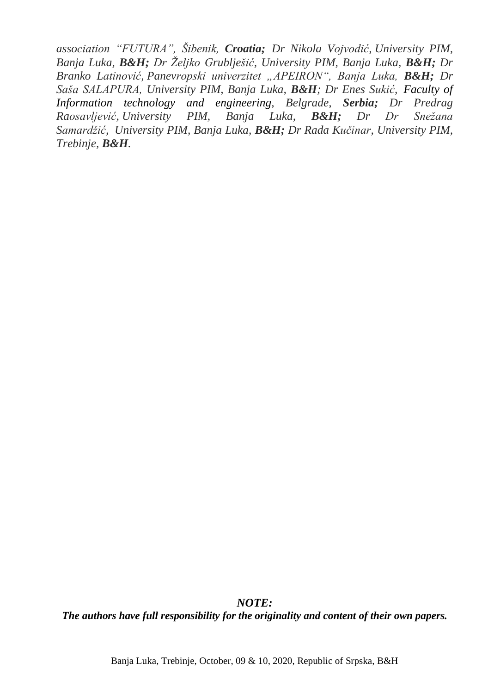*association "FUTURA", Šibenik, Croatia; Dr Nikola Vojvodić, University PIM, Banja Luka, B&H; Dr Željko Grublješić, University PIM, Banja Luka, B&H; Dr Branko Latinović, Panevropski univerzitet "APEIRON", Banja Luka, B&H; Dr Saša SALAPURA, University PIM, Banja Luka, B&H; Dr Enes Sukić, Faculty of Information technology and engineering, Belgrade, Serbia; Dr Predrag Raosavljević, University PIM, Banja Luka, B&H; Dr Dr Snežana Samardžić, University PIM, Banja Luka, B&H; Dr Rada Kučinar, University PIM, Trebinje, B&H.*

*NOTE: The authors have full responsibility for the originality and content of their own papers.*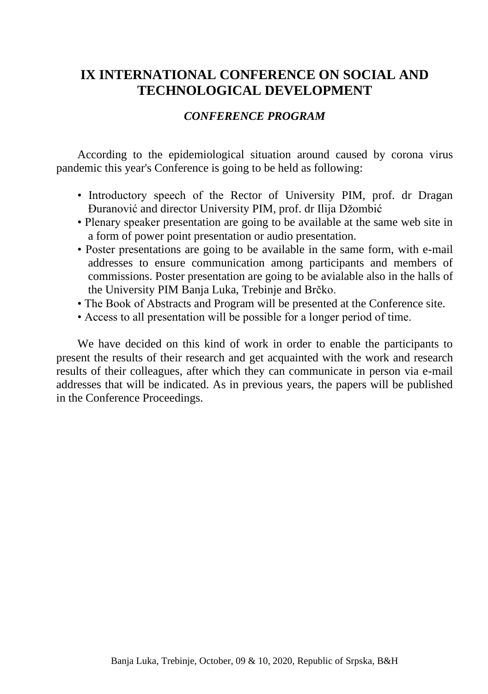## **IX INTERNATIONAL CONFERENCE ON SOCIAL AND TECHNOLOGICAL DEVELOPMENT**

### *CONFERENCE PROGRAM*

According to the epidemiological situation around caused by corona virus pandemic this year's Conference is going to be held as following:

- Introductory speech of the Rector of University PIM, prof. dr Dragan Đuranović and director University PIM, prof. dr Ilija Džombić
- Plenary speaker presentation are going to be available at the same web site in a form of power point presentation or audio presentation.
- Poster presentations are going to be available in the same form, with e-mail addresses to ensure communication among participants and members of commissions. Poster presentation are going to be avialable also in the halls of the University PIM Banja Luka, Trebinje and Brčko.
- The Book of Abstracts and Program will be presented at the Conference site.
- Access to all presentation will be possible for a longer period of time.

We have decided on this kind of work in order to enable the participants to present the results of their research and get acquainted with the work and research results of their colleagues, after which they can communicate in person via e-mail addresses that will be indicated. As in previous years, the papers will be published in the Conference Proceedings.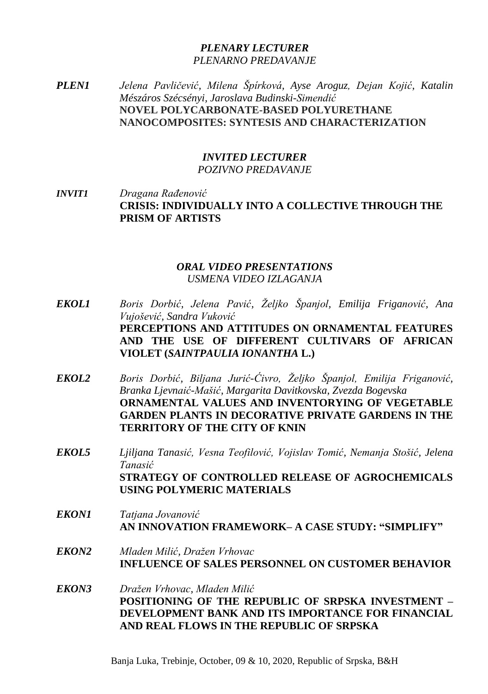### *PLENARY LECTURER PLENARNO PREDAVANJE*

*PLEN1 Jelena Pavličević, Milena Špírková, Ayse Aroguz, Dejan Kojić, Katalin Mészáros Szécsényi, Jaroslava Budinski-Simendić* **NOVEL POLYCARBONATE-BASED POLYURETHANE NANOCOMPOSITES: SYNTESIS AND CHARACTERIZATION**

### *INVITED LECTURER POZIVNO PREDAVANJE*

*INVIT1 Dragana Rađenović* **CRISIS: INDIVIDUALLY INTO A COLLECTIVE THROUGH THE PRISM OF ARTISTS**

### *ORAL VIDEO PRESENTATIONS USMENA VIDEO IZLAGANJA*

- *EKOL1 Boris Dorbić, Jelena Pavić, Željko Španjol, Emilija Friganović, Ana Vujošević, Sandra Vuković* **PERCEPTIONS AND ATTITUDES ON ORNAMENTAL FEATURES AND THE USE OF DIFFERENT CULTIVARS OF AFRICAN VIOLET (***SAINTPAULIA IONANTHA* **L.)**
- *EKOL2 Boris Dorbić, Biljana Jurić-Ćivro, Željko Španjol, Emilija Friganović, Branka Ljevnaić-Mašić, Margarita Davitkovska, Zvezda Bogevska* **ORNAMENTAL VALUES AND INVENTORYING OF VEGETABLE GARDEN PLANTS IN DECORATIVE PRIVATE GARDENS IN THE TERRITORY OF THE CITY OF KNIN**
- *EKOL5 Ljiljana Tanasić, Vesna Teofilović, Vojislav Tomić, Nemanja Stošić, Jelena Tanasić* **STRATEGY OF CONTROLLED RELEASE OF AGROCHEMICALS USING POLYMERIC MATERIALS**
- *EKON1 Tatjana Jovanović* **AN INNOVATION FRAMEWORK– A CASE STUDY: "SIMPLIFY"**
- *EKON2 Mladen Milić, Dražen Vrhovac* **INFLUENCE OF SALES PERSONNEL ON CUSTOMER BEHAVIOR**
- *EKON3 Dražen Vrhovac, Mladen Milić* **POSITIONING OF THE REPUBLIC OF SRPSKA INVESTMENT – DEVELOPMENT BANK AND ITS IMPORTANCE FOR FINANCIAL AND REAL FLOWS IN THE REPUBLIC OF SRPSKA**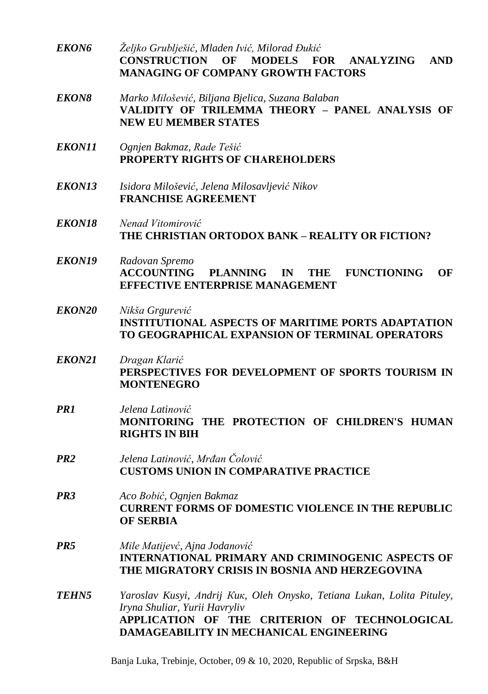- *EKON6 Željko Grublješić, Mladen Ivić, Milorad Đukić* **CONSTRUCTION OF MODELS FOR ANALYZING AND MANAGING OF COMPANY GROWTH FACTORS**
- *EKON8 Marko Milošević, Biljana Bjelica, Suzana Balaban* **VALIDITY OF TRILEMMA THEORY – PANEL ANALYSIS OF NEW EU MEMBER STATES**
- *EKON11 Ognjen Bakmaz, Rade Tešić* **PROPERTY RIGHTS OF СHAREHOLDERS**
- *EKON13 Isidora Milošević, Jelena Milosavljević Nikov* **FRANCHISE AGREЕMENT**
- *EKON18 Nenad Vitomirović* **THE CHRISTIAN ORTODOX BANK – REALITY OR FICTION?**
- *EKON19 Radovan Spremo* **ACCOUNTING PLANNING IN THE FUNCTIONING OF EFFECTIVE ENTERPRISE MANAGEMENT**
- *EKON20 Nikša Grgurević* **INSTITUTIONAL ASPECTS OF MARITIME PORTS ADAPTATION TO GEOGRAPHICAL EXPANSION OF TERMINAL OPERATORS**
- *EKON21 Dragan Klarić* **PERSPECTIVES FOR DEVELOPMENT OF SPORTS TOURISM IN MONTENEGRO**
- *PR1 Jelena Latinović* **MONITORING THE PROTECTION OF CHILDREN'S HUMAN RIGHTS IN BIH**
- *PR2 Jelena Latinović*, *Mrđan Čolović* **CUSTOMS UNION IN COMPARATIVE PRACTICE**
- *PR3 Aco Bobić, Ognjen Bakmaz* **CURRENT FORMS OF DOMESTIC VIOLENCE IN THE REPUBLIC OF SERBIA**
- *PR5 Mile Matijevć, Ajna Jodanović* **INTERNATIONAL PRIMARY AND CRIMINOGENIC ASPECTS OF THE MIGRATORY CRISIS IN BOSNIA AND HERZEGOVINA**
- *TEHN5 Yaroslav Kusyi, Аndrij Кuк, Oleh Onysko, Tetiana Lukan, Lolita Pituley, Iryna Shuliar, Yurii Havryliv* **APPLICATION OF THE CRITERION OF TECHNOLOGICAL DAMAGEABILITY IN MECHANICAL ENGINEERING**

Banja Luka, Trebinje, October, 09 & 10, 2020, Republic of Srpska, B&H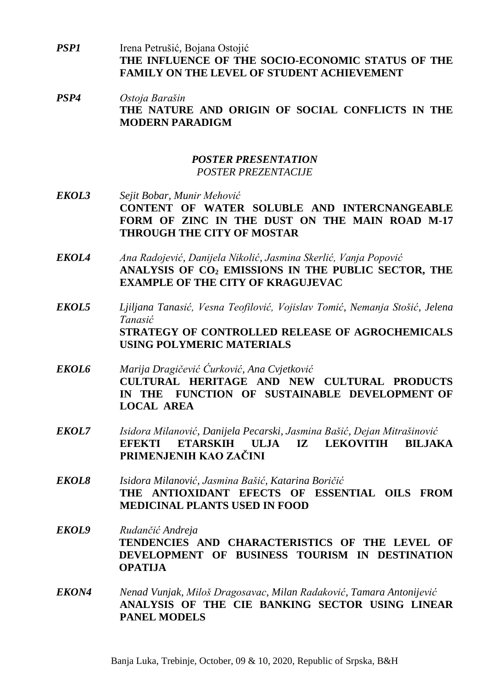- *PSP1* Irena Petrušić, Bojana Ostojić **THE INFLUENCE OF THE SOCIO-ECONOMIC STATUS OF THE FAMILY ON THE LEVEL OF STUDENT ACHIEVEMENT**
- *PSP4 Ostoja Barašin* **THE NATURE AND ORIGIN OF SOCIAL CONFLICTS IN THE MODERN PARADIGM**

### *POSTER PRESENTATION POSTER PREZENTACIJE*

- *EKOL3 Sejit Bobar, Munir Mehović* **CONTENT OF WATER SOLUBLE AND INTERCNANGEABLE FORM OF ZINC IN THE DUST ON THE MAIN ROAD M-17 THROUGH THE CITY OF MOSTAR**
- *EKOL4 Ana Radojević, Danijela Nikolić, Jasmina Skerlić, Vanja Popović* **ANALYSIS OF CO<sup>2</sup> EMISSIONS IN THE PUBLIC SECTOR, THE EXAMPLE OF THE CITY OF KRAGUJEVAC**
- *EKOL5 Ljiljana Tanasić, Vesna Teofilović, Vojislav Tomić, Nemanja Stošić, Jelena Tanasić* **STRATEGY OF CONTROLLED RELEASE OF AGROCHEMICALS USING POLYMERIC MATERIALS**
- *EKOL6 Marija Dragičević Ćurković, Ana Cvjetković* **CULTURAL HERITAGE AND NEW CULTURAL PRODUCTS IN THE FUNCTION OF SUSTAINABLE DEVELOPMENT OF LOCAL AREA**
- *EKOL7 Isidora Milanović, Danijela Pecarski, Jasmina Bašić, Dejan Mitrašinović* **EFEKTI ETARSKIH ULJA IZ LEKOVITIH BILJAKA PRIMENJENIH KAO ZAČINI**
- *EKOL8 Isidora Milanović, Jasmina Bašić, Katarina Boričić* **THE ANTIOXIDANT EFECTS OF ESSENTIAL OILS FROM MEDICINAL PLANTS USED IN FOOD**
- *EKOL9 Rudančić Andreja* **TENDENCIES AND CHARACTERISTICS OF THE LEVEL OF DEVELOPMENT OF BUSINESS TOURISM IN DESTINATION OPATIJA**
- *EKON4 Nenad Vunjak, Miloš Dragosavac, Milan Radaković, Tamara Antonijević* **ANALYSIS OF THE CIE BANKING SECTOR USING LINEAR PANEL MODELS**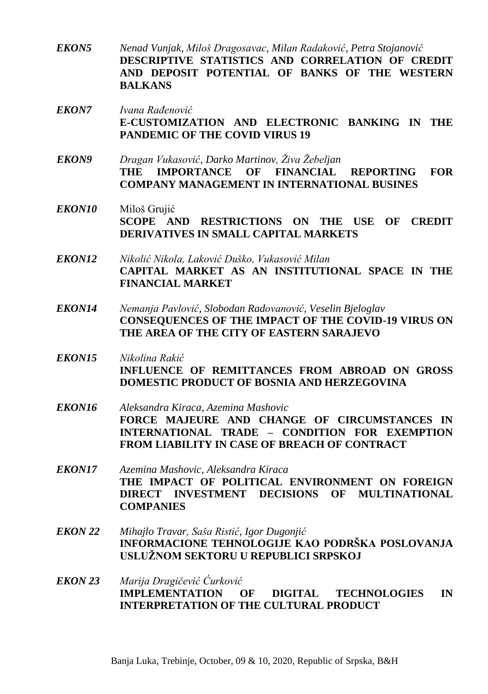- *EKON5 Nenad Vunjak, Miloš Dragosavac, Milan Radaković, Petra Stojanović* **DESCRIPTIVE STATISTICS AND CORRELATION OF CREDIT AND DEPOSIT POTENTIAL OF BANKS OF THE WESTERN BALKANS**
- *EKON7 Ivana Rađenović* **E-CUSTOMIZATION AND ELECTRONIC BANKING IN THE PANDEMIC OF THE COVID VIRUS 19**
- *EKON9 Dragan Vukasović, Darko Martinov, Živa Žebeljan* **THE IMPORTANCE OF FINANCIAL REPORTING FOR COMPANY MANAGEMENT IN INTERNATIONAL BUSINES**
- *EKON10* Miloš Grujić **SCOPE AND RESTRICTIONS ON THE USE OF CREDIT DERIVATIVES IN SMALL CAPITAL MARKETS**
- *EKON12 Nikolić Nikola, Laković Duško, Vukasović Milan* **CAPITAL MARKET AS AN INSTITUTIONAL SPACE IN THE FINANCIAL MARKET**
- *EKON14 Nemanja Pavlović, Slobodan Radovanović, Veselin Bjeloglav* **CONSEQUENCES OF THE IMPACT OF THE COVID-19 VIRUS ON THE AREA OF THE CITY OF EASTERN SARAJEVO**
- *EKON15 Nikolina Rakić* **INFLUENCE OF REMITTANCES FROM ABROAD ON GROSS DOMESTIC PRODUCT OF BOSNIA AND HERZEGOVINA**
- *EKON16 Aleksandra Kiraca, Azemina Mashovic* **FORCE MAJEURE AND CHANGE OF CIRCUMSTANCES IN INTERNATIONAL TRADE – CONDITION FOR EXEMPTION FROM LIABILITY IN CASE OF BREACH OF CONTRACT**
- *EKON17 Azemina Mashovic, Aleksandra Kiraca* **THE IMPACT OF POLITICAL ENVIRONMENT ON FOREIGN DIRECT INVESTMENT DECISIONS OF MULTINATIONAL COMPANIES**
- *EKON 22 Mihajlo Travar, Saša Ristić, Igor Dugonjić* **INFORMACIONE TEHNOLOGIJE KAO PODRŠKA POSLOVANJA USLUŽNOM SEKTORU U REPUBLICI SRPSKOJ**
- *EKON 23 Marija Dragičević Ćurković* **IMPLEMENTATION OF DIGITAL TECHNOLOGIES IN INTERPRETATION OF THE CULTURAL PRODUCT**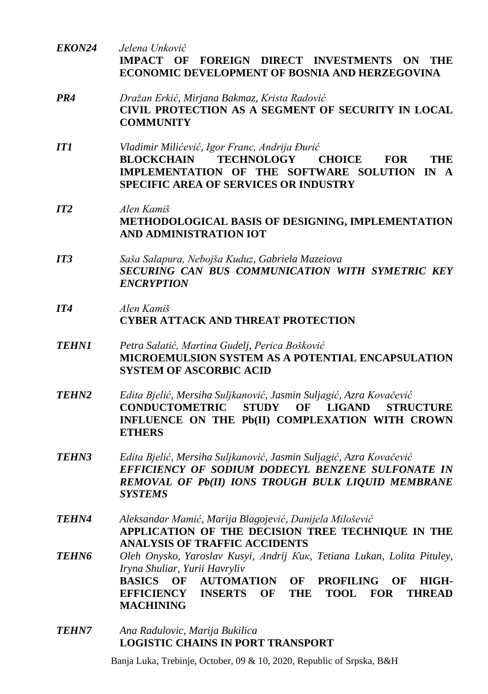- *EKON24 Jelena Unković* **IMPACT OF FOREIGN DIRECT INVESTMENTS ON THE ECONOMIC DEVELOPMENT OF BOSNIA AND HERZEGOVINA**
- *PR4 Dražan Erkić, Mirjana Bakmaz, Krista Radović* **CIVIL PROTECTION AS A SEGMENT OF SECURITY IN LOCAL COMMUNITY**
- *IT1 Vladimir Milićević, Igor Franc, Andrija Đurić* **BLOCKCHAIN TECHNOLOGY CHOICE FOR THE IMPLEMENTATION OF THE SOFTWARE SOLUTION IN A SPECIFIC AREA OF SERVICES OR INDUSTRY**
- *IT2 Alen Kamiš* **METHODOLOGICAL BASIS OF DESIGNING, IMPLEMENTATION AND ADMINISTRATION IOT**
- *IT3 Saša Salapura, Nebojša Kuduz, Gabriela Mazeiova SECURING CAN BUS COMMUNICATION WITH SYMETRIC KEY ENCRYPTION*
- *IT4 Alen Kamiš* **CYBER ATTACK AND THREAT PROTECTION**
- *TEHN1 Petra Salatić, Martina Gudelj, Perica Bošković* **MICROEMULSION SYSTEM AS A POTENTIAL ENCAPSULATION SYSTEM OF ASCORBIC ACID**
- *TEHN2 Edita Bjelić, Mersiha Suljkanović, Jasmin Suljagić, Azra Kovačević* **CONDUCTOMETRIC STUDY OF LIGAND STRUCTURE INFLUENCE ON THE Pb(II) COMPLEXATION WITH CROWN ETHERS**
- *TEHN3 Edita Bjelić, Mersiha Suljkanović, Jasmin Suljagić, Azra Kovačević EFFICIENCY OF SODIUM DODECYL BENZENE SULFONATE IN REMOVAL OF Pb(II) IONS TROUGH BULK LIQUID MEMBRANE SYSTEMS*
- *TEHN4 Aleksandar Mamić, Marija Blagojević, Danijela Milošević* **APPLICATION OF THE DECISION TREE TECHNIQUE IN THE ANALYSIS OF TRAFFIC ACCIDENTS**
- *TEHN6 Oleh Onysko, Yaroslav Kusyi, Аndrij Кuк, Tetiana Lukan, Lolita Pituley, Iryna Shuliar, Yurii Havryliv* **BASICS OF AUTOMATION OF PROFILING OF HIGH-EFFICIENCY INSERTS OF THE TOOL FOR THREAD MACHINING**
- *TEHN7 Ana Radulovic, Marija Bukilica* **LOGISTIC CHAINS IN PORT TRANSPORT**

Banja Luka, Trebinje, October, 09 & 10, 2020, Republic of Srpska, B&H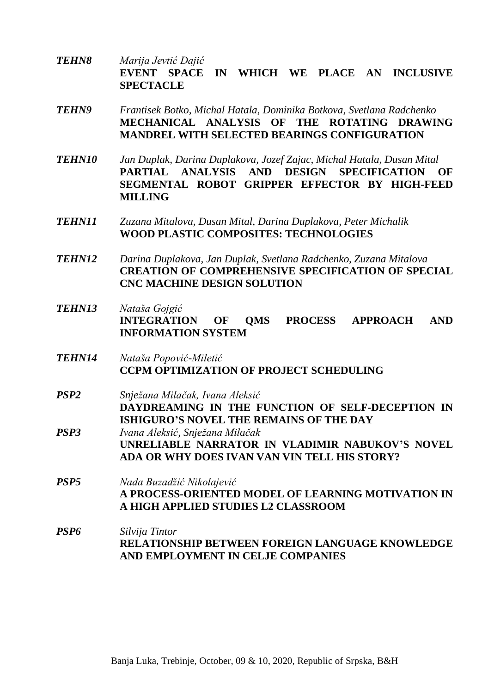- *TEHN8 Marija Jevtić Dajić* **EVENT SPACE IN WHICH WE PLACE AN INCLUSIVE SPECTACLE**
- *TEHN9 Frantisek Botko, Michal Hatala, Dominika Botkova, Svetlana Radchenko* **MECHANICAL ANALYSIS OF THE ROTATING DRAWING MANDREL WITH SELECTED BEARINGS CONFIGURATION**
- *TEHN10 Jan Duplak, Darina Duplakova, Jozef Zajac, Michal Hatala, Dusan Mital* **PARTIAL ANALYSIS AND DESIGN SPECIFICATION OF SEGMENTAL ROBOT GRIPPER EFFECTOR BY HIGH-FEED MILLING**
- *TEHN11 Zuzana Mitalova, Dusan Mital, Darina Duplakova, Peter Michalik* **WOOD PLASTIC COMPOSITES: TECHNOLOGIES**
- *TEHN12 Darina Duplakova, Jan Duplak, Svetlana Radchenko, Zuzana Mitalova* **CREATION OF COMPREHENSIVE SPECIFICATION OF SPECIAL CNC MACHINE DESIGN SOLUTION**
- *TEHN13 Nataša Gojgić* **INTEGRATION OF QMS PROCESS APPROACH AND INFORMATION SYSTEM**
- *TEHN14 Nataša Popović-Miletić* **CCPM OPTIMIZATION OF PROJECT SCHEDULING**
- *PSP2 Snježana Milačak, Ivana Aleksić* **DAYDREAMING IN THE FUNCTION OF SELF-DECEPTION IN ISHIGURO'S NOVEL THE REMAINS OF THE DAY** *PSP3 Ivana Aleksić, Snježana Milačak*
- **UNRELIABLE NARRATOR IN VLADIMIR NABUKOV'S NOVEL ADA OR WHY DOES IVAN VAN VIN TELL HIS STORY?**
- *PSP5 Nada Buzadžić Nikolajević* **A PROCESS-ORIENTED MODEL OF LEARNING MOTIVATION IN A HIGH APPLIED STUDIES L2 CLASSROOM**
- *PSP6 Silvija Tintor* **RELATIONSHIP BETWEEN FOREIGN LANGUAGE KNOWLEDGE AND EMPLOYMENT IN CELJE COMPANIES**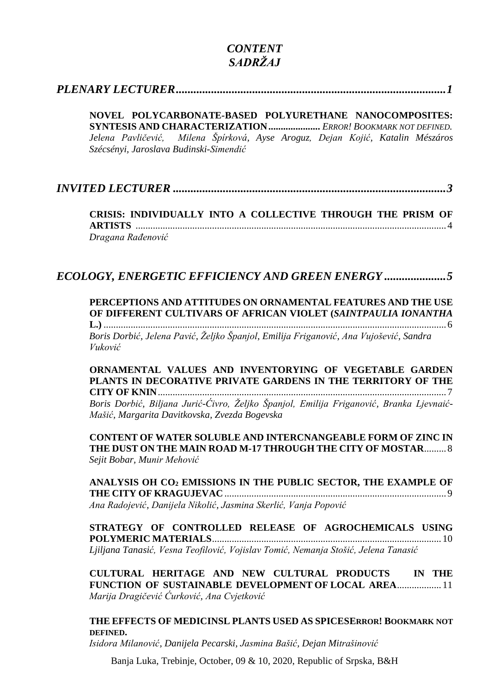### *CONTENT SADRŽAJ*

### *[PLENARY LECTURER............................................................................................1](#page-18-0)*

**NOVEL POLYCARBONATE-BASED POLYURETHANE NANOCOMPOSITES: SYNTESIS AND CHARACTERIZATION** *..................... ERROR! BOOKMARK NOT DEFINED. Jelena Pavličević, Milena Špírková, Ayse Aroguz, Dejan Kojić, Katalin Mészáros Szécsényi, Jaroslava Budinski-Simendić*

### *INVITED LECTURER [.............................................................................................3](#page-20-0)*

**CRISIS: INDIVIDUALLY INTO A COLLECTIVE THROUGH THE PRISM OF ARTISTS** .............................................................................................................................. 4 *Dragana Rađenović*

### *[ECOLOGY, ENERGETIC EFFICIENCY AND GREEN ENERGY](#page-22-0) .....................5*

**PERCEPTIONS AND ATTITUDES ON [ORNAMENTAL](#page-22-1) FEATURES AND THE USE OF DIFFERENT CULTIVARS OF AFRICAN VIOLET (***[SAINTPAULIA](#page-22-1) IONANTHA*

**L.)** [...........................................................................................................................................6](#page-22-1) *Boris Dorbić, Jelena Pavić, Željko Španjol, Emilija Friganović, Ana Vujošević, Sandra Vuković*

**ORNAMENTAL VALUES AND INVENTORYING OF VEGETABLE GARDEN PLANTS IN DECORATIVE PRIVATE GARDENS IN THE TERRITORY OF THE CITY OF KNIN**..................................................................................................................... 7

*Boris Dorbić, Biljana Jurić-Ćivro, Željko Španjol, Emilija Friganović, Branka Ljevnaić-Mašić, Margarita Davitkovska, Zvezda Bogevska*

**CONTENT OF WATER SOLUBLE AND INTERCNANGEABLE FORM OF ZINC IN THE DUST ON THE MAIN ROAD M-17 THROUGH THE CITY OF MOSTAR**.........8 *Sejit Bobar, Munir Mehović*

**ANALYSIS OH CO<sup>2</sup> EMISSIONS IN THE PUBLIC SECTOR, THE EXAMPLE OF THE CITY OF KRAGUJEVAC**.......................................................................................... 9 *Ana Radojević, Danijela Nikolić, Jasmina Skerlić, Vanja Popović*

**STRATEGY OF CONTROLLED RELEASE OF AGROCHEMICALS USING POLYMERIC MATERIALS**............................................................................................. 10 *Ljiljana Tanasić, Vesna Teofilović, Vojislav Tomić, Nemanja Stošić, Jelena Tanasić*

**CULTURAL HERITAGE AND NEW CULTURAL PRODUCTS IN THE FUNCTION OF SUSTAINABLE DEVELOPMENT OF LOCAL AREA**.................. 11 *Marija Dragičević Ćurković, Ana Cvjetković*

#### **THE EFFECTS OF MEDICINSL PLANTS USED AS SPICESERROR! BOOKMARK NOT DEFINED.**

*Isidora Milanović, Danijela Pecarski, Jasmina Bašić, Dejan Mitrašinović*

Banja Luka, Trebinje, October, 09 & 10, 2020, Republic of Srpska, B&H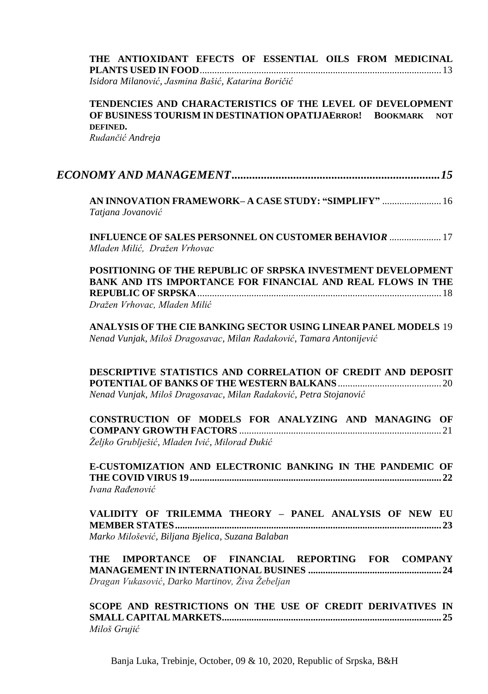| THE ANTIOXIDANT EFECTS OF ESSENTIAL OILS FROM MEDICINAL |  |  |  |
|---------------------------------------------------------|--|--|--|
|                                                         |  |  |  |
| Isidora Milanović, Jasmina Bašić, Katarina Boričić      |  |  |  |

#### **TENDENCIES AND CHARACTERISTICS OF THE LEVEL OF DEVELOPMENT OF BUSINESS TOURISM IN DESTINATION OPATIJAERROR! BOOKMARK NOT DEFINED.**

*Rudančić Andreja*

|--|--|

**AN INNOVATION [FRAMEWORK–](#page-33-0) A CASE STUDY: "SIMPLIFY"** ........................ 16 *Tatjana Jovanović*

**INFLUENCE OF SALES PERSONNEL ON CUSTOMER BEHAVIO***R .....................* 17 *Mladen Milić, Dražen Vrhovac*

**POSITIONING OF THE REPUBLIC OF SRPSKA INVESTMENT DEVELOPMENT BANK AND ITS IMPORTANCE FOR FINANCIAL AND REAL FLOWS IN THE REPUBLIC OF SRPSKA**................................................................................................... 18 *Dražen Vrhovac, Mladen Milić*

**ANALYSIS OF THE CIE BANKING SECTOR USING LINEAR PANEL MODELS** 19 *Nenad Vunjak, Miloš Dragosavac, Milan Radaković, Tamara Antonijević*

**DESCRIPTIVE STATISTICS AND CORRELATION OF CREDIT AND DEPOSIT POTENTIAL OF BANKS OF THE WESTERN BALKANS**.......................................... 20 *Nenad Vunjak, Miloš Dragosavac, Milan Radaković, Petra Stojanović*

**CONSTRUCTION OF MODELS FOR ANALYZING AND MANAGING OF COMPANY GROWTH FACTORS** .................................................................................. 21 *Željko Grublješić, Mladen Ivić, Milorad Đukić*

**E-CUSTOMIZATION AND ELECTRONIC BANKING IN THE PANDEMIC OF THE COVID VIRUS 19...................................................................................................... 22** *Ivana Rađenović*

**VALIDITY OF TRILEMMA THEORY – PANEL ANALYSIS OF NEW EU MEMBER STATES............................................................................................................ 23** *Marko Milošević, Biljana Bjelica, Suzana Balaban*

**THE IMPORTANCE OF FINANCIAL REPORTING FOR COMPANY MANAGEMENT IN INTERNATIONAL BUSINES ...................................................... 24** *Dragan Vukasović, Darko Martinov, Živa Žebeljan*

**SCOPE AND RESTRICTIONS ON THE USE OF CREDIT DERIVATIVES IN SMALL CAPITAL MARKETS......................................................................................... 25** *Miloš Grujić*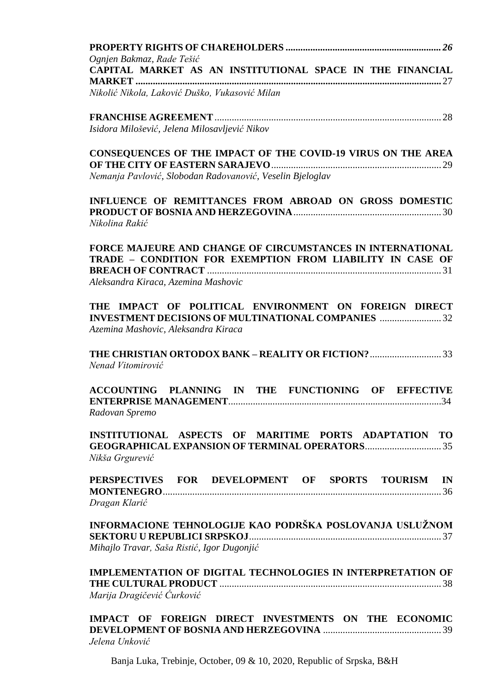| Ognjen Bakmaz, Rade Tešić                                                                                               |
|-------------------------------------------------------------------------------------------------------------------------|
| CAPITAL MARKET AS AN INSTITUTIONAL SPACE IN THE FINANCIAL                                                               |
| Nikolić Nikola, Laković Duško, Vukasović Milan                                                                          |
|                                                                                                                         |
| Isidora Milošević, Jelena Milosavljević Nikov                                                                           |
| CONSEQUENCES OF THE IMPACT OF THE COVID-19 VIRUS ON THE AREA                                                            |
| Nemanja Pavlović, Slobodan Radovanović, Veselin Bjeloglav                                                               |
| INFLUENCE OF REMITTANCES FROM ABROAD ON GROSS DOMESTIC<br>Nikolina Rakić                                                |
| FORCE MAJEURE AND CHANGE OF CIRCUMSTANCES IN INTERNATIONAL<br>TRADE - CONDITION FOR EXEMPTION FROM LIABILITY IN CASE OF |
| Aleksandra Kiraca, Azemina Mashovic                                                                                     |
| THE IMPACT OF POLITICAL ENVIRONMENT ON FOREIGN DIRECT<br><b>INVESTMENT DECISIONS OF MULTINATIONAL COMPANIES 32</b>      |
| Azemina Mashovic, Aleksandra Kiraca                                                                                     |
| Nenad Vitomirović                                                                                                       |
| ACCOUNTING PLANNING IN THE FUNCTIONING OF EFFECTIVE<br>Radovan Spremo                                                   |
| INSTITUTIONAL ASPECTS OF MARITIME PORTS ADAPTATION TO                                                                   |
| Nikša Grgurević                                                                                                         |
| PERSPECTIVES FOR DEVELOPMENT OF SPORTS TOURISM IN                                                                       |
| Dragan Klarić                                                                                                           |
| INFORMACIONE TEHNOLOGIJE KAO PODRŠKA POSLOVANJA USLUŽNOM<br>Mihajlo Travar, Saša Ristić, Igor Dugonjić                  |
| IMPLEMENTATION OF DIGITAL TECHNOLOGIES IN INTERPRETATION OF                                                             |
| Marija Dragičević Ćurković                                                                                              |
| IMPACT OF FOREIGN DIRECT INVESTMENTS ON THE ECONOMIC<br>Jelena Unković                                                  |

Banja Luka, Trebinje, October, 09 & 10, 2020, Republic of Srpska, B&H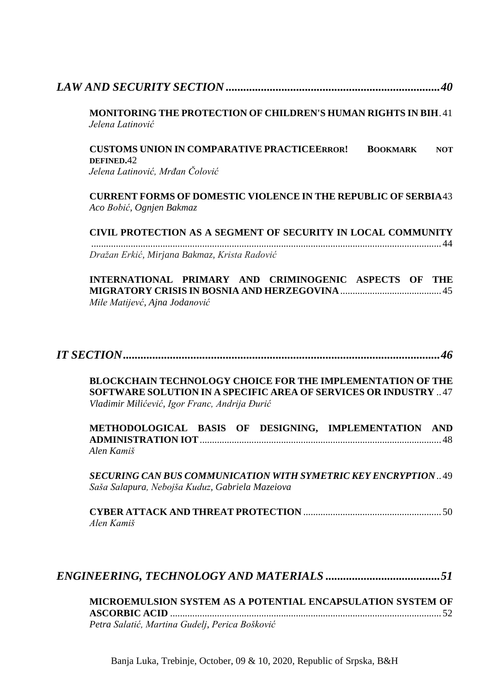| <b>MONITORING THE PROTECTION OF CHILDREN'S HUMAN RIGHTS IN BIH</b> .41<br>Jelena Latinović                                                                                                   |
|----------------------------------------------------------------------------------------------------------------------------------------------------------------------------------------------|
| <b>CUSTOMS UNION IN COMPARATIVE PRACTICEERROR!</b><br><b>BOOKMARK</b><br><b>NOT</b><br>DEFINED.42<br>Jelena Latinović, Mrđan Čolović                                                         |
| <b>CURRENT FORMS OF DOMESTIC VIOLENCE IN THE REPUBLIC OF SERBIA 43</b><br>Aco Bobić, Ognjen Bakmaz                                                                                           |
| CIVIL PROTECTION AS A SEGMENT OF SECURITY IN LOCAL COMMUNITY                                                                                                                                 |
| Dražan Erkić, Mirjana Bakmaz, Krista Radović                                                                                                                                                 |
| INTERNATIONAL PRIMARY AND CRIMINOGENIC ASPECTS OF THE<br>Mile Matijevć, Ajna Jodanović                                                                                                       |
|                                                                                                                                                                                              |
| <b>BLOCKCHAIN TECHNOLOGY CHOICE FOR THE IMPLEMENTATION OF THE</b><br><b>SOFTWARE SOLUTION IN A SPECIFIC AREA OF SERVICES OR INDUSTRY</b> 47<br>Vladimir Milićević, Igor Franc, Andrija Đurić |
| METHODOLOGICAL BASIS OF DESIGNING, IMPLEMENTATION AND<br>Alen Kamiš                                                                                                                          |
| <b>SECURING CAN BUS COMMUNICATION WITH SYMETRIC KEY ENCRYPTION  49</b><br>Saša Salapura, Nebojša Kuduz, Gabriela Mazeiova                                                                    |
| Alen Kamiš                                                                                                                                                                                   |
|                                                                                                                                                                                              |

| MICROEMULSION SYSTEM AS A POTENTIAL ENCAPSULATION SYSTEM OF |  |
|-------------------------------------------------------------|--|
|                                                             |  |
| Petra Salatić, Martina Gudelj, Perica Bošković              |  |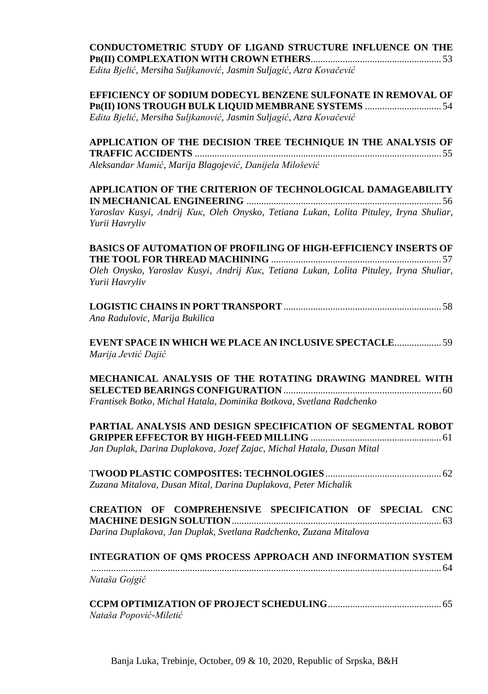| <b>CONDUCTOMETRIC STUDY OF LIGAND STRUCTURE INFLUENCE ON THE</b> |  |
|------------------------------------------------------------------|--|
|                                                                  |  |

*Edita Bjelić, Mersiha Suljkanović, Jasmin Suljagić, Azra Kovačević*

**EFFICIENCY OF SODIUM DODECYL BENZENE SULFONATE IN REMOVAL OF PB(II) IONS TROUGH BULK LIQUID MEMBRANE SYSTEMS** ............................... 54 *Edita Bjelić, Mersiha Suljkanović, Jasmin Suljagić, Azra Kovačević*

**APPLICATION OF THE DECISION TREE TECHNIQUE IN THE ANALYSIS OF TRAFFIC ACCIDENTS** .................................................................................................... 55 *Aleksandar Mamić, Marija Blagojević, Danijela Milošević*

**APPLICATION OF THE CRITERION OF TECHNOLOGICAL DAMAGEABILITY IN MECHANICAL ENGINEERING** ............................................................................... 56 *Yaroslav Kusyi, Аndrij Кuк, Oleh Onysko, Tetiana Lukan, Lolita Pituley, Iryna Shuliar, Yurii Havryliv*

**BASICS OF AUTOMATION OF PROFILING OF HIGH-EFFICIENCY INSERTS OF THE TOOL FOR THREAD MACHINING** ..................................................................... 57 *Oleh Onysko, Yaroslav Kusyi, Аndrij Кuк, Tetiana Lukan, Lolita Pituley, Iryna Shuliar, Yurii Havryliv*

| Ana Radulovic, Marija Bukilica |  |
|--------------------------------|--|

**EVENT SPACE IN WHICH WE PLACE AN INCLUSIVE SPECTACLE**................... 59 *Marija Jevtić Dajić*

**MECHANICAL ANALYSIS OF THE ROTATING DRAWING MANDREL WITH SELECTED BEARINGS CONFIGURATION** ................................................................ 60 *Frantisek Botko, Michal Hatala, Dominika Botkova, Svetlana Radchenko*

**PARTIAL ANALYSIS AND DESIGN SPECIFICATION OF SEGMENTAL ROBOT GRIPPER EFFECTOR BY HIGH-FEED MILLING** ..................................................... 61 *Jan Duplak, Darina Duplakova, Jozef Zajac, Michal Hatala, Dusan Mital*

| Zuzana Mitalova, Dusan Mital, Darina Duplakova, Peter Michalik |  |
|----------------------------------------------------------------|--|

|  | CREATION OF COMPREHENSIVE SPECIFICATION OF SPECIAL CNC            |  |  |
|--|-------------------------------------------------------------------|--|--|
|  |                                                                   |  |  |
|  | Darina Duplakova, Jan Duplak, Svetlana Radchenko, Zuzana Mitalova |  |  |

|               | <b>INTEGRATION OF OMS PROCESS APPROACH AND INFORMATION SYSTEM</b> |
|---------------|-------------------------------------------------------------------|
|               |                                                                   |
| Nataša Gojgić |                                                                   |

| Nataša Popović-Miletić |  |
|------------------------|--|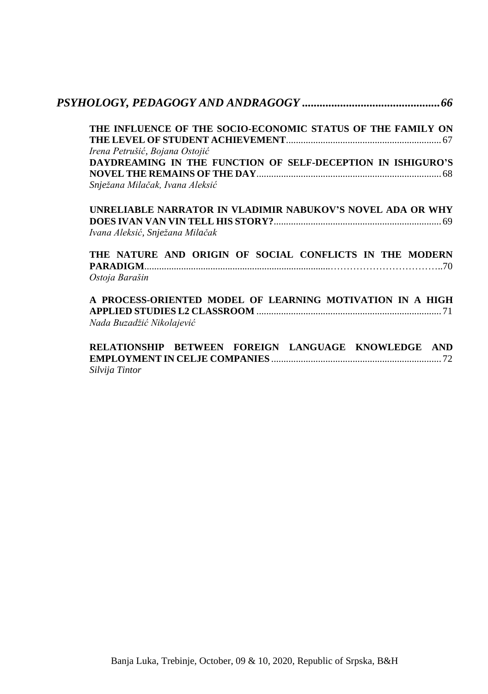| THE INFLUENCE OF THE SOCIO-ECONOMIC STATUS OF THE FAMILY ON |
|-------------------------------------------------------------|
|                                                             |
| Irena Petrušić, Bojana Ostojić                              |
| DAYDREAMING IN THE FUNCTION OF SELF-DECEPTION IN ISHIGURO'S |
|                                                             |
| Snježana Milačak, Ivana Aleksić                             |
| UNRELIABLE NARRATOR IN VLADIMIR NABUKOV'S NOVEL ADA OR WHY  |
|                                                             |
| Ivana Aleksić, Snježana Milačak                             |
| THE NATURE AND ORIGIN OF SOCIAL CONFLICTS IN THE MODERN     |
|                                                             |
| Ostoja Barašin                                              |
| A PROCESS-ORIENTED MODEL OF LEARNING MOTIVATION IN A HIGH   |
|                                                             |
|                                                             |
| Nada Buzadžić Nikolajević                                   |

*Silvija Tintor*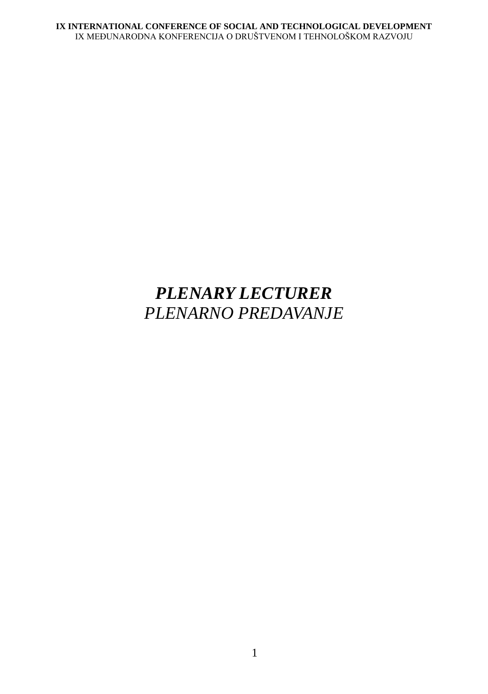# <span id="page-18-0"></span>*PLENARY LECTURER PLENARNO PREDAVANJE*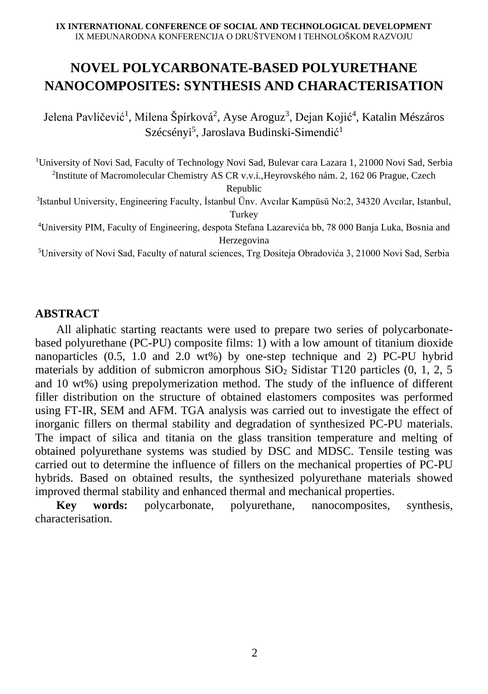## **NOVEL POLYCARBONATE-BASED POLYURETHANE NANOCOMPOSITES: SYNTHESIS AND CHARACTERISATION**

Jelena Pavličević<sup>1</sup>, Milena Špírková<sup>2</sup>, Ayse Aroguz<sup>3</sup>, Dejan Kojić<sup>4</sup>, Katalin Mészáros Szécsényi<sup>5</sup>, Jaroslava Budinski-Simendić<sup>1</sup>

<sup>1</sup>University of Novi Sad, Faculty of Technology Novi Sad, Bulevar cara Lazara 1, 21000 Novi Sad, Serbia 2 Institute of Macromolecular Chemistry AS CR v.v.i.,Heyrovského nám. 2, 162 06 Prague, Czech

Republic

3 Istanbul University, Engineering Faculty, İstanbul Ünv. Avcılar Kampüsü No:2, 34320 Avcılar, Istanbul, Turkey

<sup>4</sup>University PIM, Faculty of Engineering, despota Stefana Lazarevića bb, 78 000 Banja Luka, Bosnia and Herzegovina

<sup>5</sup>University of Novi Sad, Faculty of natural sciences, Trg Dositeja Obradovića 3, 21000 Novi Sad, Serbia

### **ABSTRACT**

All aliphatic starting reactants were used to prepare two series of polycarbonatebased polyurethane (PC-PU) composite films: 1) with a low amount of titanium dioxide nanoparticles (0.5, 1.0 and 2.0 wt%) by one-step technique and 2) PC-PU hybrid materials by addition of submicron amorphous  $SiO<sub>2</sub>$  Sidistar T120 particles (0, 1, 2, 5 and 10 wt%) using prepolymerization method. The study of the influence of different filler distribution on the structure of obtained elastomers composites was performed using FT-IR, SEM and AFM. TGA analysis was carried out to investigate the effect of inorganic fillers on thermal stability and degradation of synthesized PC-PU materials. The impact of silica and titania on the glass transition temperature and melting of obtained polyurethane systems was studied by DSC and MDSC. Tensile testing was carried out to determine the influence of fillers on the mechanical properties of PC-PU hybrids. Based on obtained results, the synthesized polyurethane materials showed improved thermal stability and enhanced thermal and mechanical properties.

**Key words:** polycarbonate, polyurethane, nanocomposites, synthesis, characterisation.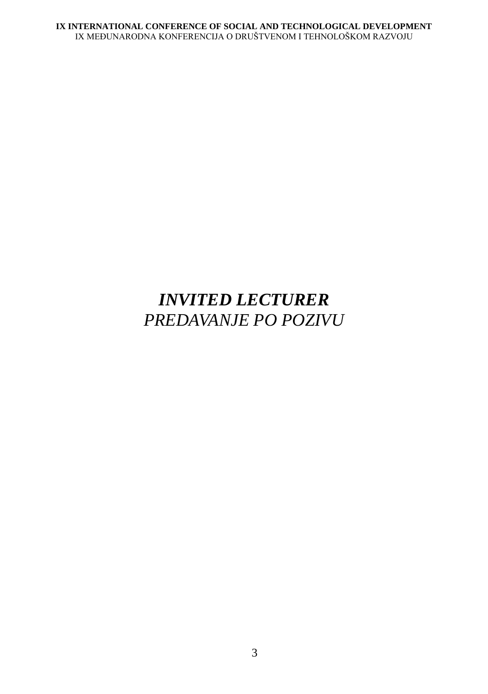# <span id="page-20-0"></span>*INVITED LECTURER PREDAVANJE PO POZIVU*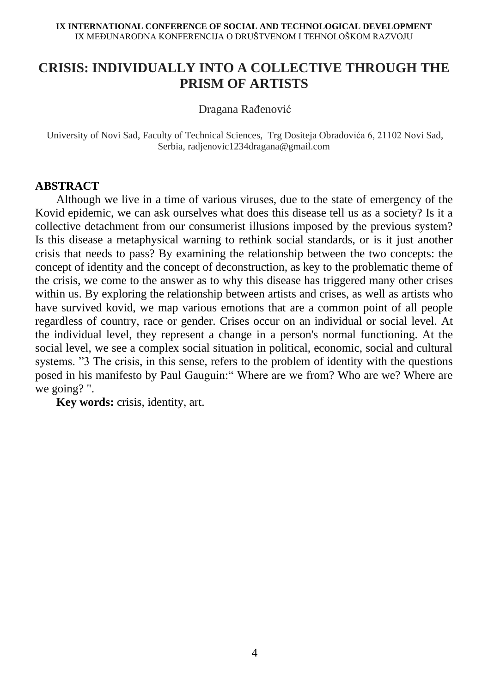## **CRISIS: INDIVIDUALLY INTO A COLLECTIVE THROUGH THE PRISM OF ARTISTS**

Dragana Rađenović

University of Novi Sad, Faculty of Technical Sciences, Trg Dositeja Obradovića 6, 21102 Novi Sad, Serbia, radjenovic1234dragana@gmail.com

### **ABSTRACT**

Although we live in a time of various viruses, due to the state of emergency of the Kovid epidemic, we can ask ourselves what does this disease tell us as a society? Is it a collective detachment from our consumerist illusions imposed by the previous system? Is this disease a metaphysical warning to rethink social standards, or is it just another crisis that needs to pass? By examining the relationship between the two concepts: the concept of identity and the concept of deconstruction, as key to the problematic theme of the crisis, we come to the answer as to why this disease has triggered many other crises within us. By exploring the relationship between artists and crises, as well as artists who have survived kovid, we map various emotions that are a common point of all people regardless of country, race or gender. Crises occur on an individual or social level. At the individual level, they represent a change in a person's normal functioning. At the social level, we see a complex social situation in political, economic, social and cultural systems. "3 The crisis, in this sense, refers to the problem of identity with the questions posed in his manifesto by Paul Gauguin:" Where are we from? Who are we? Where are we going? ".

**Key words:** crisis, identity, art.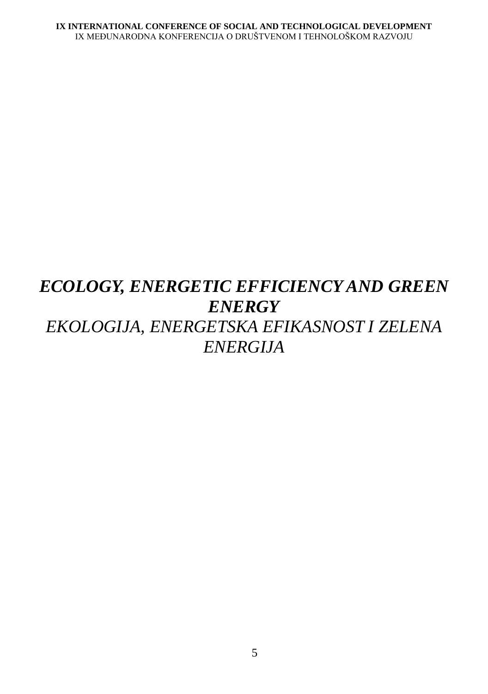# <span id="page-22-1"></span><span id="page-22-0"></span>*ECOLOGY, ENERGETIC EFFICIENCY AND GREEN ENERGY EKOLOGIJA, ENERGETSKA EFIKASNOST I ZELENA ENERGIJA*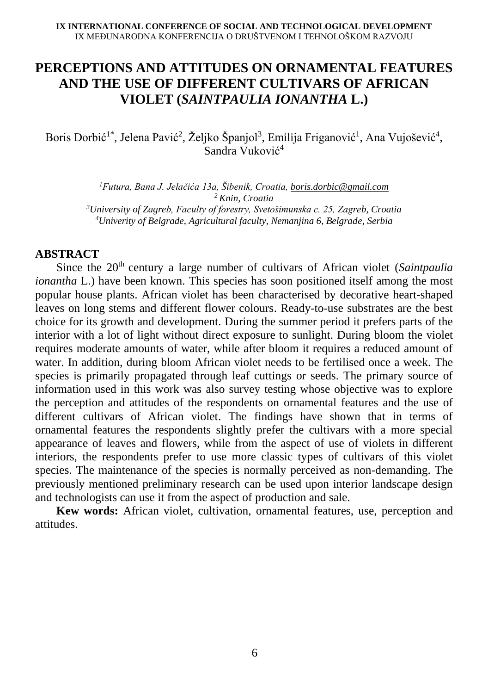## **PERCEPTIONS AND ATTITUDES ON ORNAMENTAL FEATURES AND THE USE OF DIFFERENT CULTIVARS OF AFRICAN VIOLET (***SAINTPAULIA IONANTHA* **L.)**

Boris Dorbić<sup>1\*</sup>, Jelena Pavić<sup>2</sup>, Željko Španjol<sup>3</sup>, Emilija Friganović<sup>1</sup>, Ana Vujošević<sup>4</sup>, Sandra Vuković<sup>4</sup>

*Futura, Bana J. Jelačića 13a, Šibenik, Croatia, [boris.dorbic@gmail.com](mailto:boris.dorbic@gmail.com) Knin, Croatia University of Zagreb, Faculty of forestry, Svetošimunska c. 25, Zagreb, Croatia Univerity of Belgrade, Agricultural faculty, Nemanjina 6, Belgrade, Serbia*

#### **ABSTRACT**

Since the 20<sup>th</sup> century a large number of cultivars of African violet (*Saintpaulia ionantha* L.) have been known. This species has soon positioned itself among the most popular house plants. African violet has been characterised by decorative heart-shaped leaves on long stems and different flower colours. Ready-to-use substrates are the best choice for its growth and development. During the summer period it prefers parts of the interior with a lot of light without direct exposure to sunlight. During bloom the violet requires moderate amounts of water, while after bloom it requires a reduced amount of water. In addition, during bloom African violet needs to be fertilised once a week. The species is primarily propagated through leaf cuttings or seeds. The primary source of information used in this work was also survey testing whose objective was to explore the perception and attitudes of the respondents on ornamental features and the use of different cultivars of African violet. The findings have shown that in terms of ornamental features the respondents slightly prefer the cultivars with a more special appearance of leaves and flowers, while from the aspect of use of violets in different interiors, the respondents prefer to use more classic types of cultivars of this violet species. The maintenance of the species is normally perceived as non-demanding. The previously mentioned preliminary research can be used upon interior landscape design and technologists can use it from the aspect of production and sale.

**Kew words:** African violet, cultivation, ornamental features, use, perception and attitudes.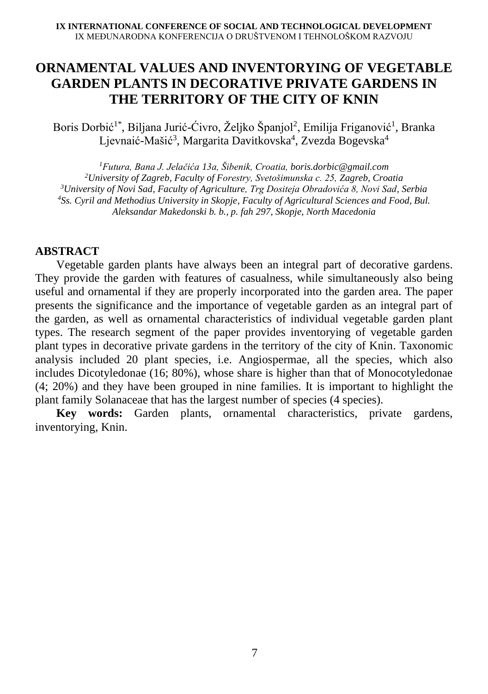## **ORNAMENTAL VALUES AND INVENTORYING OF VEGETABLE GARDEN PLANTS IN DECORATIVE PRIVATE GARDENS IN THE TERRITORY OF THE CITY OF KNIN**

Boris Dorbić<sup>1\*</sup>, Biljana Jurić-Ćivro, Željko Španjol<sup>2</sup>, Emilija Friganović<sup>1</sup>, Branka Ljevnaić-Mašić<sup>3</sup>, Margarita Davitkovska<sup>4</sup>, Zvezda Bogevska<sup>4</sup>

*Futura, Bana J. Jelačića 13a, Šibenik, Croatia, [boris.dorbic@gmail.com](mailto:boris.dorbic@gmail.com) University of Zagreb, Faculty of Forestry, Svetošimunska c. 25, Zagreb, Croatia University of Novi Sad, Faculty of Agriculture, Trg Dositeja Obradovića 8, Novi Sad, Serbia Ss. Cyril and Methodius University in Skopje, Faculty of Agricultural Sciences and Food, Bul. Aleksandar Makedonski b. b., p. fah 297, Skopje, North Macedonia*

### **ABSTRACT**

Vegetable garden plants have always been an integral part of decorative gardens. They provide the garden with features of casualness, while simultaneously also being useful and ornamental if they are properly incorporated into the garden area. The paper presents the significance and the importance of vegetable garden as an integral part of the garden, as well as ornamental characteristics of individual vegetable garden plant types. The research segment of the paper provides inventorying of vegetable garden plant types in decorative private gardens in the territory of the city of Knin. Taxonomic analysis included 20 plant species, i.e. Angiospermae, all the species, which also includes Dicotyledonae (16; 80%), whose share is higher than that of Monocotyledonae (4; 20%) and they have been grouped in nine families. It is important to highlight the plant family Solanaceae that has the largest number of species (4 species).

**Key words:** Garden plants, ornamental characteristics, private gardens, inventorying, Knin.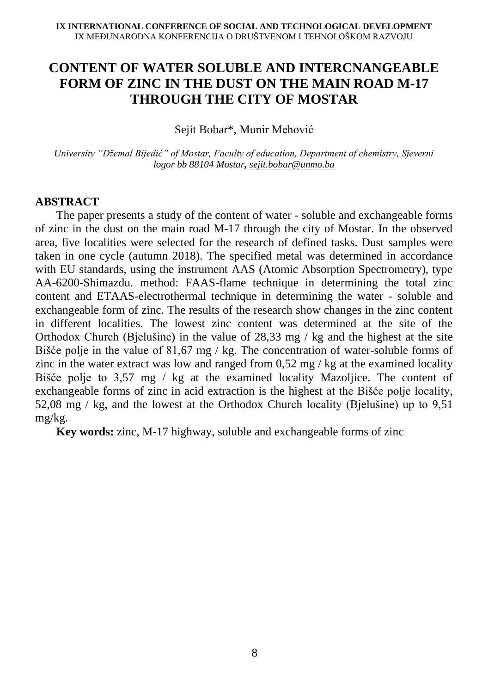## **CONTENT OF WATER SOLUBLE AND INTERCNANGEABLE FORM OF ZINC IN THE DUST ON THE MAIN ROAD M-17 THROUGH THE CITY OF MOSTAR**

Sejit Bobar\*, Munir Mehović

*University "Džemal Bijedić" of Mostar, Faculty of education, Department of chemistry, Sjeverni logor bb 88104 Mostar, [sejit.bobar@unmo.ba](mailto:sejit.bobar@unmo.ba)*

### **ABSTRACT**

The paper presents a study of the content of water - soluble and exchangeable forms of zinc in the dust on the main road M-17 through the city of Mostar. In the observed area, five localities were selected for the research of defined tasks. Dust samples were taken in one cycle (autumn 2018). The specified metal was determined in accordance with EU standards, using the instrument AAS (Atomic Absorption Spectrometry), type AA-6200-Shimazdu. method: FAAS-flame technique in determining the total zinc content and ETAAS-electrothermal technique in determining the water - soluble and exchangeable form of zinc. The results of the research show changes in the zinc content in different localities. The lowest zinc content was determined at the site of the Orthodox Church (Bjelušine) in the value of 28,33 mg / kg and the highest at the site Bišće polje in the value of 81,67 mg / kg. The concentration of water-soluble forms of zinc in the water extract was low and ranged from  $0.52 \text{ mg}$  / kg at the examined locality Bišće polje to 3,57 mg / kg at the examined locality Mazoljice. The content of exchangeable forms of zinc in acid extraction is the highest at the Bišće polje locality, 52,08 mg / kg, and the lowest at the Orthodox Church locality (Bjelušine) up to 9,51 mg/kg.

**Key words:** zinc, M-17 highway, soluble and exchangeable forms of zinc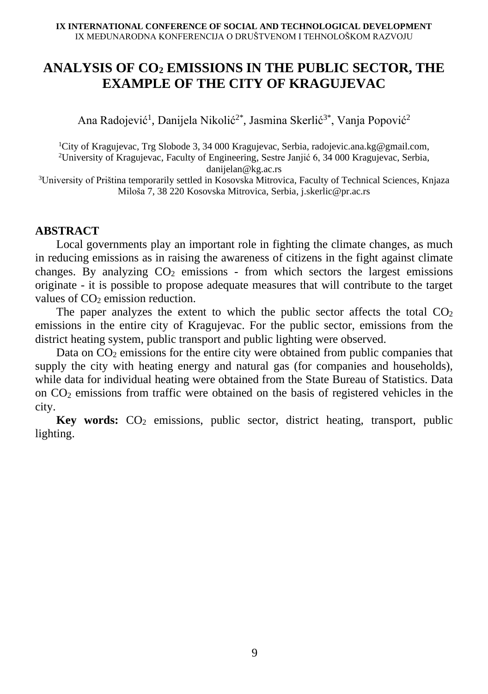## **ANALYSIS OF CO<sup>2</sup> EMISSIONS IN THE PUBLIC SECTOR, THE EXAMPLE OF THE CITY OF KRAGUJEVAC**

Ana Radojević<sup>1</sup>, Danijela Nikolić<sup>2\*</sup>, Jasmina Skerlić<sup>3\*</sup>, Vanja Popović<sup>2</sup>

<sup>1</sup>City of Kragujevac, Trg Slobode 3, 34 000 Kragujevac, Serbia, radojevic.ana.kg@gmail.com, <sup>2</sup>University of Kragujevac, Faculty of Engineering, Sestre Janjić 6, 34 000 Kragujevac, Serbia, [danijelan@kg.ac.rs](mailto:danijelan@kg.ac.rs)

<sup>3</sup>University of Priština temporarily settled in Kosovska Mitrovica, Faculty of Technical Sciences, Knjaza Miloša 7, 38 220 Kosovska Mitrovica, Serbia, [j.skerlic@pr.ac.rs](mailto:j.skerlic@pr.ac.rs)

### **ABSTRACT**

Local governments play an important role in fighting the climate changes, as much in reducing emissions as in raising the awareness of citizens in the fight against climate changes. By analyzing  $CO<sub>2</sub>$  emissions - from which sectors the largest emissions originate - it is possible to propose adequate measures that will contribute to the target values of  $CO<sub>2</sub>$  emission reduction.

The paper analyzes the extent to which the public sector affects the total  $CO<sub>2</sub>$ emissions in the entire city of Kragujevac. For the public sector, emissions from the district heating system, public transport and public lighting were observed.

Data on  $CO<sub>2</sub>$  emissions for the entire city were obtained from public companies that supply the city with heating energy and natural gas (for companies and households), while data for individual heating were obtained from the State Bureau of Statistics. Data on  $CO<sub>2</sub>$  emissions from traffic were obtained on the basis of registered vehicles in the city.

**Key words:** CO<sub>2</sub> emissions, public sector, district heating, transport, public lighting.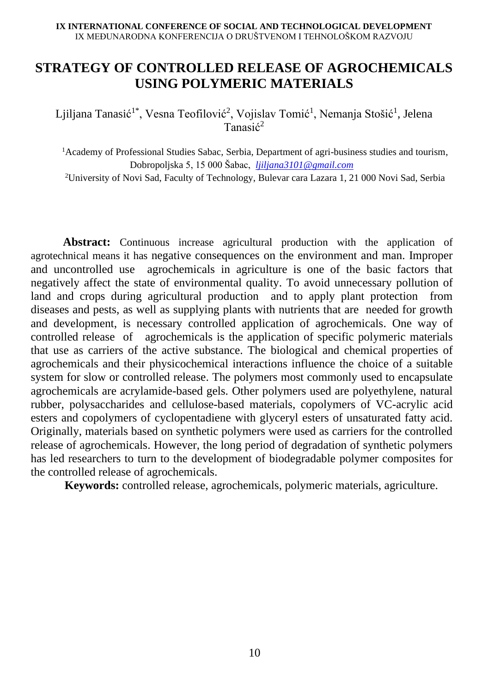## **STRATEGY OF CONTROLLED RELEASE OF AGROCHEMICALS USING POLYMERIC MATERIALS**

Ljiljana Tanasić<sup>1\*</sup>, Vesna Teofilović<sup>2</sup>, Vojislav Tomić<sup>1</sup>, Nemanja Stošić<sup>1</sup>, Jelena Tanasić<sup>2</sup>

<sup>1</sup>Academy of Professional Studies Sabac, Serbia, Department of agri-business studies and tourism, Dobropoljska 5, 15 000 Šabac, *[ljiljana3101@gmail.com](mailto:ljiljana3101@gmail.com)*

<sup>2</sup>University of Novi Sad, Faculty of Technology, Bulevar cara Lazara 1, 21 000 Novi Sad, Serbia

 **Abstract:** Continuous increase agricultural production with the application of agrotechnical means it has negative consequences on the environment and man. Improper and uncontrolled use agrochemicals in agriculture is one of the basic factors that negatively affect the state of environmental quality. To avoid unnecessary pollution of land and crops during agricultural production and to apply plant protection from diseases and pests, as well as supplying plants with nutrients that are needed for growth and development, is necessary controlled application of agrochemicals. One way of controlled release of agrochemicals is the application of specific polymeric materials that use as carriers of the active substance. The biological and chemical properties of agrochemicals and their physicochemical interactions influence the choice of a suitable system for slow or controlled release. The polymers most commonly used to encapsulate agrochemicals are acrylamide-based gels. Other polymers used are polyethylene, natural rubber, polysaccharides and cellulose-based materials, copolymers of VC-acrylic acid esters and copolymers of cyclopentadiene with glyceryl esters of unsaturated fatty acid. Originally, materials based on synthetic polymers were used as carriers for the controlled release of agrochemicals. However, the long period of degradation of synthetic polymers has led researchers to turn to the development of biodegradable polymer composites for the controlled release of agrochemicals.

 **Keywords:** controlled release, agrochemicals, polymeric materials, agriculture.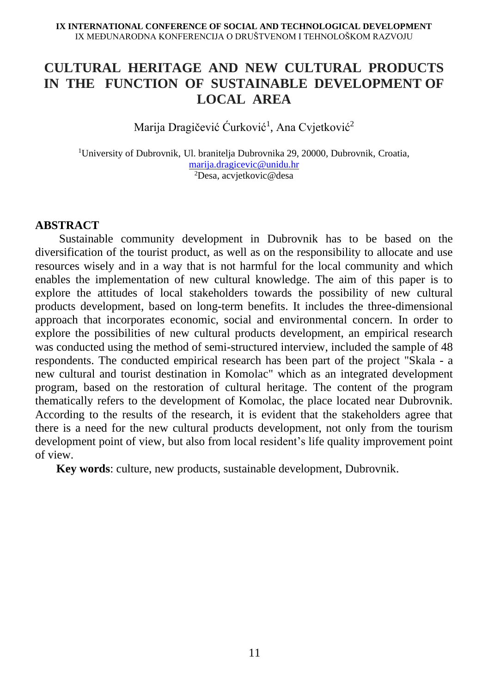## **CULTURAL HERITAGE AND NEW CULTURAL PRODUCTS IN THE FUNCTION OF SUSTAINABLE DEVELOPMENT OF LOCAL AREA**

Marija Dragičević Ćurković<sup>1</sup>, Ana Cvjetković<sup>2</sup>

<sup>1</sup>University of Dubrovnik, Ul. branitelja Dubrovnika 29, 20000, Dubrovnik, Croatia, [marija.dragicevic@unidu.hr](mailto:marija.dragicevic@unidu.hr) <sup>2</sup>Desa, acvjetkovic@desa

### **ABSTRACT**

Sustainable community development in Dubrovnik has to be based on the diversification of the tourist product, as well as on the responsibility to allocate and use resources wisely and in a way that is not harmful for the local community and which enables the implementation of new cultural knowledge. The aim of this paper is to explore the attitudes of local stakeholders towards the possibility of new cultural products development, based on long-term benefits. It includes the three-dimensional approach that incorporates economic, social and environmental concern. In order to explore the possibilities of new cultural products development, an empirical research was conducted using the method of semi-structured interview, included the sample of 48 respondents. The conducted empirical research has been part of the project "Skala - a new cultural and tourist destination in Komolac" which as an integrated development program, based on the restoration of cultural heritage. The content of the program thematically refers to the development of Komolac, the place located near Dubrovnik. According to the results of the research, it is evident that the stakeholders agree that there is a need for the new cultural products development, not only from the tourism development point of view, but also from local resident's life quality improvement point of view.

**Key words**: culture, new products, sustainable development, Dubrovnik.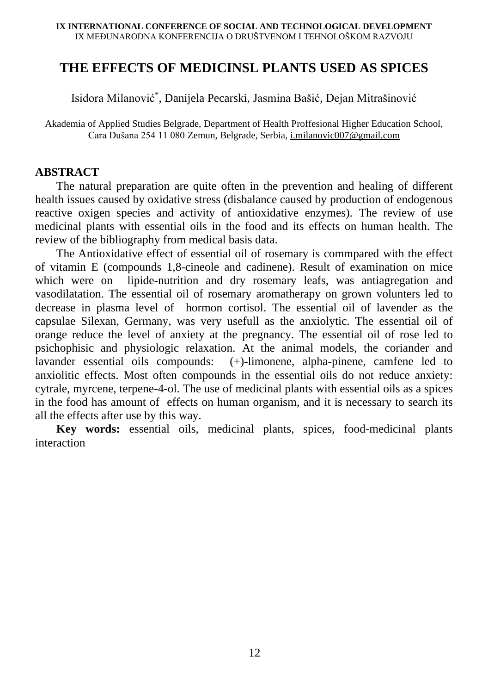### **THE EFFECTS OF MEDICINSL PLANTS USED AS SPICES**

Isidora Milanović\* , Danijela Pecarski, Jasmina Bašić, Dejan Mitrašinović

Akademia of Applied Studies Belgrade, Department of Health Proffesional Higher Education School, Cara Dušana 254 11 080 Zemun, Belgrade, Serbia[, i.milanovic007@gmail.com](mailto:i.milanovic007@gmail.com)

### **ABSTRACT**

The natural preparation are quite often in the prevention and healing of different health issues caused by oxidative stress (disbalance caused by production of endogenous reactive oxigen species and activity of antioxidative enzymes). The review of use medicinal plants with essential oils in the food and its effects on human health. The review of the bibliography from medical basis data.

The Antioxidative effect of essential oil of rosemary is commpared with the effect of vitamin E (compounds 1,8-cineole and cadinene). Result of examination on mice which were on lipide-nutrition and dry rosemary leafs, was antiagregation and vasodilatation. The essential oil of rosemary aromatherapy on grown volunters led to decrease in plasma level of hormon cortisol. The essential oil of lavender as the capsulae Silexan, Germany, was very usefull as the anxiolytic. The essential oil of orange reduce the level of anxiety at the pregnancy. The essential oil of rose led to psichophisic and physiologic relaxation. At the animal models, the coriander and lavander essential oils compounds: (+)-limonene, alpha-pinene, camfene led to anxiolitic effects. Most often compounds in the essential oils do not reduce anxiety: cytrale, myrcene, terpene-4-ol. The use of medicinal plants with essential oils as a spices in the food has amount of effects on human organism, and it is necessary to search its all the effects after use by this way.

**Key words:** essential oils, medicinal plants, spices, food-medicinal plants interaction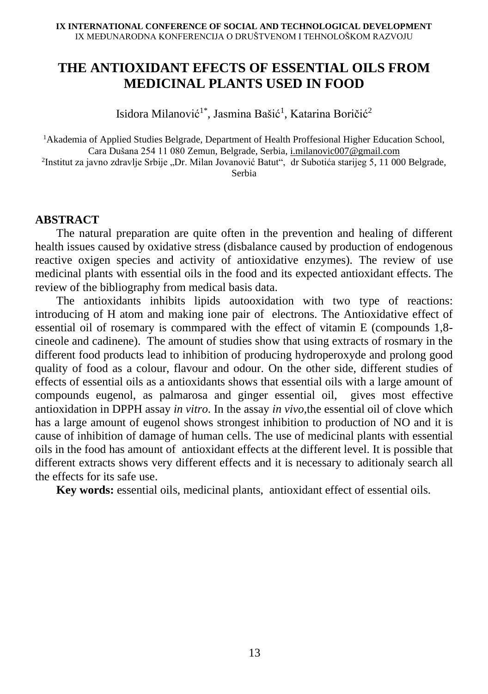## **THE ANTIOXIDANT EFECTS OF ESSENTIAL OILS FROM MEDICINAL PLANTS USED IN FOOD**

Isidora Milanović<sup>1\*</sup>, Jasmina Bašić<sup>1</sup>, Katarina Boričić<sup>2</sup>

<sup>1</sup>Akademia of Applied Studies Belgrade, Department of Health Proffesional Higher Education School, Cara Dušana 254 11 080 Zemun, Belgrade, Serbia[, i.milanovic007@gmail.com](mailto:i.milanovic007@gmail.com) <sup>2</sup>Institut za javno zdravlje Srbije "Dr. Milan Jovanović Batut", dr Subotića starijeg 5, 11 000 Belgrade, Serbia

### **ABSTRACT**

The natural preparation are quite often in the prevention and healing of different health issues caused by oxidative stress (disbalance caused by production of endogenous reactive oxigen species and activity of antioxidative enzymes). The review of use medicinal plants with essential oils in the food and its expected antioxidant effects. The review of the bibliography from medical basis data.

The antioxidants inhibits lipids autooxidation with two type of reactions: introducing of H atom and making ione pair of electrons. The Antioxidative effect of essential oil of rosemary is commpared with the effect of vitamin E (compounds 1,8 cineole and cadinene). The amount of studies show that using extracts of rosmary in the different food products lead to inhibition of producing hydroperoxyde and prolong good quality of food as a colour, flavour and odour. On the other side, different studies of effects of essential oils as a antioxidants shows that essential oils with a large amount of compounds eugenol, as palmarosa and ginger essential oil, gives most effective antioxidation in DPPH assay *in vitro*. In the assay *in vivo,*the essential oil of clove which has a large amount of eugenol shows strongest inhibition to production of NO and it is cause of inhibition of damage of human cells. The use of medicinal plants with essential oils in the food has amount of antioxidant effects at the different level. It is possible that different extracts shows very different effects and it is necessary to aditionaly search all the effects for its safe use.

**Key words:** essential oils, medicinal plants, antioxidant effect of essential oils.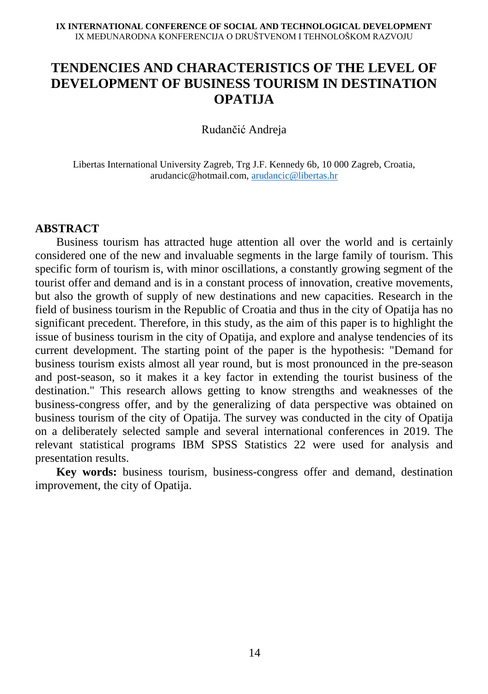## **TENDENCIES AND CHARACTERISTICS OF THE LEVEL OF DEVELOPMENT OF BUSINESS TOURISM IN DESTINATION OPATIJA**

Rudančić Andreja

Libertas International University Zagreb, Trg J.F. Kennedy 6b, 10 000 Zagreb, Croatia, arudancic@hotmail.com, [arudancic@libertas.hr](mailto:arudancic@libertas.hr)

### **ABSTRACT**

Business tourism has attracted huge attention all over the world and is certainly considered one of the new and invaluable segments in the large family of tourism. This specific form of tourism is, with minor oscillations, a constantly growing segment of the tourist offer and demand and is in a constant process of innovation, creative movements, but also the growth of supply of new destinations and new capacities. Research in the field of business tourism in the Republic of Croatia and thus in the city of Opatija has no significant precedent. Therefore, in this study, as the aim of this paper is to highlight the issue of business tourism in the city of Opatija, and explore and analyse tendencies of its current development. The starting point of the paper is the hypothesis: "Demand for business tourism exists almost all year round, but is most pronounced in the pre-season and post-season, so it makes it a key factor in extending the tourist business of the destination." This research allows getting to know strengths and weaknesses of the business-congress offer, and by the generalizing of data perspective was obtained on business tourism of the city of Opatija. The survey was conducted in the city of Opatija on a deliberately selected sample and several international conferences in 2019. The relevant statistical programs IBM SPSS Statistics 22 were used for analysis and presentation results.

**Key words:** business tourism, business-congress offer and demand, destination improvement, the city of Opatija.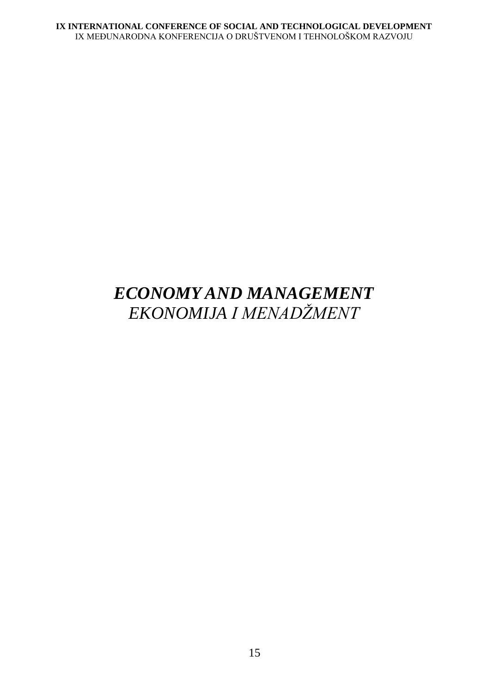# <span id="page-32-0"></span>*ECONOMY AND MANAGEMENT EKONOMIJA I MENADŽMENT*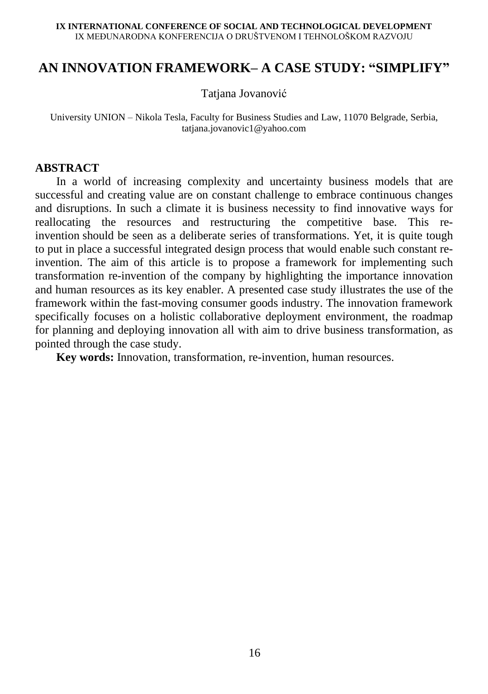### <span id="page-33-0"></span>**AN INNOVATION FRAMEWORK– A CASE STUDY: "SIMPLIFY"**

Tatjana Jovanović

University UNION – Nikola Tesla, Faculty for Business Studies and Law, 11070 Belgrade, Serbia, tatjana.jovanovic1@yahoo.com

### **ABSTRACT**

In a world of increasing complexity and uncertainty business models that are successful and creating value are on constant challenge to embrace continuous changes and disruptions. In such a climate it is business necessity to find innovative ways for reallocating the resources and restructuring the competitive base. This reinvention should be seen as a deliberate series of transformations. Yet, it is quite tough to put in place a successful integrated design process that would enable such constant reinvention. The aim of this article is to propose a framework for implementing such transformation re-invention of the company by highlighting the importance innovation and human resources as its key enabler. A presented case study illustrates the use of the framework within the fast-moving consumer goods industry. The innovation framework specifically focuses on a holistic collaborative deployment environment, the roadmap for planning and deploying innovation all with aim to drive business transformation, as pointed through the case study.

**Key words:** Innovation, transformation, re-invention, human resources.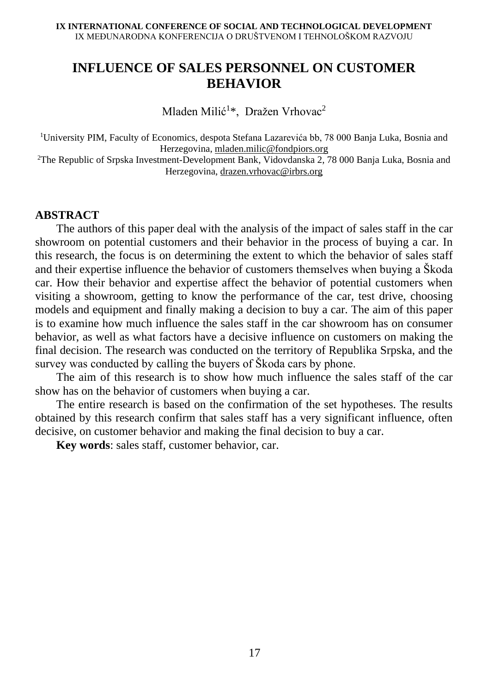## **INFLUENCE OF SALES PERSONNEL ON CUSTOMER BEHAVIOR**

Mladen Milić<sup>1\*</sup>, Dražen Vrhovac<sup>2</sup>

<sup>1</sup>University PIM, Faculty of Economics, despota Stefana Lazarevića bb, 78 000 Banja Luka, Bosnia and Herzegovina, [mladen.milic@fondpiors.org](mailto:mladen.milic@fondpiors.org)

<sup>2</sup>The Republic of Srpska Investment-Development Bank, Vidovdanska 2, 78 000 Banja Luka, Bosnia and Herzegovina, [drazen.vrhovac@irbrs.org](mailto:drazen.vrhovac@irbrs.org)

#### **ABSTRACT**

The authors of this paper deal with the analysis of the impact of sales staff in the car showroom on potential customers and their behavior in the process of buying a car. In this research, the focus is on determining the extent to which the behavior of sales staff and their expertise influence the behavior of customers themselves when buying a Škoda car. How their behavior and expertise affect the behavior of potential customers when visiting a showroom, getting to know the performance of the car, test drive, choosing models and equipment and finally making a decision to buy a car. The aim of this paper is to examine how much influence the sales staff in the car showroom has on consumer behavior, as well as what factors have a decisive influence on customers on making the final decision. The research was conducted on the territory of Republika Srpska, and the survey was conducted by calling the buyers of Škoda cars by phone.

The aim of this research is to show how much influence the sales staff of the car show has on the behavior of customers when buying a car.

The entire research is based on the confirmation of the set hypotheses. The results obtained by this research confirm that sales staff has a very significant influence, often decisive, on customer behavior and making the final decision to buy a car.

**Key words**: sales staff, customer behavior, car.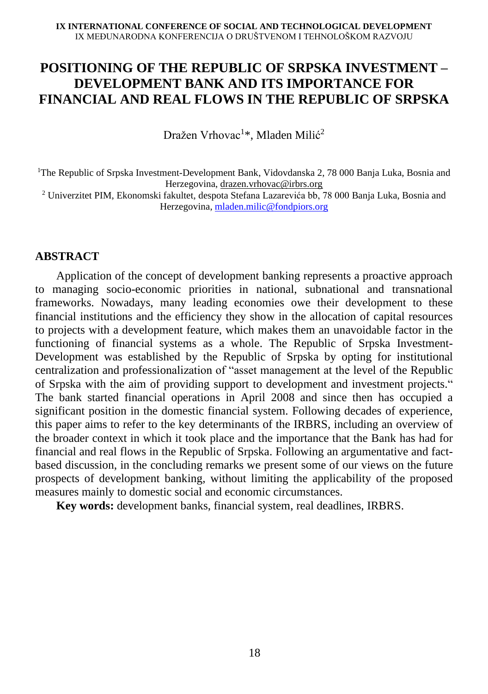## **POSITIONING OF THE REPUBLIC OF SRPSKA INVESTMENT – DEVELOPMENT BANK AND ITS IMPORTANCE FOR FINANCIAL AND REAL FLOWS IN THE REPUBLIC OF SRPSKA**

Dražen Vrhovac<sup>1\*</sup>, Mladen Milić<sup>2</sup>

<sup>1</sup>The Republic of Srpska Investment-Development Bank, Vidovdanska 2, 78 000 Banja Luka, Bosnia and Herzegovina, [drazen.vrhovac@irbrs.org](mailto:drazen.vrhovac@irbrs.org)

<sup>2</sup> Univerzitet PIM, Ekonomski fakultet, despota Stefana Lazarevića bb, 78 000 Banja Luka, Bosnia and Herzegovina, [mladen.milic@fondpiors.org](mailto:mladen.milic@fondpiors.org)

### **ABSTRACT**

Application of the concept of development banking represents a proactive approach to managing socio-economic priorities in national, subnational and transnational frameworks. Nowadays, many leading economies owe their development to these financial institutions and the efficiency they show in the allocation of capital resources to projects with a development feature, which makes them an unavoidable factor in the functioning of financial systems as a whole. The Republic of Srpska Investment-Development was established by the Republic of Srpska by opting for institutional centralization and professionalization of "asset management at the level of the Republic of Srpska with the aim of providing support to development and investment projects." The bank started financial operations in April 2008 and since then has occupied a significant position in the domestic financial system. Following decades of experience, this paper aims to refer to the key determinants of the IRBRS, including an overview of the broader context in which it took place and the importance that the Bank has had for financial and real flows in the Republic of Srpska. Following an argumentative and factbased discussion, in the concluding remarks we present some of our views on the future prospects of development banking, without limiting the applicability of the proposed measures mainly to domestic social and economic circumstances.

**Key words:** development banks, financial system, real deadlines, IRBRS.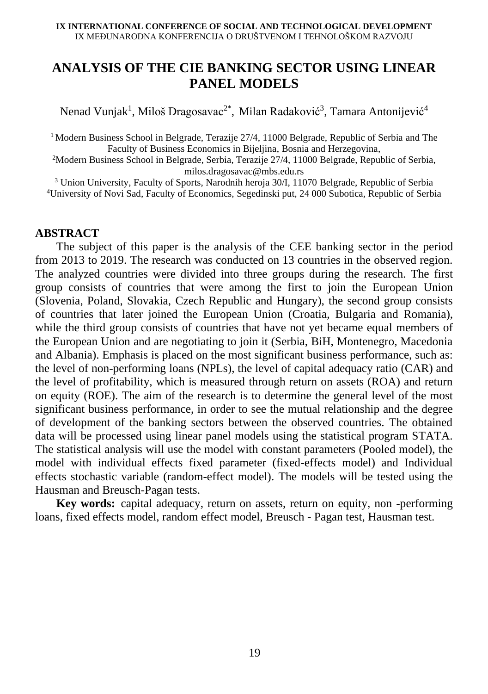# **ANALYSIS OF THE CIE BANKING SECTOR USING LINEAR PANEL MODELS**

Nenad Vunjak<sup>1</sup>, Miloš Dragosavac<sup>2\*</sup>, Milan Radaković<sup>3</sup>, Tamara Antonijević<sup>4</sup>

<sup>1</sup> Modern Business School in Belgrade, Terazije  $27/4$ , 11000 Belgrade, Republic of Serbia and The Faculty of Business Economics in Bijeljina, Bosnia and Herzegovina,

<sup>2</sup>Modern Business School in Belgrade, Serbia, Terazije 27/4, 11000 Belgrade, Republic of Serbia, milos.dragosavac@mbs.edu.rs

<sup>3</sup> Union University, Faculty of Sports, Narodnih heroja 30/I, 11070 Belgrade, Republic of Serbia <sup>4</sup>University of Novi Sad, Faculty of Economics, Segedinski put, 24 000 Subotica, Republic of Serbia

#### **ABSTRACT**

The subject of this paper is the analysis of the CEE banking sector in the period from 2013 to 2019. The research was conducted on 13 countries in the observed region. The analyzed countries were divided into three groups during the research. The first group consists of countries that were among the first to join the European Union (Slovenia, Poland, Slovakia, Czech Republic and Hungary), the second group consists of countries that later joined the European Union (Croatia, Bulgaria and Romania), while the third group consists of countries that have not yet became equal members of the European Union and are negotiating to join it (Serbia, BiH, Montenegro, Macedonia and Albania). Emphasis is placed on the most significant business performance, such as: the level of non-performing loans (NPLs), the level of capital adequacy ratio (CAR) and the level of profitability, which is measured through return on assets (ROA) and return on equity (ROE). The aim of the research is to determine the general level of the most significant business performance, in order to see the mutual relationship and the degree of development of the banking sectors between the observed countries. The obtained data will be processed using linear panel models using the statistical program STATA. The statistical analysis will use the model with constant parameters (Pooled model), the model with individual effects fixed parameter (fixed-effects model) and Individual effects stochastic variable (random-effect model). The models will be tested using the Hausman and Breusch-Pagan tests.

**Key words:** capital adequacy, return on assets, return on equity, non -performing loans, fixed effects model, random effect model, Breusch - Pagan test, Hausman test.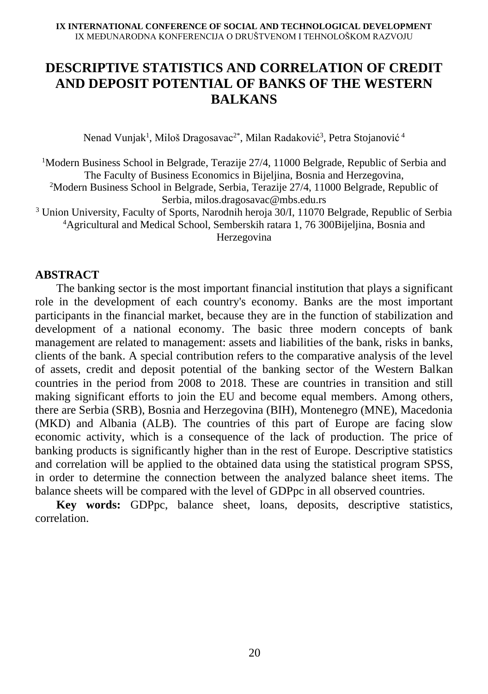## **DESCRIPTIVE STATISTICS AND CORRELATION OF CREDIT AND DEPOSIT POTENTIAL OF BANKS OF THE WESTERN BALKANS**

Nenad Vunjak<sup>1</sup>, Miloš Dragosavac<sup>2\*</sup>, Milan Radaković<sup>3</sup>, Petra Stojanović <sup>4</sup>

<sup>1</sup>Modern Business School in Belgrade, Terazije 27/4, 11000 Belgrade, Republic of Serbia and The Faculty of Business Economics in Bijeljina, Bosnia and Herzegovina,

<sup>2</sup>Modern Business School in Belgrade, Serbia, Terazije 27/4, 11000 Belgrade, Republic of Serbia, milos.dragosavac@mbs.edu.rs

<sup>3</sup> Union University, Faculty of Sports, Narodnih heroja 30/I, 11070 Belgrade, Republic of Serbia <sup>4</sup>Agricultural and Medical School, Semberskih ratara 1, 76 300Bijeljina, Bosnia and Herzegovina

### **ABSTRACT**

The banking sector is the most important financial institution that plays a significant role in the development of each country's economy. Banks are the most important participants in the financial market, because they are in the function of stabilization and development of a national economy. The basic three modern concepts of bank management are related to management: assets and liabilities of the bank, risks in banks, clients of the bank. A special contribution refers to the comparative analysis of the level of assets, credit and deposit potential of the banking sector of the Western Balkan countries in the period from 2008 to 2018. These are countries in transition and still making significant efforts to join the EU and become equal members. Among others, there are Serbia (SRB), Bosnia and Herzegovina (BIH), Montenegro (MNE), Macedonia (MKD) and Albania (ALB). The countries of this part of Europe are facing slow economic activity, which is a consequence of the lack of production. The price of banking products is significantly higher than in the rest of Europe. Descriptive statistics and correlation will be applied to the obtained data using the statistical program SPSS, in order to determine the connection between the analyzed balance sheet items. The balance sheets will be compared with the level of GDPpc in all observed countries.

**Key words:** GDPpc, balance sheet, loans, deposits, descriptive statistics, correlation.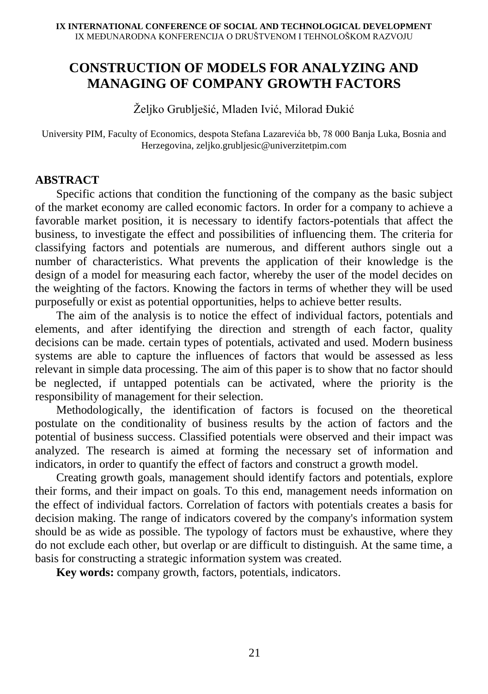# **CONSTRUCTION OF MODELS FOR ANALYZING AND MANAGING OF COMPANY GROWTH FACTORS**

Željko Grublješić, Mladen Ivić, Milorad Đukić

University PIM, Faculty of Economics, despota Stefana Lazarevića bb, 78 000 Banja Luka, Bosnia and Herzegovina, zeljko.grubljesic@univerzitetpim.com

#### **ABSTRACT**

Specific actions that condition the functioning of the company as the basic subject of the market economy are called economic factors. In order for a company to achieve a favorable market position, it is necessary to identify factors-potentials that affect the business, to investigate the effect and possibilities of influencing them. The criteria for classifying factors and potentials are numerous, and different authors single out a number of characteristics. What prevents the application of their knowledge is the design of a model for measuring each factor, whereby the user of the model decides on the weighting of the factors. Knowing the factors in terms of whether they will be used purposefully or exist as potential opportunities, helps to achieve better results.

The aim of the analysis is to notice the effect of individual factors, potentials and elements, and after identifying the direction and strength of each factor, quality decisions can be made. certain types of potentials, activated and used. Modern business systems are able to capture the influences of factors that would be assessed as less relevant in simple data processing. The aim of this paper is to show that no factor should be neglected, if untapped potentials can be activated, where the priority is the responsibility of management for their selection.

Methodologically, the identification of factors is focused on the theoretical postulate on the conditionality of business results by the action of factors and the potential of business success. Classified potentials were observed and their impact was analyzed. The research is aimed at forming the necessary set of information and indicators, in order to quantify the effect of factors and construct a growth model.

Creating growth goals, management should identify factors and potentials, explore their forms, and their impact on goals. To this end, management needs information on the effect of individual factors. Correlation of factors with potentials creates a basis for decision making. The range of indicators covered by the company's information system should be as wide as possible. The typology of factors must be exhaustive, where they do not exclude each other, but overlap or are difficult to distinguish. At the same time, a basis for constructing a strategic information system was created.

**Key words:** company growth, factors, potentials, indicators.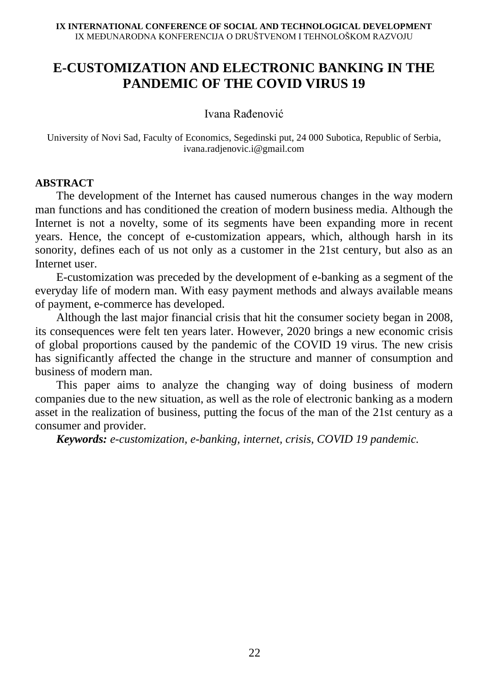# **E-CUSTOMIZATION AND ELECTRONIC BANKING IN THE PANDEMIC OF THE COVID VIRUS 19**

Ivana Rađenović

University of Novi Sad, Faculty of Economics, Segedinski put, 24 000 Subotica, Republic of Serbia, ivana.radjenovic.i@gmail.com

#### **ABSTRACT**

The development of the Internet has caused numerous changes in the way modern man functions and has conditioned the creation of modern business media. Although the Internet is not a novelty, some of its segments have been expanding more in recent years. Hence, the concept of e-customization appears, which, although harsh in its sonority, defines each of us not only as a customer in the 21st century, but also as an Internet user.

E-customization was preceded by the development of e-banking as a segment of the everyday life of modern man. With easy payment methods and always available means of payment, e-commerce has developed.

Although the last major financial crisis that hit the consumer society began in 2008, its consequences were felt ten years later. However, 2020 brings a new economic crisis of global proportions caused by the pandemic of the COVID 19 virus. The new crisis has significantly affected the change in the structure and manner of consumption and business of modern man.

This paper aims to analyze the changing way of doing business of modern companies due to the new situation, as well as the role of electronic banking as a modern asset in the realization of business, putting the focus of the man of the 21st century as a consumer and provider.

*Keywords: e-customization, e-banking, internet, crisis, COVID 19 pandemic.*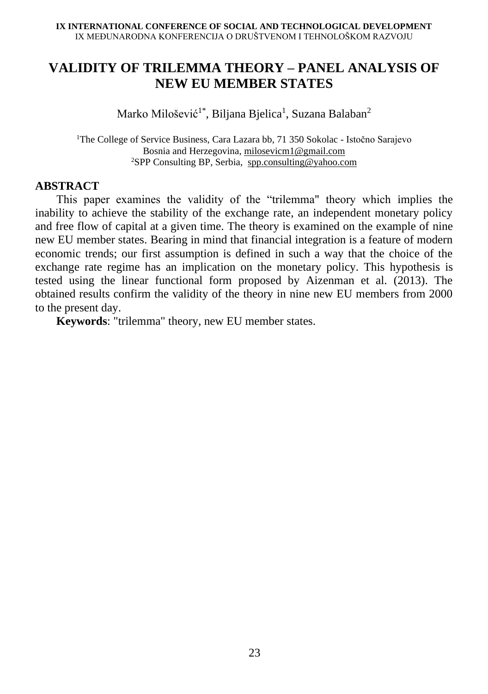# **VALIDITY OF TRILEMMA THEORY – PANEL ANALYSIS OF NEW EU MEMBER STATES**

Marko Milošević<sup>1\*</sup>, Biljana Bjelica<sup>1</sup>, Suzana Balaban<sup>2</sup>

<sup>1</sup>The College of Service Business, Cara Lazara bb, 71 350 Sokolac - Istočno Sarajevo Bosnia and Herzegovina, [milosevicm1@gmail.com](mailto:milosevicm1@gmail.com) <sup>2</sup>SPP Consulting BP, Serbia, [spp.consulting@yahoo.com](mailto:spp.consulting@yahoo.com)

#### **ABSTRACT**

This paper examines the validity of the "trilemma" theory which implies the inability to achieve the stability of the exchange rate, an independent monetary policy and free flow of capital at a given time. The theory is examined on the example of nine new EU member states. Bearing in mind that financial integration is a feature of modern economic trends; our first assumption is defined in such a way that the choice of the exchange rate regime has an implication on the monetary policy. This hypothesis is tested using the linear functional form proposed by Aizenman et al. (2013). The obtained results confirm the validity of the theory in nine new EU members from 2000 to the present day.

**Keywords**: "trilemma" theory, new EU member states.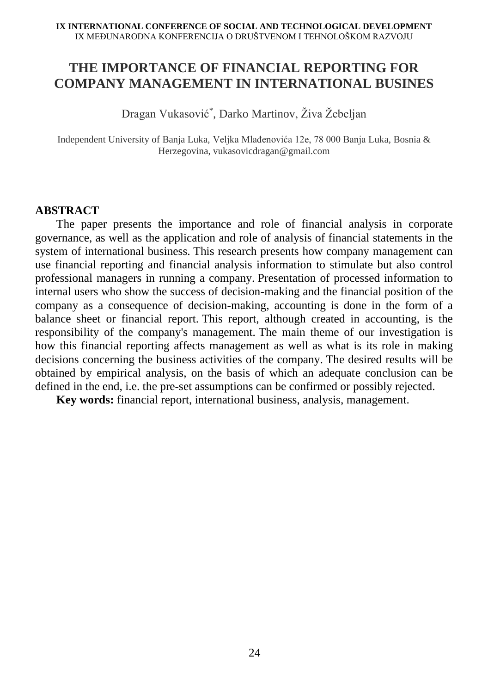# **THE IMPORTANCE OF FINANCIAL REPORTING FOR COMPANY MANAGEMENT IN INTERNATIONAL BUSINES**

Dragan Vukasović\* , Darko Martinov, Živa Žebeljan

Independent University of Banja Luka, Veljka Mlađenovića 12e, 78 000 Banja Luka, Bosnia & Herzegovina, vukasovicdragan@gmail.com

#### **ABSTRACT**

The paper presents the importance and role of financial analysis in corporate governance, as well as the application and role of analysis of financial statements in the system of international business. This research presents how company management can use financial reporting and financial analysis information to stimulate but also control professional managers in running a company. Presentation of processed information to internal users who show the success of decision-making and the financial position of the company as a consequence of decision-making, accounting is done in the form of a balance sheet or financial report. This report, although created in accounting, is the responsibility of the company's management. The main theme of our investigation is how this financial reporting affects management as well as what is its role in making decisions concerning the business activities of the company. The desired results will be obtained by empirical analysis, on the basis of which an adequate conclusion can be defined in the end, i.e. the pre-set assumptions can be confirmed or possibly rejected.

**Key words:** financial report, international business, analysis, management.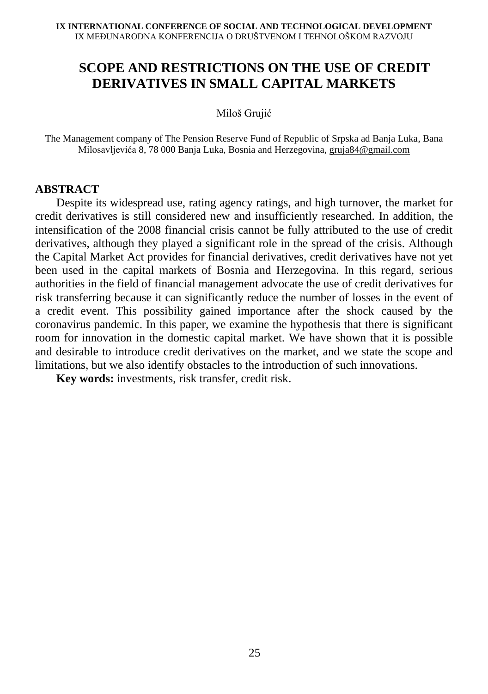# **SCOPE AND RESTRICTIONS ON THE USE OF CREDIT DERIVATIVES IN SMALL CAPITAL MARKETS**

Miloš Grujić

The Management company of The Pension Reserve Fund of Republic of Srpska ad Banja Luka, Bana Milosavljevića 8, 78 000 Banja Luka, Bosnia and Herzegovina, [gruja84@gmail.com](mailto:gruja84@gmail.com)

#### **ABSTRACT**

Despite its widespread use, rating agency ratings, and high turnover, the market for credit derivatives is still considered new and insufficiently researched. In addition, the intensification of the 2008 financial crisis cannot be fully attributed to the use of credit derivatives, although they played a significant role in the spread of the crisis. Although the Capital Market Act provides for financial derivatives, credit derivatives have not yet been used in the capital markets of Bosnia and Herzegovina. In this regard, serious authorities in the field of financial management advocate the use of credit derivatives for risk transferring because it can significantly reduce the number of losses in the event of a credit event. This possibility gained importance after the shock caused by the coronavirus pandemic. In this paper, we examine the hypothesis that there is significant room for innovation in the domestic capital market. We have shown that it is possible and desirable to introduce credit derivatives on the market, and we state the scope and limitations, but we also identify obstacles to the introduction of such innovations.

**Key words:** investments, risk transfer, credit risk.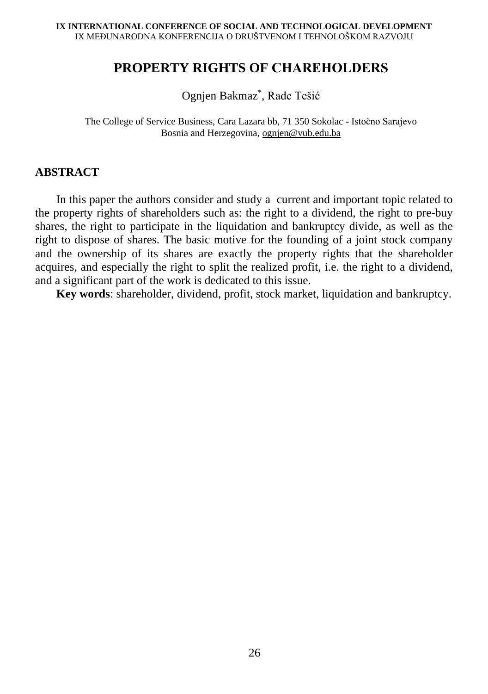### **PROPERTY RIGHTS OF СHAREHOLDERS**

Ognjen Bakmaz\* , Rade Tešić

The College of Service Business, Cara Lazara bb, 71 350 Sokolac - Istočno Sarajevo Bosnia and Herzegovina, [ognjen@vub.edu.ba](mailto:ognjen@vub.edu.ba)

#### **ABSTRACT**

In this paper the authors consider and study a current and important topic related to the property rights of shareholders such as: the right to a dividend, the right to pre-buy shares, the right to participate in the liquidation and bankruptcy divide, as well as the right to dispose of shares. The basic motive for the founding of a joint stock company and the ownership of its shares are exactly the property rights that the shareholder acquires, and especially the right to split the realized profit, i.e. the right to a dividend, and a significant part of the work is dedicated to this issue.

**Key words**: shareholder, dividend, profit, stock market, liquidation and bankruptcy.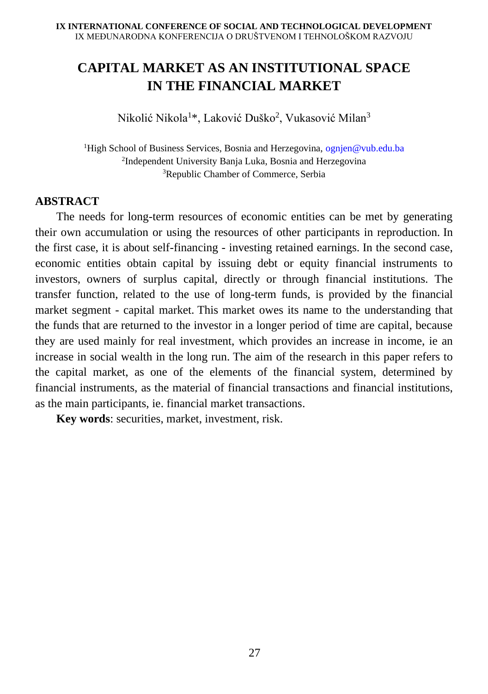# **CAPITAL MARKET AS AN INSTITUTIONAL SPACE IN THE FINANCIAL MARKET**

Nikolić Nikola<sup>1</sup>\*, Laković Duško<sup>2</sup>, Vukasović Milan<sup>3</sup>

<sup>1</sup>High School of Business Services, Bosnia and Herzegovina, ognien@vub.edu.ba 2 Independent University Banja Luka, Bosnia and Herzegovina <sup>3</sup>Republic Chamber of Commerce, Serbia

### **ABSTRACT**

The needs for long-term resources of economic entities can be met by generating their own accumulation or using the resources of other participants in reproduction. In the first case, it is about self-financing - investing retained earnings. In the second case, economic entities obtain capital by issuing debt or equity financial instruments to investors, owners of surplus capital, directly or through financial institutions. The transfer function, related to the use of long-term funds, is provided by the financial market segment - capital market. This market owes its name to the understanding that the funds that are returned to the investor in a longer period of time are capital, because they are used mainly for real investment, which provides an increase in income, ie an increase in social wealth in the long run. The aim of the research in this paper refers to the capital market, as one of the elements of the financial system, determined by financial instruments, as the material of financial transactions and financial institutions, as the main participants, ie. financial market transactions.

**Key words**: securities, market, investment, risk.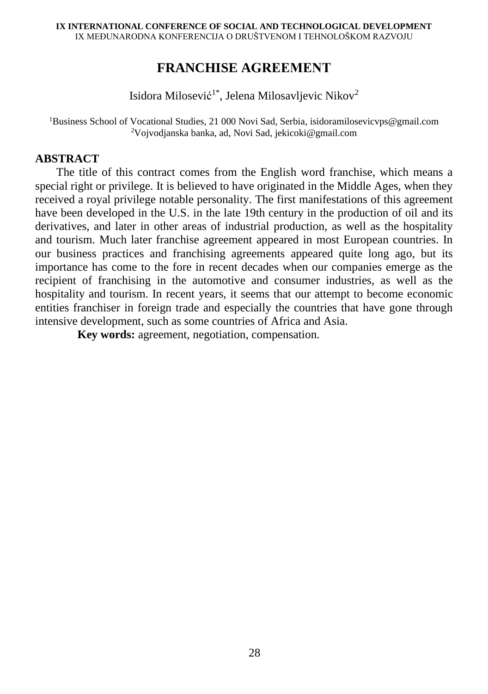### **FRANCHISE AGREЕMENT**

Isidora Milosević<sup>1\*</sup>, Jelena Milosavljevic Nikov<sup>2</sup>

<sup>1</sup>Business School of Vocational Studies, 21 000 Novi Sad, Serbia, isidoramilosevicvps@gmail.com <sup>2</sup>Vojvodianska banka, ad, Novi Sad, jekicoki@gmail.com

#### **ABSTRACT**

The title of this contract comes from the English word franchise, which means a special right or privilege. It is believed to have originated in the Middle Ages, when they received a royal privilege notable personality. The first manifestations of this agreement have been developed in the U.S. in the late 19th century in the production of oil and its derivatives, and later in other areas of industrial production, as well as the hospitality and tourism. Much later franchise agreement appeared in most European countries. In our business practices and franchising agreements appeared quite long ago, but its importance has come to the fore in recent decades when our companies emerge as the recipient of franchising in the automotive and consumer industries, as well as the hospitality and tourism. In recent years, it seems that our attempt to become economic entities franchiser in foreign trade and especially the countries that have gone through intensive development, such as some countries of Africa and Asia.

**Key words:** agreement, negotiation, compensation.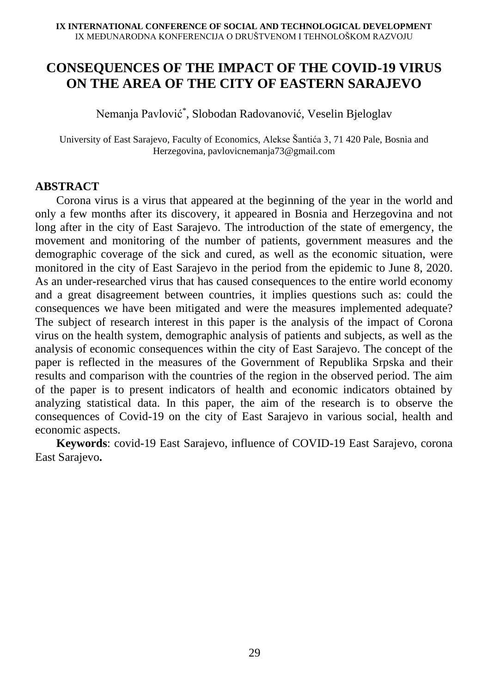# **CONSEQUENCES OF THE IMPACT OF THE COVID-19 VIRUS ON THE AREA OF THE CITY OF EASTERN SARAJEVO**

Nemanja Pavlović\* , Slobodan Radovanović, Veselin Bjeloglav

University of East Sarajevo, Faculty of Economics, Alekse Šantića 3, 71 420 Pale, Bosnia and Herzegovina, pavlovicnemanja73@gmail.com

#### **ABSTRACT**

Corona virus is a virus that appeared at the beginning of the year in the world and only a few months after its discovery, it appeared in Bosnia and Herzegovina and not long after in the city of East Sarajevo. The introduction of the state of emergency, the movement and monitoring of the number of patients, government measures and the demographic coverage of the sick and cured, as well as the economic situation, were monitored in the city of East Sarajevo in the period from the epidemic to June 8, 2020. As an under-researched virus that has caused consequences to the entire world economy and a great disagreement between countries, it implies questions such as: could the consequences we have been mitigated and were the measures implemented adequate? The subject of research interest in this paper is the analysis of the impact of Corona virus on the health system, demographic analysis of patients and subjects, as well as the analysis of economic consequences within the city of East Sarajevo. The concept of the paper is reflected in the measures of the Government of Republika Srpska and their results and comparison with the countries of the region in the observed period. The aim of the paper is to present indicators of health and economic indicators obtained by analyzing statistical data. In this paper, the aim of the research is to observe the consequences of Covid-19 on the city of East Sarajevo in various social, health and economic aspects.

**Keywords**: covid-19 East Sarajevo, influence of COVID-19 East Sarajevo, corona East Sarajevo**.**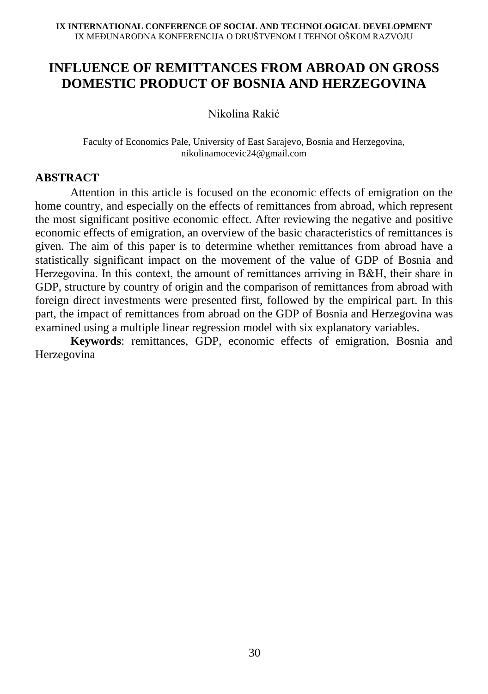# **INFLUENCE OF REMITTANCES FROM ABROAD ON GROSS DOMESTIC PRODUCT OF BOSNIA AND HERZEGOVINA**

Nikolina Rakić

Faculty of Economics Pale, University of East Sarajevo, Bosnia and Herzegovina, [nikolinamocevic24@gmail.com](mailto:nikolinamocevic24@gmail.com)

#### **ABSTRACT**

Attention in this article is focused on the economic effects of emigration on the home country, and especially on the effects of remittances from abroad, which represent the most significant positive economic effect. After reviewing the negative and positive economic effects of emigration, an overview of the basic characteristics of remittances is given. The aim of this paper is to determine whether remittances from abroad have a statistically significant impact on the movement of the value of GDP of Bosnia and Herzegovina. In this context, the amount of remittances arriving in B&Н, their share in GDP, structure by country of origin and the comparison of remittances from abroad with foreign direct investments were presented first, followed by the empirical part. In this part, the impact of remittances from abroad on the GDP of Bosnia and Herzegovina was examined using a multiple linear regression model with six explanatory variables.

**Keywords**: remittances, GDP, economic effects of emigration, Bosnia and Herzegovina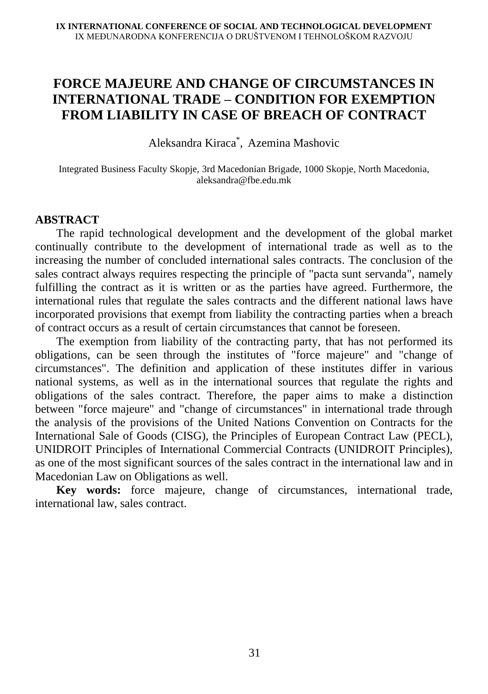# **FORCE MAJEURE AND CHANGE OF CIRCUMSTANCES IN INTERNATIONAL TRADE – CONDITION FOR EXEMPTION FROM LIABILITY IN CASE OF BREACH OF CONTRACT**

Aleksandra Kiraca \* , Azemina Mashovic

Integrated Business Faculty Skopje, 3rd Macedonian Brigade, 1000 Skopje, North Macedonia, aleksandra@fbe.edu.mk

#### **ABSTRACT**

The rapid technological development and the development of the global market continually contribute to the development of international trade as well as to the increasing the number of concluded international sales contracts. The conclusion of the sales contract always requires respecting the principle of "pacta sunt servanda", namely fulfilling the contract as it is written or as the parties have agreed. Furthermore, the international rules that regulate the sales contracts and the different national laws have incorporated provisions that exempt from liability the contracting parties when a breach of contract occurs as a result of certain circumstances that cannot be foreseen.

The exemption from liability of the contracting party, that has not performed its obligations, can be seen through the institutes of "force majeure" and "change of circumstances". The definition and application of these institutes differ in various national systems, as well as in the international sources that regulate the rights and obligations of the sales contract. Therefore, the paper aims to make a distinction between "force majeure" and "change of circumstances" in international trade through the analysis of the provisions of the United Nations Convention on Contracts for the International Sale of Goods (CISG), the Principles of European Contract Law (PECL), UNIDROIT Principles of International Commercial Contracts (UNIDROIT Principles), as one of the most significant sources of the sales contract in the international law and in Macedonian Law on Obligations as well.

**Key words:** force majeure, change of circumstances, international trade, international law, sales contract.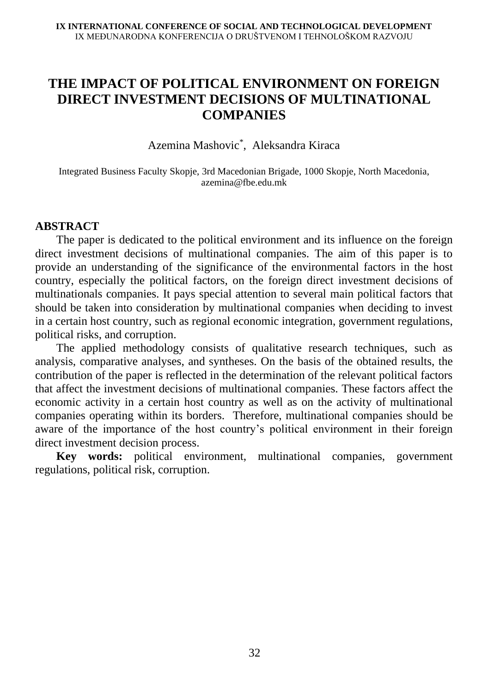# **THE IMPACT OF POLITICAL ENVIRONMENT ON FOREIGN DIRECT INVESTMENT DECISIONS OF MULTINATIONAL COMPANIES**

Azemina Mashovic\* , Aleksandra Kiraca

Integrated Business Faculty Skopje, 3rd Macedonian Brigade, 1000 Skopje, North Macedonia, azemina@fbe.edu.mk

#### **ABSTRACT**

The paper is dedicated to the political environment and its influence on the foreign direct investment decisions of multinational companies. The aim of this paper is to provide an understanding of the significance of the environmental factors in the host country, especially the political factors, on the foreign direct investment decisions of multinationals companies. It pays special attention to several main political factors that should be taken into consideration by multinational companies when deciding to invest in a certain host country, such as regional economic integration, government regulations, political risks, and corruption.

The applied methodology consists of qualitative research techniques, such as analysis, comparative analyses, and syntheses. On the basis of the obtained results, the contribution of the paper is reflected in the determination of the relevant political factors that affect the investment decisions of multinational companies. These factors affect the economic activity in a certain host country as well as on the activity of multinational companies operating within its borders. Therefore, multinational companies should be aware of the importance of the host country's political environment in their foreign direct investment decision process.

**Key words:** political environment, multinational companies, government regulations, political risk, corruption.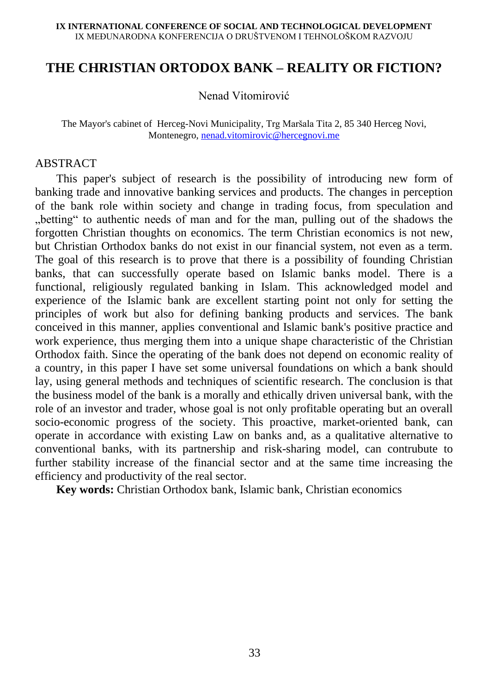### **THE CHRISTIAN ORTODOX BANK – REALITY OR FICTION?**

Nenad Vitomirović

The Mayor's cabinet of Herceg-Novi Municipality, Trg Maršala Tita 2, 85 340 Herceg Novi, Montenegro, [nenad.vitomirovic@hercegnovi.me](mailto:nenad.vitomirovic@hercegnovi.me)

#### **ABSTRACT**

This paper's subject of research is the possibility of introducing new form of banking trade and innovative banking services and products. The changes in perception of the bank role within society and change in trading focus, from speculation and "betting" to authentic needs of man and for the man, pulling out of the shadows the forgotten Christian thoughts on economics. The term Christian economics is not new, but Christian Orthodox banks do not exist in our financial system, not even as a term. The goal of this research is to prove that there is a possibility of founding Christian banks, that can successfully operate based on Islamic banks model. There is a functional, religiously regulated banking in Islam. This acknowledged model and experience of the Islamic bank are excellent starting point not only for setting the principles of work but also for defining banking products and services. The bank conceived in this manner, applies conventional and Islamic bank's positive practice and work experience, thus merging them into a unique shape characteristic of the Christian Orthodox faith. Since the operating of the bank does not depend on economic reality of a country, in this paper I have set some universal foundations on which a bank should lay, using general methods and techniques of scientific research. The conclusion is that the business model of the bank is a morally and ethically driven universal bank, with the role of an investor and trader, whose goal is not only profitable operating but an overall socio-economic progress of the society. This proactive, market-oriented bank, can operate in accordance with existing Law on banks and, as a qualitative alternative to conventional banks, with its partnership and risk-sharing model, can contrubute to further stability increase of the financial sector and at the same time increasing the efficiency and productivity of the real sector.

**Key words:** Christian Orthodox bank, Islamic bank, Christian economics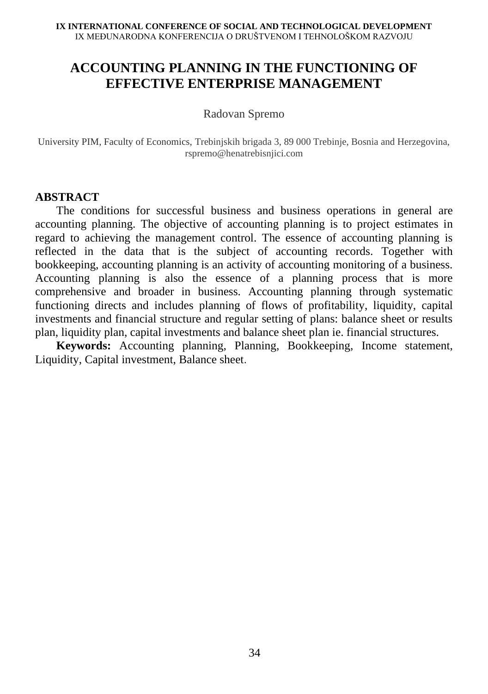# **ACCOUNTING PLANNING IN THE FUNCTIONING OF EFFECTIVE ENTERPRISE MANAGEMENT**

#### Radovan Spremo

University PIM, Faculty of Economics, Trebinjskih brigada 3, 89 000 Trebinje, Bosnia and Herzegovina, rspremo@henatrebisnjici.com

#### **ABSTRACT**

The conditions for successful business and business operations in general are accounting planning. The objective of accounting planning is to project estimates in regard to achieving the management control. The essence of accounting planning is reflected in the data that is the subject of accounting records. Together with bookkeeping, accounting planning is an activity of accounting monitoring of a business. Accounting planning is also the essence of a planning process that is more comprehensive and broader in business. Accounting planning through systematic functioning directs and includes planning of flows of profitability, liquidity, capital investments and financial structure and regular setting of plans: balance sheet or results plan, liquidity plan, capital investments and balance sheet plan ie. financial structures.

**Keywords:** Accounting planning, Planning, Bookkeeping, Income statement, Liquidity, Capital investment, Balance sheet.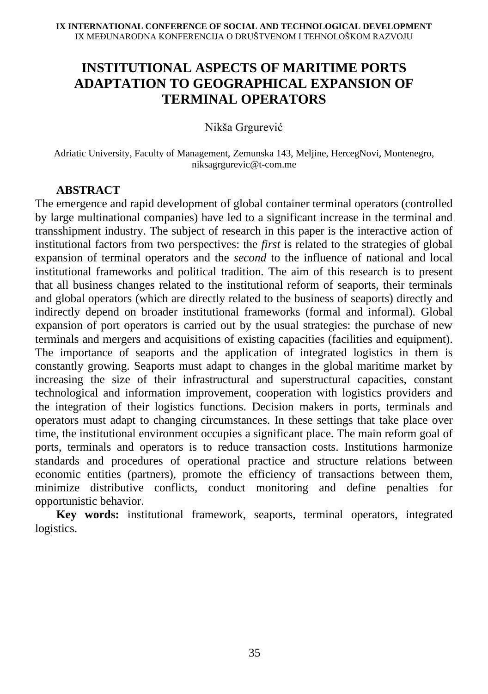# **INSTITUTIONAL ASPECTS OF MARITIME PORTS ADAPTATION TO GEOGRAPHICAL EXPANSION OF TERMINAL OPERATORS**

Nikša Grgurević

Adriatic University, Faculty of Management, Zemunska 143, Meljine, HercegNovi, Montenegro, niksagrgurevic@t-com.me

#### **ABSTRACT**

The emergence and rapid development of global container terminal operators (controlled by large multinational companies) have led to a significant increase in the terminal and transshipment industry. The subject of research in this paper is the interactive action of institutional factors from two perspectives: the *first* is related to the strategies of global expansion of terminal operators and the *second* to the influence of national and local institutional frameworks and political tradition. The aim of this research is to present that all business changes related to the institutional reform of seaports, their terminals and global operators (which are directly related to the business of seaports) directly and indirectly depend on broader institutional frameworks (formal and informal). Global expansion of port operators is carried out by the usual strategies: the purchase of new terminals and mergers and acquisitions of existing capacities (facilities and equipment). The importance of seaports and the application of integrated logistics in them is constantly growing. Seaports must adapt to changes in the global maritime market by increasing the size of their infrastructural and superstructural capacities, constant technological and information improvement, cooperation with logistics providers and the integration of their logistics functions. Decision makers in ports, terminals and operators must adapt to changing circumstances. In these settings that take place over time, the institutional environment occupies a significant place. The main reform goal of ports, terminals and operators is to reduce transaction costs. Institutions harmonize standards and procedures of operational practice and structure relations between economic entities (partners), promote the efficiency of transactions between them, minimize distributive conflicts, conduct monitoring and define penalties for opportunistic behavior.

**Key words:** institutional framework, seaports, terminal operators, integrated logistics.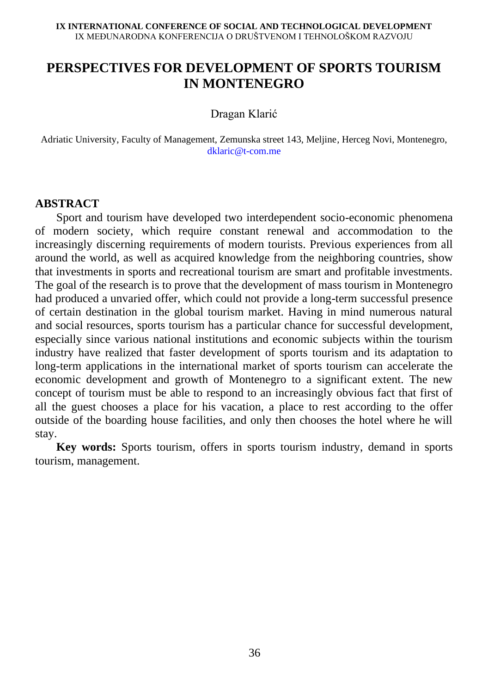# **PERSPECTIVES FOR DEVELOPMENT OF SPORTS TOURISM IN MONTENEGRO**

Dragan Klarić

Adriatic University, Faculty of Management, Zemunska street 143, Meljine, Herceg Novi, Montenegro, [dklaric@t-com.me](mailto:dklaric@t-com.me)

#### **ABSTRACT**

Sport and tourism have developed two interdependent socio-economic phenomena of modern society, which require constant renewal and accommodation to the increasingly discerning requirements of modern tourists. Previous experiences from all around the world, as well as acquired knowledge from the neighboring countries, show that investments in sports and recreational tourism are smart and profitable investments. The goal of the research is to prove that the development of mass tourism in Montenegro had produced a unvaried offer, which could not provide a long-term successful presence of certain destination in the global tourism market. Having in mind numerous natural and social resources, sports tourism has a particular chance for successful development, especially since various national institutions and economic subjects within the tourism industry have realized that faster development of sports tourism and its adaptation to long-term applications in the international market of sports tourism can accelerate the economic development and growth of Montenegro to a significant extent. The new concept of tourism must be able to respond to an increasingly obvious fact that first of all the guest chooses a place for his vacation, a place to rest according to the offer outside of the boarding house facilities, and only then chooses the hotel where he will stay.

**Key words:** Sports tourism, offers in sports tourism industry, demand in sports tourism, management.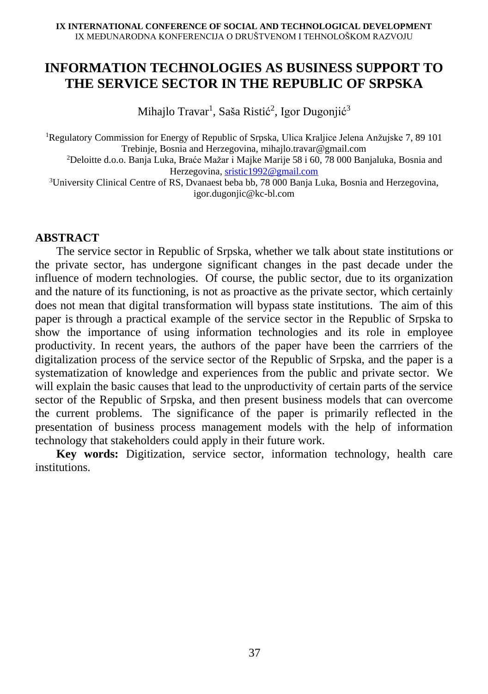# **INFORMATION TECHNOLOGIES AS BUSINESS SUPPORT TO THE SERVICE SECTOR IN THE REPUBLIC OF SRPSKA**

Mihajlo Travar<sup>1</sup>, Saša Ristić<sup>2</sup>, Igor Dugonjić<sup>3</sup>

<sup>1</sup>Regulatory Commission for Energy of Republic of Srpska, Ulica Kraljice Jelena Anžujske 7, 89 101 Trebinje, Bosnia and Herzegovina, [mihajlo.travar@gmail.com](mailto:mihajlo.travar@gmail.com)

<sup>2</sup>Deloitte d.o.o. Banja Luka, Braće Mažar i Majke Marije 58 i 60, 78 000 Banjaluka, Bosnia and Herzegovina, [sristic1992@gmail.com](mailto:sristic1992@gmail.com)

<sup>3</sup>University Clinical Centre of RS, Dvanaest beba bb, 78 000 Banja Luka, Bosnia and Herzegovina, igor.dugonjic@kc-bl.com

#### **ABSTRACT**

The service sector in Republic of Srpska, whether we talk about state institutions or the private sector, has undergone significant changes in the past decade under the influence of modern technologies. Of course, the public sector, due to its organization and the nature of its functioning, is not as proactive as the private sector, which certainly does not mean that digital transformation will bypass state institutions. The aim of this paper is through a practical example of the service sector in the Republic of Srpska to show the importance of using information technologies and its role in employee productivity. In recent years, the authors of the paper have been the carrriers of the digitalization process of the service sector of the Republic of Srpska, and the paper is a systematization of knowledge and experiences from the public and private sector. We will explain the basic causes that lead to the unproductivity of certain parts of the service sector of the Republic of Srpska, and then present business models that can overcome the current problems. The significance of the paper is primarily reflected in the presentation of business process management models with the help of information technology that stakeholders could apply in their future work.

**Key words:** Digitization, service sector, information technology, health care institutions.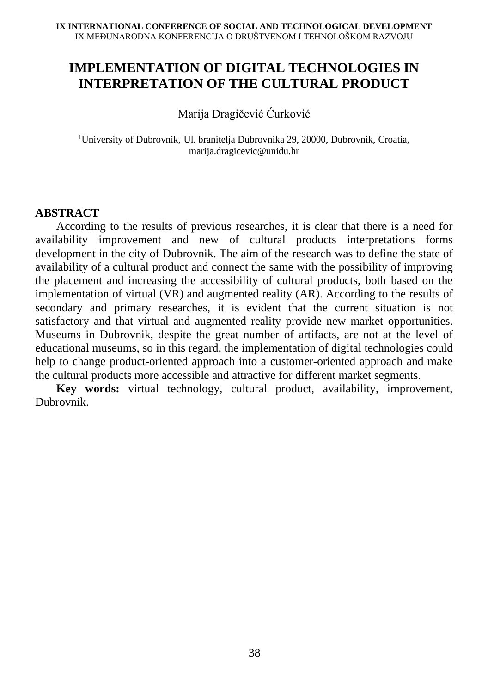# **IMPLEMENTATION OF DIGITAL TECHNOLOGIES IN INTERPRETATION OF THE CULTURAL PRODUCT**

Marija Dragičević Ćurković

<sup>1</sup>University of Dubrovnik, Ul. branitelja Dubrovnika 29, 20000, Dubrovnik, Croatia, marija.dragicevic@unidu.hr

### **ABSTRACT**

According to the results of previous researches, it is clear that there is a need for availability improvement and new of cultural products interpretations forms development in the city of Dubrovnik. The aim of the research was to define the state of availability of a cultural product and connect the same with the possibility of improving the placement and increasing the accessibility of cultural products, both based on the implementation of virtual (VR) and augmented reality (AR). According to the results of secondary and primary researches, it is evident that the current situation is not satisfactory and that virtual and augmented reality provide new market opportunities. Museums in Dubrovnik, despite the great number of artifacts, are not at the level of educational museums, so in this regard, the implementation of digital technologies could help to change product-oriented approach into a customer-oriented approach and make the cultural products more accessible and attractive for different market segments.

**Key words:** virtual technology, cultural product, availability, improvement, Dubrovnik.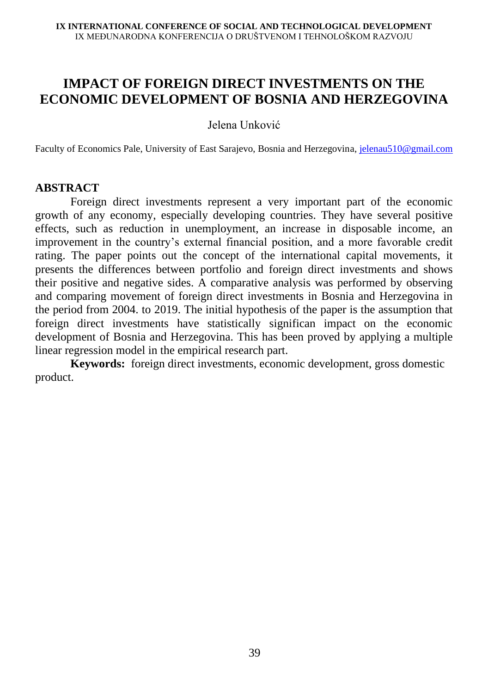# **IMPACT OF FOREIGN DIRECT INVESTMENTS ON THE ECONOMIC DEVELOPMENT OF BOSNIA AND HERZEGOVINA**

Jelena Unković

Faculty of Economics Pale, University of East Sarajevo, Bosnia and Herzegovina, [jelenau510@gmail.com](mailto:jelenau510@gmail.com)

#### **ABSTRACT**

Foreign direct investments represent a very important part of the economic growth of any economy, especially developing countries. They have several positive effects, such as reduction in unemployment, an increase in disposable income, an improvement in the country's external financial position, and a more favorable credit rating. The paper points out the concept of the international capital movements, it presents the differences between portfolio and foreign direct investments and shows their positive and negative sides. A comparative analysis was performed by observing and comparing movement of foreign direct investments in Bosnia and Herzegovina in the period from 2004. to 2019. The initial hypothesis of the paper is the assumption that foreign direct investments have statistically significan impact on the economic development of Bosnia and Herzegovina. This has been proved by applying a multiple linear regression model in the empirical research part.

**Keywords:** foreign direct investments, economic development, gross domestic product.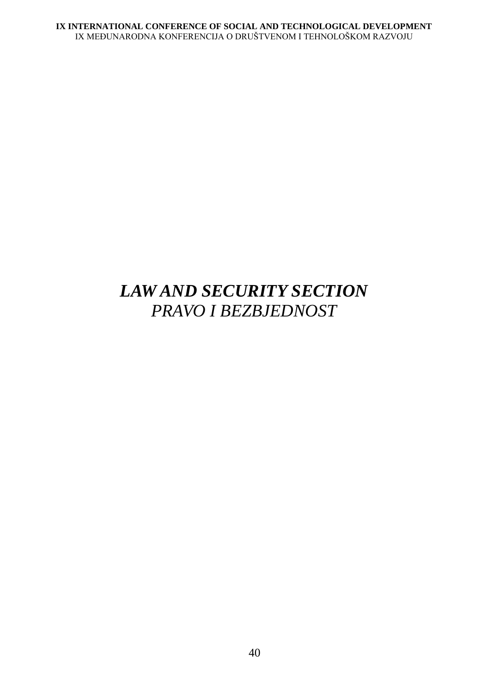# *LAW AND SECURITY SECTION PRAVO I BEZBJEDNOST*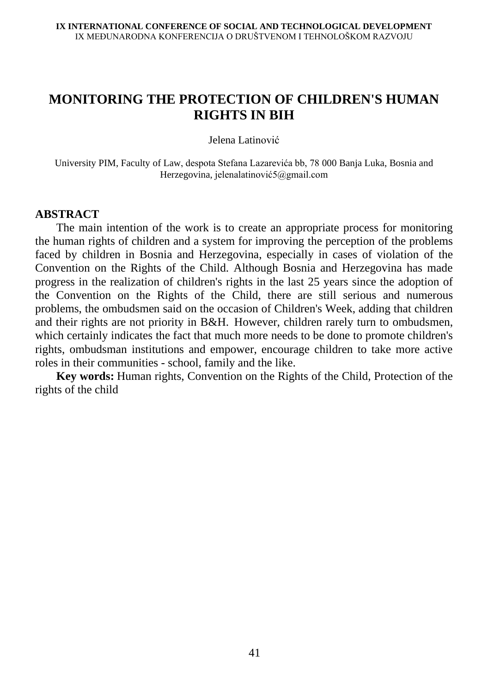# **MONITORING THE PROTECTION OF CHILDREN'S HUMAN RIGHTS IN BIH**

Jelena Latinović

University PIM, Faculty of Law, despota Stefana Lazarevića bb, 78 000 Banja Luka, Bosnia and Herzegovina, јelenalatinović5@gmail.com

#### **ABSTRACT**

The main intention of the work is to create an appropriate process for monitoring the human rights of children and a system for improving the perception of the problems faced by children in Bosnia and Herzegovina, especially in cases of violation of the Convention on the Rights of the Child. Although Bosnia and Herzegovina has made progress in the realization of children's rights in the last 25 years since the adoption of the Convention on the Rights of the Child, there are still serious and numerous problems, the ombudsmen said on the occasion of Children's Week, adding that children and their rights are not priority in B&H. However, children rarely turn to ombudsmen, which certainly indicates the fact that much more needs to be done to promote children's rights, ombudsman institutions and empower, encourage children to take more active roles in their communities - school, family and the like.

**Key words:** Human rights, Convention on the Rights of the Child, Protection of the rights of the child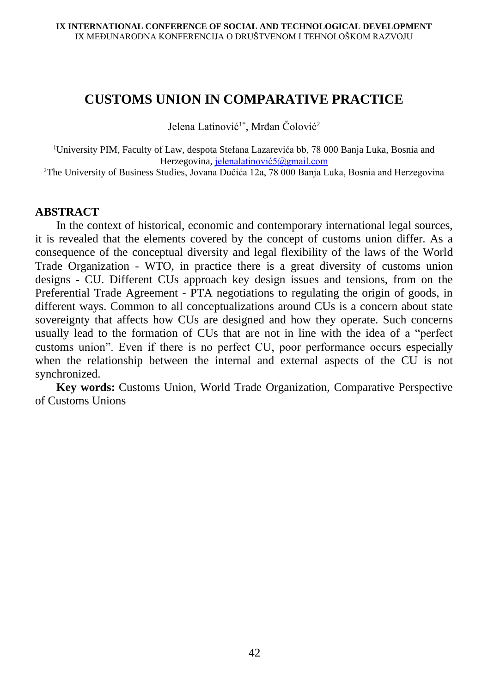### **CUSTOMS UNION IN COMPARATIVE PRACTICE**

Jelena Latinović<sup>1\*</sup>, Mrđan Čolović<sup>2</sup>

<sup>1</sup>University PIM, Faculty of Law, despota Stefana Lazarevića bb, 78 000 Banja Luka, Bosnia and Herzegovina, jelenalatinović5@gmail.com

<sup>2</sup>The University of Business Studies, Jovana Dučića 12a, 78 000 Banja Luka, Bosnia and Herzegovina

#### **ABSTRACT**

In the context of historical, economic and contemporary international legal sources, it is revealed that the elements covered by the concept of customs union differ. As a consequence of the conceptual diversity and legal flexibility of the laws of the World Trade Organization - WTO, in practice there is a great diversity of customs union designs - CU. Different CUs approach key design issues and tensions, from on the Preferential Trade Agreement - PTA negotiations to regulating the origin of goods, in different ways. Common to all conceptualizations around CUs is a concern about state sovereignty that affects how CUs are designed and how they operate. Such concerns usually lead to the formation of CUs that are not in line with the idea of a "perfect customs union". Even if there is no perfect CU, poor performance occurs especially when the relationship between the internal and external aspects of the CU is not synchronized.

**Key words:** Customs Union, World Trade Organization, Comparative Perspective of Customs Unions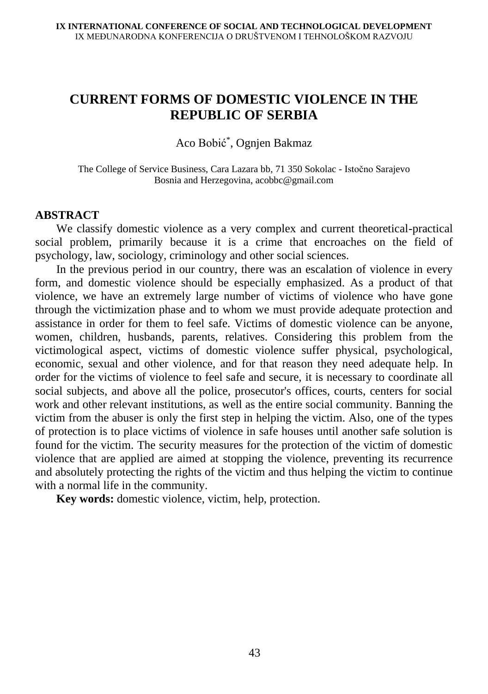# **CURRENT FORMS OF DOMESTIC VIOLENCE IN THE REPUBLIC OF SERBIA**

Aco Bobić\* , Ognjen Bakmaz

The College of Service Business, Cara Lazara bb, 71 350 Sokolac - Istočno Sarajevo Bosnia and Herzegovina, acobbc@gmail.com

#### **ABSTRACT**

We classify domestic violence as a very complex and current theoretical-practical social problem, primarily because it is a crime that encroaches on the field of psychology, law, sociology, criminology and other social sciences.

In the previous period in our country, there was an escalation of violence in every form, and domestic violence should be especially emphasized. As a product of that violence, we have an extremely large number of victims of violence who have gone through the victimization phase and to whom we must provide adequate protection and assistance in order for them to feel safe. Victims of domestic violence can be anyone, women, children, husbands, parents, relatives. Considering this problem from the victimological aspect, victims of domestic violence suffer physical, psychological, economic, sexual and other violence, and for that reason they need adequate help. In order for the victims of violence to feel safe and secure, it is necessary to coordinate all social subjects, and above all the police, prosecutor's offices, courts, centers for social work and other relevant institutions, as well as the entire social community. Banning the victim from the abuser is only the first step in helping the victim. Also, one of the types of protection is to place victims of violence in safe houses until another safe solution is found for the victim. The security measures for the protection of the victim of domestic violence that are applied are aimed at stopping the violence, preventing its recurrence and absolutely protecting the rights of the victim and thus helping the victim to continue with a normal life in the community.

**Key words:** domestic violence, victim, help, protection.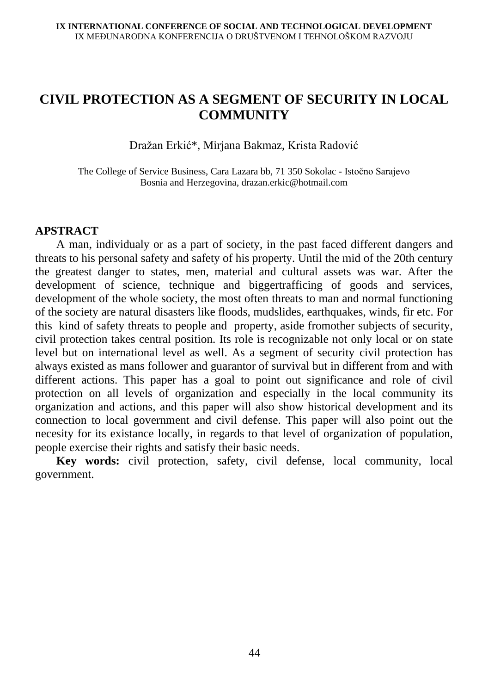# **CIVIL PROTECTION AS A SEGMENT OF SECURITY IN LOCAL COMMUNITY**

Dražan Erkić\*, Mirjana Bakmaz, Krista Radović

The College of Service Business, Cara Lazara bb, 71 350 Sokolac - Istočno Sarajevo Bosnia and Herzegovina, drazan.erkic@hotmail.com

#### **APSTRACT**

A man, individualy or as a part of society, in the past faced different dangers and threats to his personal safety and safety of his property. Until the mid of the 20th century the greatest danger to states, men, material and cultural assets was war. After the development of science, technique and biggertrafficing of goods and services, development of the whole society, the most often threats to man and normal functioning of the society are natural disasters like floods, mudslides, earthquakes, winds, fir etc. For this kind of safety threats to people and property, aside fromother subjects of security, civil protection takes central position. Its role is recognizable not only local or on state level but on international level as well. As a segment of security civil protection has always existed as mans follower and guarantor of survival but in different from and with different actions. This paper has a goal to point out significance and role of civil protection on all levels of organization and especially in the local community its organization and actions, and this paper will also show historical development and its connection to local government and civil defense. This paper will also point out the necesity for its existance locally, in regards to that level of organization of population, people exercise their rights and satisfy their basic needs.

**Key words:** civil protection, safety, civil defense, local community, local government.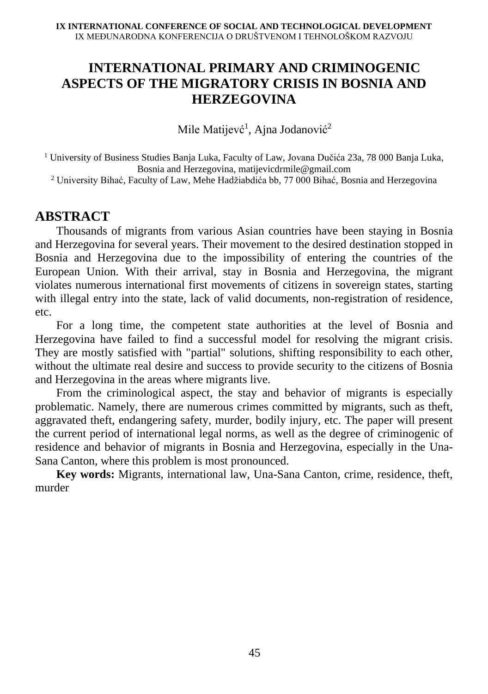# **INTERNATIONAL PRIMARY AND CRIMINOGENIC ASPECTS OF THE MIGRATORY CRISIS IN BOSNIA AND HERZEGOVINA**

Mile Matijevć<sup>1</sup>, Ajna Jodanović<sup>2</sup>

<sup>1</sup> University of Business Studies Banja Luka, Faculty of Law, Jovana Dučića 23a, 78 000 Banja Luka, Bosnia and Herzegovina, matijevicdrmile@gmail.com

<sup>2</sup> University Bihać, Faculty of Law, Mehe Hadžiabdića bb, 77 000 Bihać, Bosnia and Herzegovina

### **ABSTRACT**

Thousands of migrants from various Asian countries have been staying in Bosnia and Herzegovina for several years. Their movement to the desired destination stopped in Bosnia and Herzegovina due to the impossibility of entering the countries of the European Union. With their arrival, stay in Bosnia and Herzegovina, the migrant violates numerous international first movements of citizens in sovereign states, starting with illegal entry into the state, lack of valid documents, non-registration of residence, etc.

For a long time, the competent state authorities at the level of Bosnia and Herzegovina have failed to find a successful model for resolving the migrant crisis. They are mostly satisfied with "partial" solutions, shifting responsibility to each other, without the ultimate real desire and success to provide security to the citizens of Bosnia and Herzegovina in the areas where migrants live.

From the criminological aspect, the stay and behavior of migrants is especially problematic. Namely, there are numerous crimes committed by migrants, such as theft, aggravated theft, endangering safety, murder, bodily injury, etc. The paper will present the current period of international legal norms, as well as the degree of criminogenic of residence and behavior of migrants in Bosnia and Herzegovina, especially in the Una-Sana Canton, where this problem is most pronounced.

**Key words:** Migrants, international law, Una-Sana Canton, crime, residence, theft, murder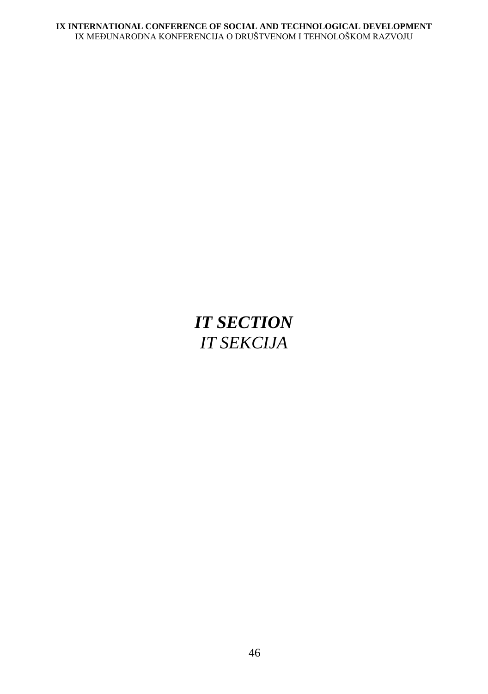# *IT SECTION IT SEKCIJA*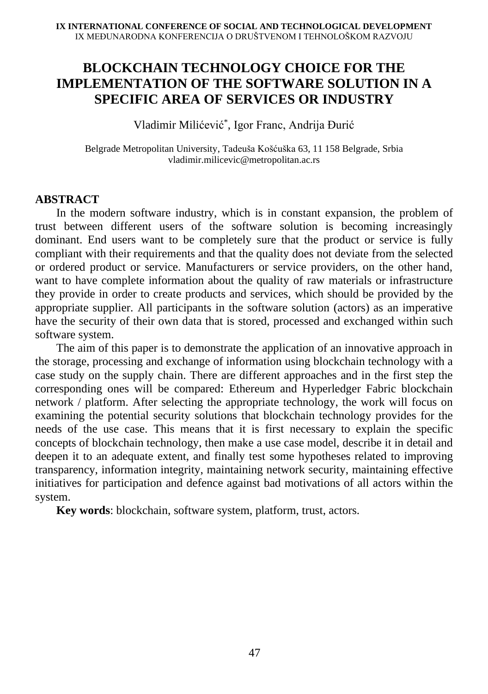## **BLOCKCHAIN TECHNOLOGY CHOICE FOR THE IMPLEMENTATION OF THE SOFTWARE SOLUTION IN A SPECIFIC AREA OF SERVICES OR INDUSTRY**

Vladimir Milićević\* , Igor Franc, Andrija Đurić

Belgrade Metropolitan University, Tadeuša Košćuška 63, 11 158 Belgrade, Srbia vladimir.milicevic@metropolitan.ac.rs

#### **ABSTRACT**

In the modern software industry, which is in constant expansion, the problem of trust between different users of the software solution is becoming increasingly dominant. End users want to be completely sure that the product or service is fully compliant with their requirements and that the quality does not deviate from the selected or ordered product or service. Manufacturers or service providers, on the other hand, want to have complete information about the quality of raw materials or infrastructure they provide in order to create products and services, which should be provided by the appropriate supplier. All participants in the software solution (actors) as an imperative have the security of their own data that is stored, processed and exchanged within such software system.

The aim of this paper is to demonstrate the application of an innovative approach in the storage, processing and exchange of information using blockchain technology with a case study on the supply chain. There are different approaches and in the first step the corresponding ones will be compared: Ethereum and Hyperledger Fabric blockchain network / platform. After selecting the appropriate technology, the work will focus on examining the potential security solutions that blockchain technology provides for the needs of the use case. This means that it is first necessary to explain the specific concepts of blockchain technology, then make a use case model, describe it in detail and deepen it to an adequate extent, and finally test some hypotheses related to improving transparency, information integrity, maintaining network security, maintaining effective initiatives for participation and defence against bad motivations of all actors within the system.

**Key words**: blockchain, software system, platform, trust, actors.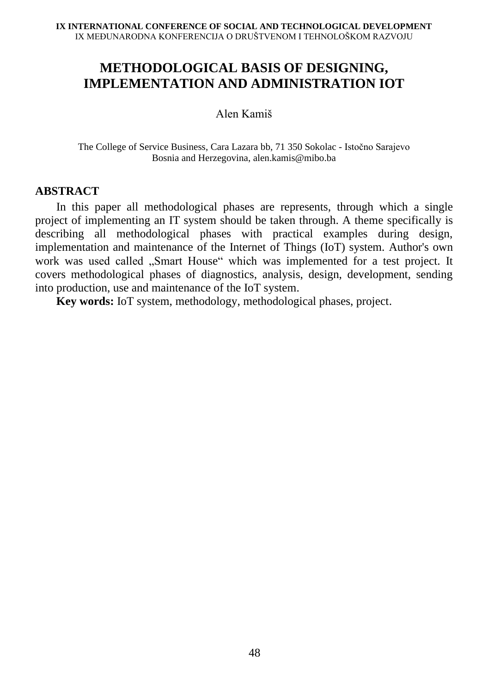# **METHODOLOGICAL BASIS OF DESIGNING, IMPLEMENTATION AND ADMINISTRATION IOT**

#### Alen Kamiš

The College of Service Business, Cara Lazara bb, 71 350 Sokolac - Istočno Sarajevo Bosnia and Herzegovina, alen.kamis@mibo.ba

#### **ABSTRACT**

In this paper all methodological phases are represents, through which a single project of implementing an IT system should be taken through. A theme specifically is describing all methodological phases with practical examples during design, implementation and maintenance of the Internet of Things (IoT) system. Author's own work was used called "Smart House" which was implemented for a test project. It covers methodological phases of diagnostics, analysis, design, development, sending into production, use and maintenance of the IoT system.

**Key words:** IoT system, methodology, methodological phases, project.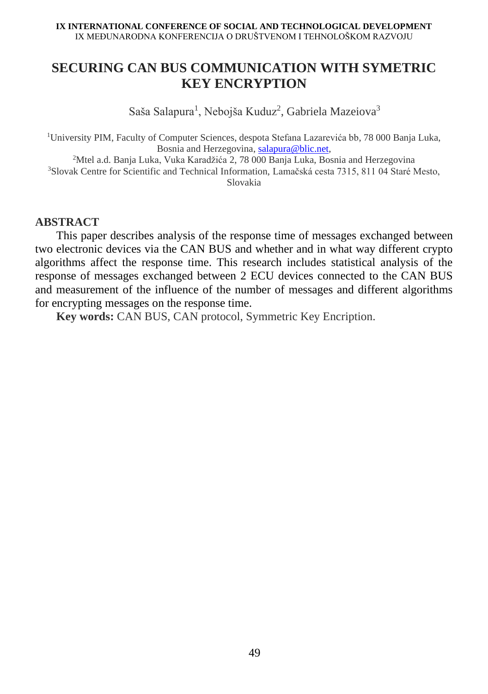# **SECURING CAN BUS COMMUNICATION WITH SYMETRIC KEY ENCRYPTION**

Saša Salapura<sup>1</sup>, Nebojša Kuduz<sup>2</sup>, Gabriela Mazeiova<sup>3</sup>

<sup>1</sup>University PIM, Faculty of Computer Sciences, despota Stefana Lazarevića bb, 78 000 Banja Luka, Bosnia and Herzegovina[, salapura@blic.net,](mailto:salapura@blic.net) <sup>2</sup>Mtel a.d. Banja Luka, Vuka Karadžića 2, 78 000 Banja Luka, Bosnia and Herzegovina <sup>3</sup>Slovak Centre for Scientific and Technical Information, Lamačská cesta 7315, 811 04 Staré Mesto, Slovakia

#### **ABSTRACT**

This paper describes analysis of the response time of messages exchanged between two electronic devices via the CAN BUS and whether and in what way different crypto algorithms affect the response time. This research includes statistical analysis of the response of messages exchanged between 2 ECU devices connected to the CAN BUS and measurement of the influence of the number of messages and different algorithms for encrypting messages on the response time.

**Key words:** CAN BUS, CAN protocol, Symmetric Key Encription.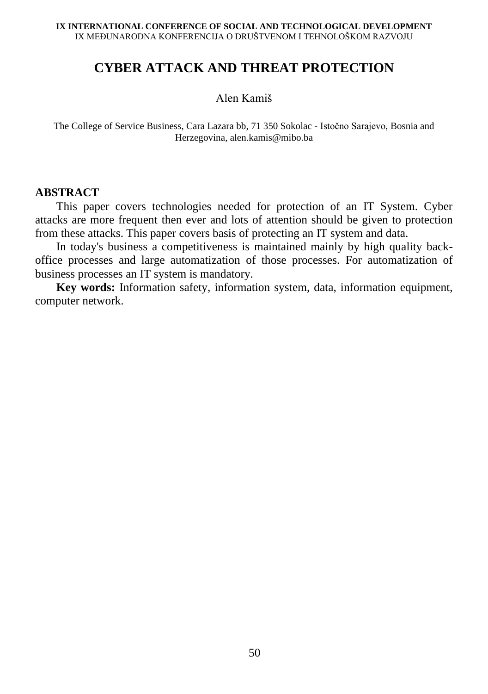# **CYBER ATTACK AND THREAT PROTECTION**

#### Alen Kamiš

The College of Service Business, Cara Lazara bb, 71 350 Sokolac - Istočno Sarajevo, Bosnia and Herzegovina, alen.kamis@mibo.ba

#### **ABSTRACT**

This paper covers technologies needed for protection of an IT System. Cyber attacks are more frequent then ever and lots of attention should be given to protection from these attacks. This paper covers basis of protecting an IT system and data.

In today's business a competitiveness is maintained mainly by high quality backoffice processes and large automatization of those processes. For automatization of business processes an IT system is mandatory.

**Key words:** Information safety, information system, data, information equipment, computer network.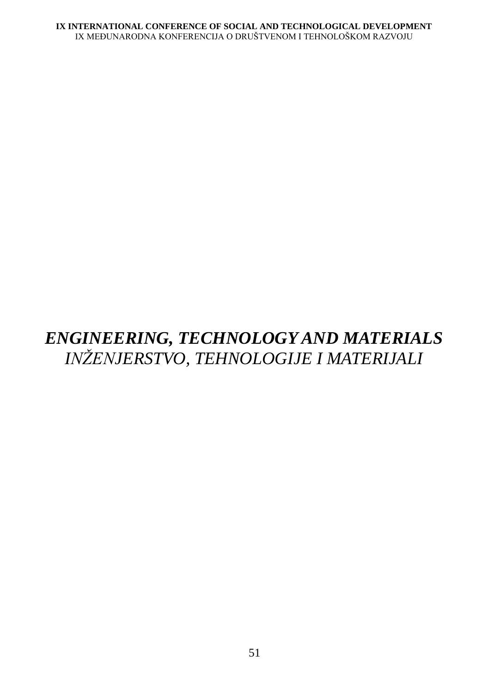# *ENGINEERING, TECHNOLOGY AND MATERIALS INŽENJERSTVO, TEHNOLOGIJE I MATERIJALI*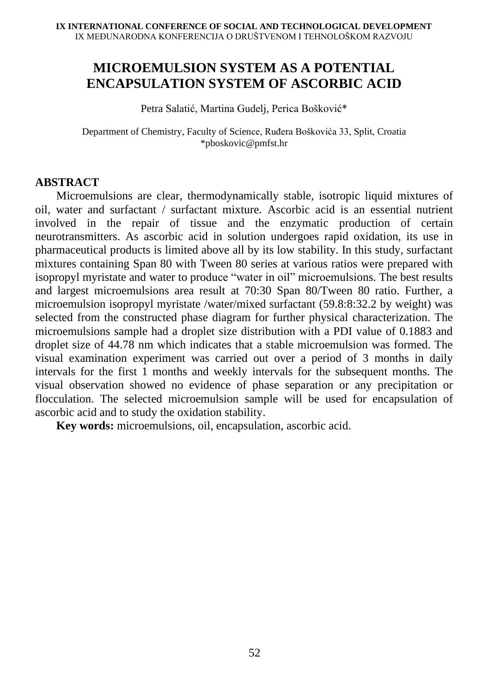# **MICROEMULSION SYSTEM AS A POTENTIAL ENCAPSULATION SYSTEM OF ASCORBIC ACID**

Petra Salatić, Martina Gudelj, Perica Bošković\*

Department of Chemistry, Faculty of Science, Ruđera Boškovića 33, Split, Croatia \*pboskovic@pmfst.hr

#### **ABSTRACT**

Microemulsions are clear, thermodynamically stable, isotropic liquid mixtures of oil, water and surfactant / surfactant mixture. Ascorbic acid is an essential nutrient involved in the repair of tissue and the enzymatic production of certain neurotransmitters. As ascorbic acid in solution undergoes rapid oxidation, its use in pharmaceutical products is limited above all by its low stability. In this study, surfactant mixtures containing Span 80 with Tween 80 series at various ratios were prepared with isopropyl myristate and water to produce "water in oil" microemulsions. The best results and largest microemulsions area result at 70:30 Span 80/Tween 80 ratio. Further, a microemulsion isopropyl myristate /water/mixed surfactant (59.8:8:32.2 by weight) was selected from the constructed phase diagram for further physical characterization. The microemulsions sample had a droplet size distribution with a PDI value of 0.1883 and droplet size of 44.78 nm which indicates that a stable microemulsion was formed. The visual examination experiment was carried out over a period of 3 months in daily intervals for the first 1 months and weekly intervals for the subsequent months. The visual observation showed no evidence of phase separation or any precipitation or flocculation. The selected microemulsion sample will be used for encapsulation of ascorbic acid and to study the oxidation stability.

**Key words:** microemulsions, oil, encapsulation, ascorbic acid.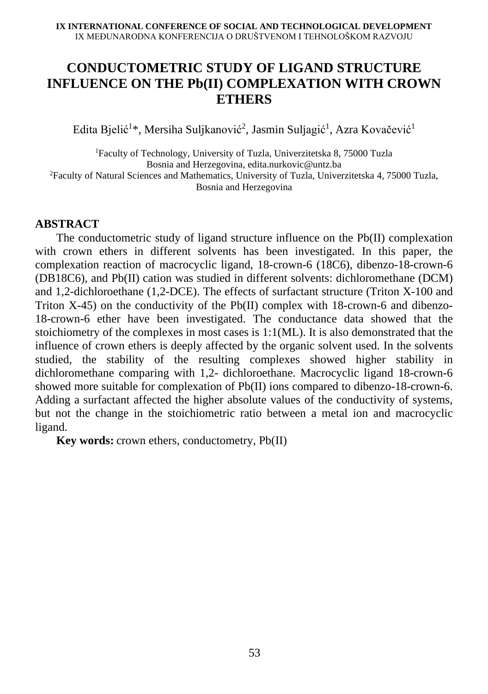# **CONDUCTOMETRIC STUDY OF LIGAND STRUCTURE INFLUENCE ON THE Pb(II) COMPLEXATION WITH CROWN ETHERS**

Edita Bjelić $^{1*}$ , Mersiha Suljkanović $^{2}$ , Jasmin Suljagić $^{1}$ , Azra Kovačević $^{1}$ 

<sup>1</sup>Faculty of Technology, University of Tuzla, Univerzitetska 8, 75000 Tuzla Bosnia and Herzegovina, edita.nurkovic@untz.ba <sup>2</sup>Faculty of Natural Sciences and Mathematics, University of Tuzla, Univerzitetska 4, 75000 Tuzla, Bosnia and Herzegovina

### **ABSTRACT**

The conductometric study of ligand structure influence on the Pb(II) complexation with crown ethers in different solvents has been investigated. In this paper, the complexation reaction of macrocyclic ligand, 18-crown-6 (18C6), dibenzo-18-crown-6 (DB18C6), and Pb(II) cation was studied in different solvents: dichloromethane (DCM) and 1,2-dichloroethane (1,2-DCE). The effects of surfactant structure (Triton X-100 and Triton X-45) on the conductivity of the Pb(II) complex with 18-crown-6 and dibenzo-18-crown-6 ether have been investigated. The conductance data showed that the stoichiometry of the complexes in most cases is 1:1(ML). It is also demonstrated that the influence of crown ethers is deeply affected by the organic solvent used. In the solvents studied, the stability of the resulting complexes showed higher stability in dichloromethane comparing with 1,2- dichloroethane. Macrocyclic ligand 18-crown-6 showed more suitable for complexation of Pb(II) ions compared to dibenzo-18-crown-6. Adding a surfactant affected the higher absolute values of the conductivity of systems, but not the change in the stoichiometric ratio between a metal ion and macrocyclic ligand.

**Key words:** [crown ethers,](https://www.tandfonline.com/keyword/Crown+Ethers) [conductometry,](https://www.tandfonline.com/keyword/Conductometry) Pb(II)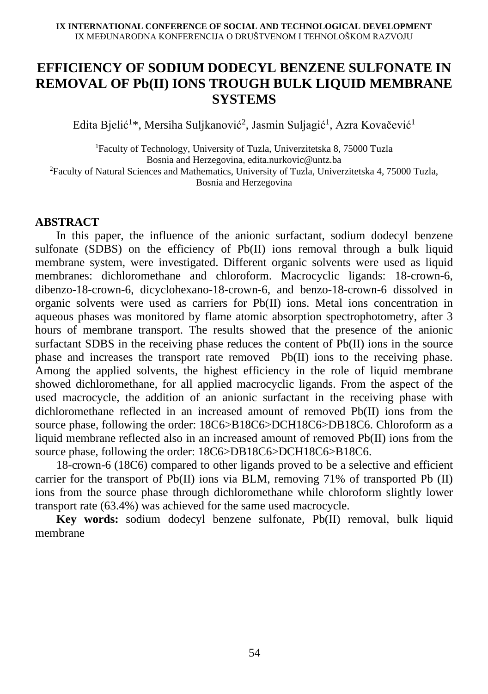### **EFFICIENCY OF SODIUM DODECYL BENZENE SULFONATE IN REMOVAL OF Pb(II) IONS TROUGH BULK LIQUID MEMBRANE SYSTEMS**

Edita Bjelić $^{1*}$ , Mersiha Suljkanović $^{2}$ , Jasmin Suljagić $^{1}$ , Azra Kovačević $^{1}$ 

<sup>1</sup>Faculty of Technology, University of Tuzla, Univerzitetska 8, 75000 Tuzla Bosnia and Herzegovina, edita.nurkovic@untz.ba <sup>2</sup>Faculty of Natural Sciences and Mathematics, University of Tuzla, Univerzitetska 4, 75000 Tuzla, Bosnia and Herzegovina

### **ABSTRACT**

In this paper, the influence of the anionic surfactant, sodium dodecyl benzene sulfonate (SDBS) on the efficiency of Pb(II) ions removal through a bulk liquid membrane system, were investigated. Different organic solvents were used as liquid membranes: dichloromethane and chloroform. Macrocyclic ligands: 18-crown-6, dibenzo-18-crown-6, dicyclohexano-18-crown-6, and benzo-18-crown-6 dissolved in organic solvents were used as carriers for Pb(II) ions. Metal ions concentration in aqueous phases was monitored by flame atomic absorption spectrophotometry, after 3 hours of membrane transport. The results showed that the presence of the anionic surfactant SDBS in the receiving phase reduces the content of Pb(II) ions in the source phase and increases the transport rate removed Pb(II) ions to the receiving phase. Among the applied solvents, the highest efficiency in the role of liquid membrane showed dichloromethane, for all applied macrocyclic ligands. From the aspect of the used macrocycle, the addition of an anionic surfactant in the receiving phase with dichloromethane reflected in an increased amount of removed Pb(II) ions from the source phase, following the order: 18C6>B18C6>DCH18C6>DB18C6. Chloroform as a liquid membrane reflected also in an increased amount of removed Pb(II) ions from the source phase, following the order:  $18C6$ >DB18C6>DCH18C6>B18C6.

18-crown-6 (18C6) compared to other ligands proved to be a selective and efficient carrier for the transport of Pb(II) ions via BLM, removing 71% of transported Pb (II) ions from the source phase through dichloromethane while chloroform slightly lower transport rate (63.4%) was achieved for the same used macrocycle.

**Key words:** sodium dodecyl benzene sulfonate, Pb(II) removal, bulk liquid membrane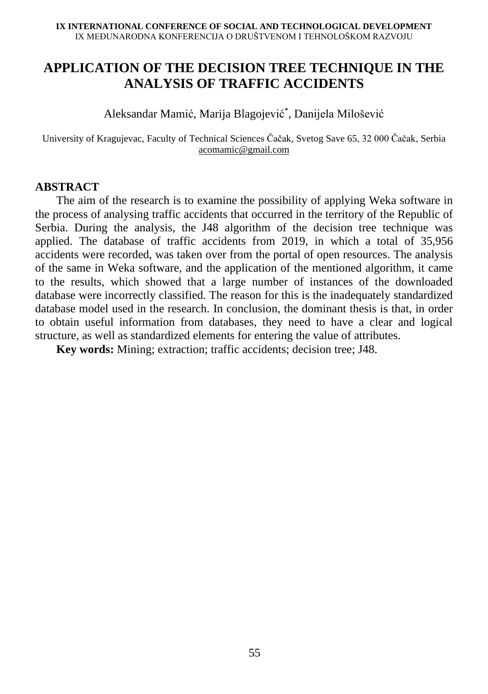# **APPLICATION OF THE DECISION TREE TECHNIQUE IN THE ANALYSIS OF TRAFFIC ACCIDENTS**

Aleksandar Mamić, Marija Blagojević\* , Danijela Milošević

University of Kragujevac, Faculty of Technical Sciences Čačak, Svetog Save 65, 32 000 Čačak, Serbia [acomamic@gmail.com](mailto:acomamic@gmail.com)

## **ABSTRACT**

The aim of the research is to examine the possibility of applying Weka software in the process of analysing traffic accidents that occurred in the territory of the Republic of Serbia. During the analysis, the J48 algorithm of the decision tree technique was applied. The database of traffic accidents from 2019, in which a total of 35,956 accidents were recorded, was taken over from the portal of open resources. The analysis of the same in Weka software, and the application of the mentioned algorithm, it came to the results, which showed that a large number of instances of the downloaded database were incorrectly classified. The reason for this is the inadequately standardized database model used in the research. In conclusion, the dominant thesis is that, in order to obtain useful information from databases, they need to have a clear and logical structure, as well as standardized elements for entering the value of attributes.

**Key words:** Mining; extraction; traffic accidents; decision tree; J48.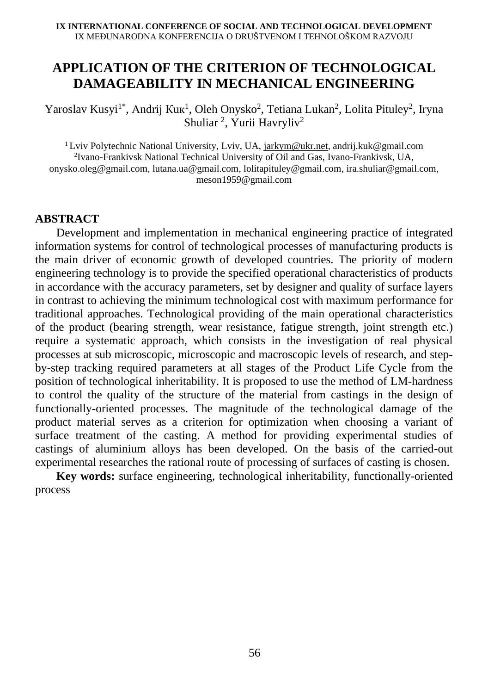# **APPLICATION OF THE CRITERION OF TECHNOLOGICAL DAMAGEABILITY IN MECHANICAL ENGINEERING**

Yaroslav Kusyi<sup>1\*</sup>, Andrij Kuk<sup>1</sup>, Oleh Onysko<sup>2</sup>, Tetiana Lukan<sup>2</sup>, Lolita Pituley<sup>2</sup>, Iryna Shuliar<sup>2</sup>, Yurii Havryliv<sup>2</sup>

<sup>1</sup> Lviv Polytechnic National University, Lviv, UA, [jarkym@ukr.net,](mailto:jarkym@ukr.net) andrij.kuk@gmail.com 2 Ivano-Frankivsk National Technical University of Oil and Gas, Ivano-Frankivsk, UA, [onysko.oleg@gmail.com,](mailto:onysko.oleg@gmail.com) [lutana.ua@gmail.com,](mailto:lutana.ua@gmail.com) [lolitapituley@gmail.com,](mailto:lolitapituley@gmail.com) [ira.shuliar@gmail.com,](mailto:ira.shuliar@gmail.com) [meson1959@gmail.com](mailto:meson1959@gmail.com)

#### **ABSTRACT**

Development and implementation in mechanical engineering practice of integrated information systems for control of technological processes of manufacturing products is the main driver of economic growth of developed countries. The priority of modern engineering technology is to provide the specified operational characteristics of products in accordance with the accuracy parameters, set by designer and quality of surface layers in contrast to achieving the minimum technological cost with maximum performance for traditional approaches. Technological providing of the main operational characteristics of the product (bearing strength, wear resistance, fatigue strength, joint strength etc.) require a systematic approach, which consists in the investigation of real physical processes at sub microscopic, microscopic and macroscopic levels of research, and stepby-step tracking required parameters at all stages of the Product Life Cycle from the position of technological inheritability. It is proposed to use the method of LM-hardness to control the quality of the structure of the material from castings in the design of functionally-oriented processes. The magnitude of the technological damage of the product material serves as a criterion for optimization when choosing a variant of surface treatment of the casting. A method for providing experimental studies of castings of aluminium alloys has been developed. On the basis of the carried-out experimental researches the rational route of processing of surfaces of casting is chosen.

**Key words:** surface engineering, technological inheritability, functionally-oriented process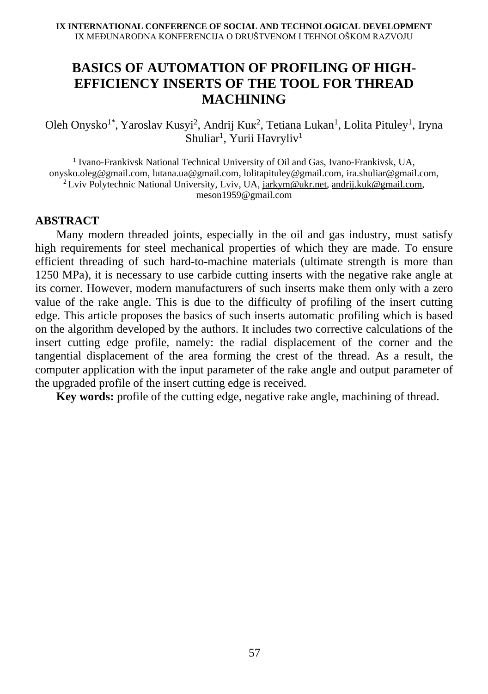# **BASICS OF AUTOMATION OF PROFILING OF HIGH-EFFICIENCY INSERTS OF THE TOOL FOR THREAD MACHINING**

Oleh Onysko<sup>1\*</sup>, Yaroslav Kusyi<sup>2</sup>, Andrij Kuk<sup>2</sup>, Tetiana Lukan<sup>1</sup>, Lolita Pituley<sup>1</sup>, Iryna Shuliar<sup>1</sup>, Yurii Havryliv<sup>1</sup>

<sup>1</sup> Ivano-Frankivsk National Technical University of Oil and Gas, Ivano-Frankivsk, UA, [onysko.oleg@gmail.com,](mailto:onysko.oleg@gmail.com) [lutana.ua@gmail.com,](mailto:lutana.ua@gmail.com) [lolitapituley@gmail.com,](mailto:lolitapituley@gmail.com) [ira.shuliar@gmail.com,](mailto:ira.shuliar@gmail.com) <sup>2</sup> Lviv Polytechnic National University, Lviv, UA, [jarkym@ukr.net,](mailto:jarkym@ukr.net) [andrij.kuk@gmail.com,](mailto:andrij.kuk@gmail.com) [meson1959@gmail.com](mailto:meson1959@gmail.com)

#### **ABSTRACT**

Many modern threaded joints, especially in the oil and gas industry, must satisfy high requirements for steel mechanical properties of which they are made. To ensure efficient threading of such hard-to-machine materials (ultimate strength is more than 1250 MPa), it is necessary to use carbide cutting inserts with the negative rake angle at its corner. However, modern manufacturers of such inserts make them only with a zero value of the rake angle. This is due to the difficulty of profiling of the insert cutting edge. This article proposes the basics of such inserts automatic profiling which is based on the algorithm developed by the authors. It includes two corrective calculations of the insert cutting edge profile, namely: the radial displacement of the corner and the tangential displacement of the area forming the crest of the thread. As a result, the computer application with the input parameter of the rake angle and output parameter of the upgraded profile of the insert cutting edge is received.

**Key words:** profile of the cutting edge, negative rake angle, machining of thread.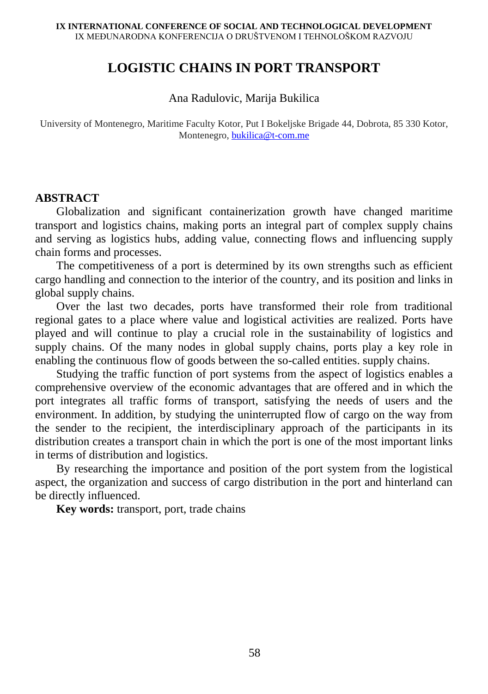## **LOGISTIC CHAINS IN PORT TRANSPORT**

Ana Radulovic, Marija Bukilica

University of Montenegro, Maritime Faculty Kotor, Put I Bokeljske Brigade 44, Dobrota, 85 330 Kotor, Montenegro[, bukilica@t-com.me](mailto:bukilica@t-com.me)

## **ABSTRACT**

Globalization and significant containerization growth have changed maritime transport and logistics chains, making ports an integral part of complex supply chains and serving as logistics hubs, adding value, connecting flows and influencing supply chain forms and processes.

The competitiveness of a port is determined by its own strengths such as efficient cargo handling and connection to the interior of the country, and its position and links in global supply chains.

Over the last two decades, ports have transformed their role from traditional regional gates to a place where value and logistical activities are realized. Ports have played and will continue to play a crucial role in the sustainability of logistics and supply chains. Of the many nodes in global supply chains, ports play a key role in enabling the continuous flow of goods between the so-called entities. supply chains.

Studying the traffic function of port systems from the aspect of logistics enables a comprehensive overview of the economic advantages that are offered and in which the port integrates all traffic forms of transport, satisfying the needs of users and the environment. In addition, by studying the uninterrupted flow of cargo on the way from the sender to the recipient, the interdisciplinary approach of the participants in its distribution creates a transport chain in which the port is one of the most important links in terms of distribution and logistics.

By researching the importance and position of the port system from the logistical aspect, the organization and success of cargo distribution in the port and hinterland can be directly influenced.

**Key words:** transport, port, trade chains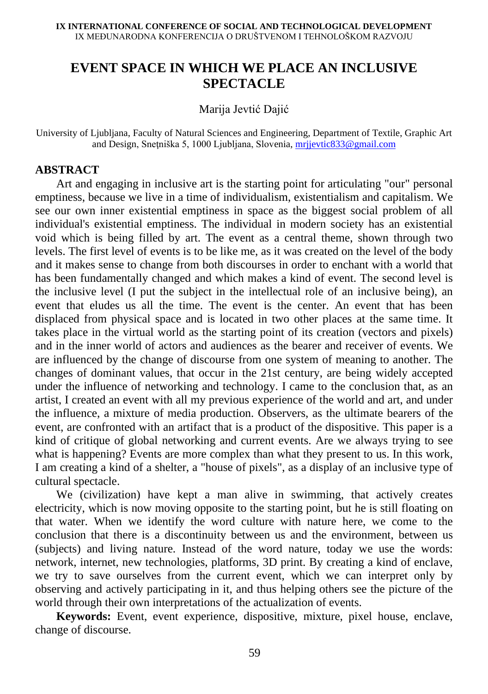# **EVENT SPACE IN WHICH WE PLACE AN INCLUSIVE SPECTACLE**

Marija Jevtić Dajić

University of Ljubljana, Faculty of Natural Sciences and Engineering, Department of Textile, Graphic Art and Design, Snețniška 5, 1000 Ljubljana, Slovenia, mrijevtic833@gmail.com

## **ABSTRACT**

Art and engaging in inclusive art is the starting point for articulating "our" personal emptiness, because we live in a time of individualism, existentialism and capitalism. We see our own inner existential emptiness in space as the biggest social problem of all individual's existential emptiness. The individual in modern society has an existential void which is being filled by art. The event as a central theme, shown through two levels. The first level of events is to be like me, as it was created on the level of the body and it makes sense to change from both discourses in order to enchant with a world that has been fundamentally changed and which makes a kind of event. The second level is the inclusive level (I put the subject in the intellectual role of an inclusive being), an event that eludes us all the time. The event is the center. An event that has been displaced from physical space and is located in two other places at the same time. It takes place in the virtual world as the starting point of its creation (vectors and pixels) and in the inner world of actors and audiences as the bearer and receiver of events. We are influenced by the change of discourse from one system of meaning to another. The changes of dominant values, that occur in the 21st century, are being widely accepted under the influence of networking and technology. I came to the conclusion that, as an artist, I created an event with all my previous experience of the world and art, and under the influence, a mixture of media production. Observers, as the ultimate bearers of the event, are confronted with an artifact that is a product of the dispositive. This paper is a kind of critique of global networking and current events. Are we always trying to see what is happening? Events are more complex than what they present to us. In this work, I am creating a kind of a shelter, a "house of pixels", as a display of an inclusive type of cultural spectacle.

We (civilization) have kept a man alive in swimming, that actively creates electricity, which is now moving opposite to the starting point, but he is still floating on that water. When we identify the word culture with nature here, we come to the conclusion that there is a discontinuity between us and the environment, between us (subjects) and living nature. Instead of the word nature, today we use the words: network, internet, new technologies, platforms, 3D print. By creating a kind of enclave, we try to save ourselves from the current event, which we can interpret only by observing and actively participating in it, and thus helping others see the picture of the world through their own interpretations of the actualization of events.

**Keywords:** Event, event experience, dispositive, mixture, pixel house, enclave, change of discourse.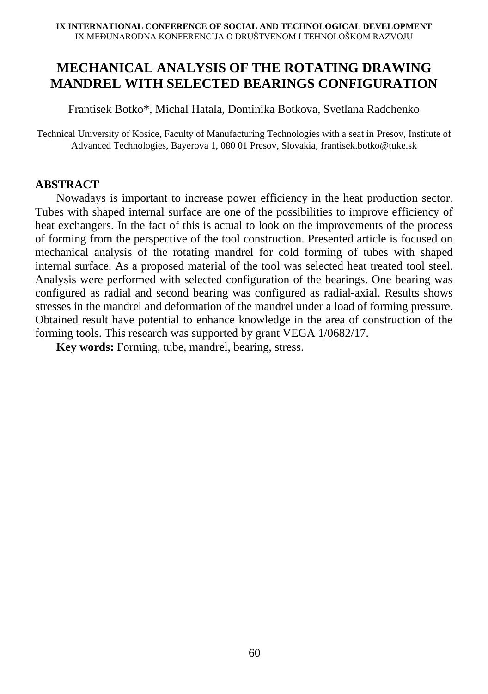# **MECHANICAL ANALYSIS OF THE ROTATING DRAWING MANDREL WITH SELECTED BEARINGS CONFIGURATION**

Frantisek Botko\*, Michal Hatala, Dominika Botkova, Svetlana Radchenko

Technical University of Kosice, Faculty of Manufacturing Technologies with a seat in Presov, Institute of Advanced Technologies, Bayerova 1, 080 01 Presov, Slovakia, frantisek.botko@tuke.sk

## **ABSTRACT**

Nowadays is important to increase power efficiency in the heat production sector. Tubes with shaped internal surface are one of the possibilities to improve efficiency of heat exchangers. In the fact of this is actual to look on the improvements of the process of forming from the perspective of the tool construction. Presented article is focused on mechanical analysis of the rotating mandrel for cold forming of tubes with shaped internal surface. As a proposed material of the tool was selected heat treated tool steel. Analysis were performed with selected configuration of the bearings. One bearing was configured as radial and second bearing was configured as radial-axial. Results shows stresses in the mandrel and deformation of the mandrel under a load of forming pressure. Obtained result have potential to enhance knowledge in the area of construction of the forming tools. This research was supported by grant VEGA 1/0682/17.

**Key words:** Forming, tube, mandrel, bearing, stress.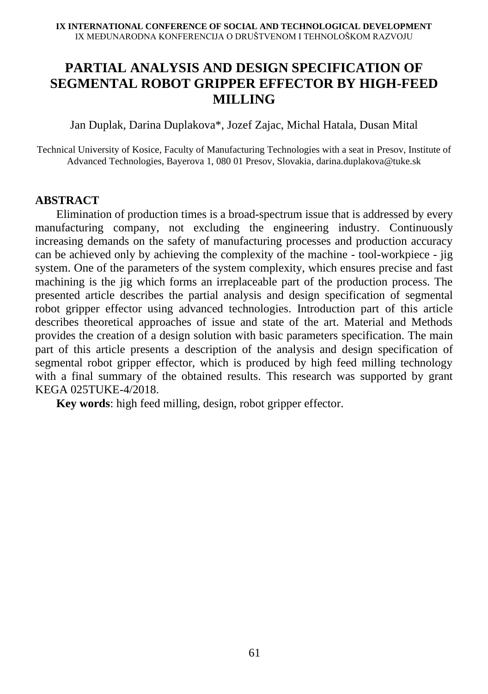# **PARTIAL ANALYSIS AND DESIGN SPECIFICATION OF SEGMENTAL ROBOT GRIPPER EFFECTOR BY HIGH-FEED MILLING**

Jan Duplak, Darina Duplakova\*, Jozef Zajac, Michal Hatala, Dusan Mital

Technical University of Kosice, Faculty of Manufacturing Technologies with a seat in Presov, Institute of Advanced Technologies, Bayerova 1, 080 01 Presov, Slovakia, darina.duplakova@tuke.sk

## **ABSTRACT**

Elimination of production times is a broad-spectrum issue that is addressed by every manufacturing company, not excluding the engineering industry. Continuously increasing demands on the safety of manufacturing processes and production accuracy can be achieved only by achieving the complexity of the machine - tool-workpiece - jig system. One of the parameters of the system complexity, which ensures precise and fast machining is the jig which forms an irreplaceable part of the production process. The presented article describes the partial analysis and design specification of segmental robot gripper effector using advanced technologies. Introduction part of this article describes theoretical approaches of issue and state of the art. Material and Methods provides the creation of a design solution with basic parameters specification. The main part of this article presents a description of the analysis and design specification of segmental robot gripper effector, which is produced by high feed milling technology with a final summary of the obtained results. This research was supported by grant KEGA 025TUKE-4/2018.

**Key words**: high feed milling, design, robot gripper effector.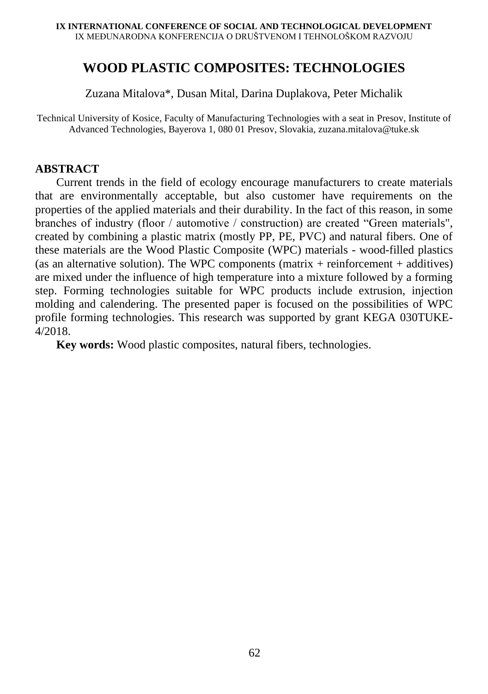## **WOOD PLASTIC COMPOSITES: TECHNOLOGIES**

Zuzana Mitalova\*, Dusan Mital, Darina Duplakova, Peter Michalik

Technical University of Kosice, Faculty of Manufacturing Technologies with a seat in Presov, Institute of Advanced Technologies, Bayerova 1, 080 01 Presov, Slovakia, zuzana.mitalova@tuke.sk

## **ABSTRACT**

Current trends in the field of ecology encourage manufacturers to create materials that are environmentally acceptable, but also customer have requirements on the properties of the applied materials and their durability. In the fact of this reason, in some branches of industry (floor / automotive / construction) are created "Green materials", created by combining a plastic matrix (mostly PP, PE, PVC) and natural fibers. One of these materials are the Wood Plastic Composite (WPC) materials - wood-filled plastics (as an alternative solution). The WPC components (matrix  $+$  reinforcement  $+$  additives) are mixed under the influence of high temperature into a mixture followed by a forming step. Forming technologies suitable for WPC products include extrusion, injection molding and calendering. The presented paper is focused on the possibilities of WPC profile forming technologies. This research was supported by grant KEGA 030TUKE-4/2018.

**Key words:** Wood plastic composites, natural fibers, technologies.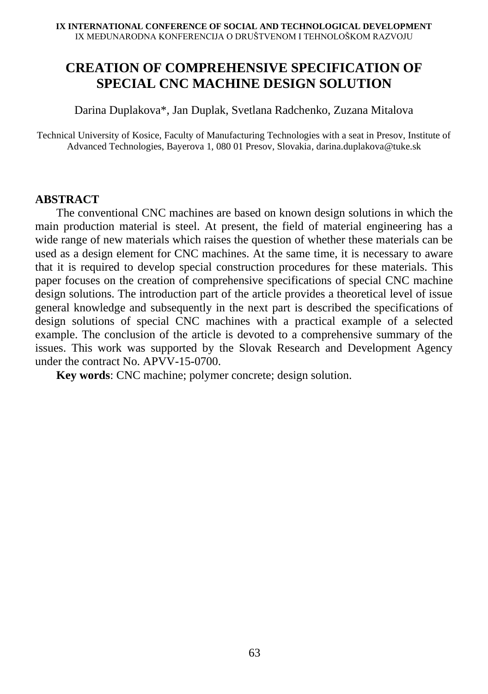# **CREATION OF COMPREHENSIVE SPECIFICATION OF SPECIAL CNC MACHINE DESIGN SOLUTION**

Darina Duplakova\*, Jan Duplak, Svetlana Radchenko, Zuzana Mitalova

Technical University of Kosice, Faculty of Manufacturing Technologies with a seat in Presov, Institute of Advanced Technologies, Bayerova 1, 080 01 Presov, Slovakia, darina.duplakova@tuke.sk

## **ABSTRACT**

The conventional CNC machines are based on known design solutions in which the main production material is steel. At present, the field of material engineering has a wide range of new materials which raises the question of whether these materials can be used as a design element for CNC machines. At the same time, it is necessary to aware that it is required to develop special construction procedures for these materials. This paper focuses on the creation of comprehensive specifications of special CNC machine design solutions. The introduction part of the article provides a theoretical level of issue general knowledge and subsequently in the next part is described the specifications of design solutions of special CNC machines with a practical example of a selected example. The conclusion of the article is devoted to a comprehensive summary of the issues. This work was supported by the Slovak Research and Development Agency under the contract No. APVV-15-0700.

**Key words**: CNC machine; polymer concrete; design solution.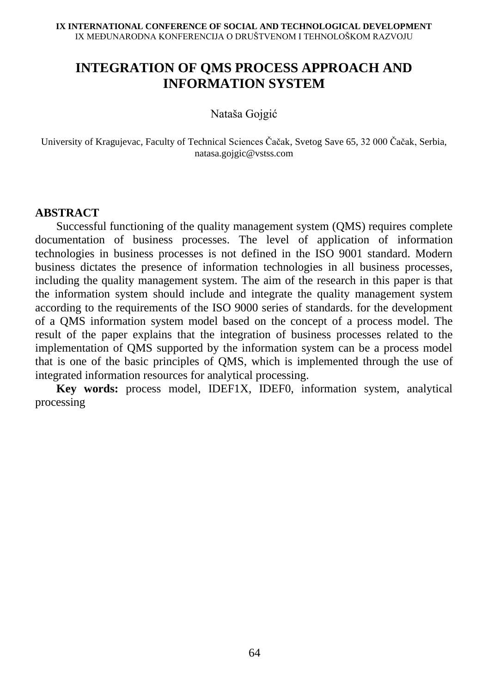# **INTEGRATION OF QMS PROCESS APPROACH AND INFORMATION SYSTEM**

Nataša Gojgić

University of Kragujevac, Faculty of Technical Sciences Čačak, Svetog Save 65, 32 000 Čačak, Serbia, natasa.gojgic@vstss.com

## **ABSTRACT**

Successful functioning of the quality management system (QMS) requires complete documentation of business processes. The level of application of information technologies in business processes is not defined in the ISO 9001 standard. Modern business dictates the presence of information technologies in all business processes, including the quality management system. The aim of the research in this paper is that the information system should include and integrate the quality management system according to the requirements of the ISO 9000 series of standards. for the development of a QMS information system model based on the concept of a process model. The result of the paper explains that the integration of business processes related to the implementation of QMS supported by the information system can be a process model that is one of the basic principles of QMS, which is implemented through the use of integrated information resources for analytical processing.

**Key words:** process model, IDEF1X, IDEF0, information system, analytical processing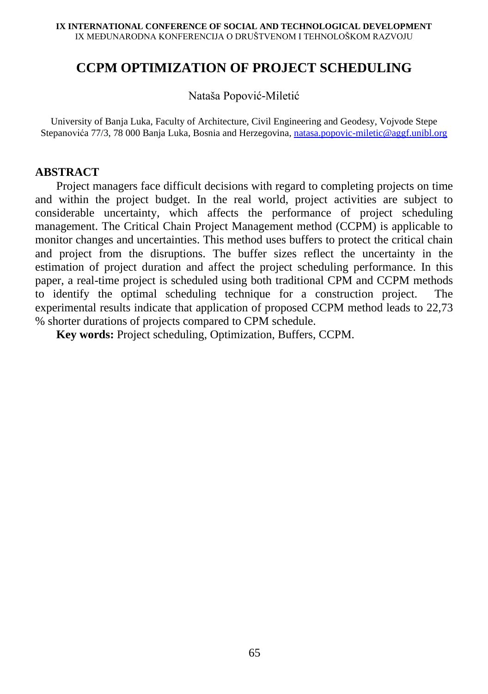## **CCPM OPTIMIZATION OF PROJECT SCHEDULING**

Nataša Popović-Miletić

University of Banja Luka, Faculty of Architecture, Civil Engineering and Geodesy, Vojvode Stepe Stepanovića 77/3, 78 000 Banja Luka, Bosnia and Herzegovina, [natasa.popovic-miletic@aggf.unibl.org](mailto:natasa.popovic-miletic@aggf.unibl.org)

## **ABSTRACT**

Project managers face difficult decisions with regard to completing projects on time and within the project budget. In the real world, project activities are subject to considerable uncertainty, which affects the performance of project scheduling management. The Critical Chain Project Management method (CCPM) is applicable to monitor changes and uncertainties. This method uses buffers to protect the critical chain and project from the disruptions. The buffer sizes reflect the uncertainty in the estimation of project duration and affect the project scheduling performance. In this paper, a real-time project is scheduled using both traditional CPM and CCPM methods to identify the optimal scheduling technique for a construction project. The experimental results indicate that application of proposed CCPM method leads to 22,73 % shorter durations of projects compared to CPM schedule.

**Key words:** Project scheduling, Optimization, Buffers, CCPM.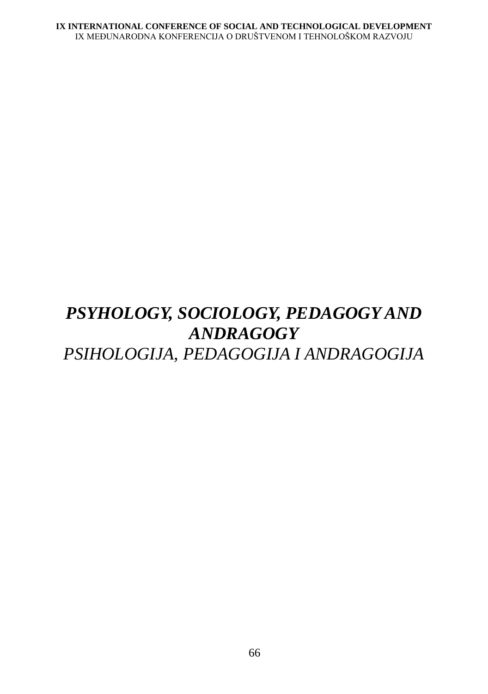# *PSYHOLOGY, SOCIOLOGY, PEDAGOGY AND ANDRAGOGY PSIHOLOGIJA, PEDAGOGIJA I ANDRAGOGIJA*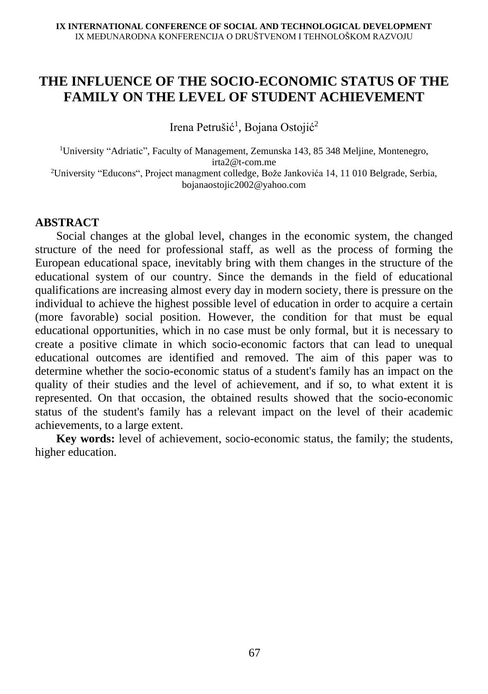## **THE INFLUENCE OF THE SOCIO-ECONOMIC STATUS OF THE FAMILY ON THE LEVEL OF STUDENT ACHIEVEMENT**

Irena Petrušić<sup>1</sup>, Bojana Ostojić<sup>2</sup>

<sup>1</sup>University "Adriatic", Faculty of Management, Zemunska 143, 85 348 Meljine, Montenegro, irta2@t-com.me <sup>2</sup>University "Educons", Project managment colledge, Bože Jankovića 14, 11 010 Belgrade, Serbia, bojanaostojic2002@yahoo.com

## **ABSTRACT**

Social changes at the global level, changes in the economic system, the changed structure of the need for professional staff, as well as the process of forming the European educational space, inevitably bring with them changes in the structure of the educational system of our country. Since the demands in the field of educational qualifications are increasing almost every day in modern society, there is pressure on the individual to achieve the highest possible level of education in order to acquire a certain (more favorable) social position. However, the condition for that must be equal educational opportunities, which in no case must be only formal, but it is necessary to create a positive climate in which socio-economic factors that can lead to unequal educational outcomes are identified and removed. The aim of this paper was to determine whether the socio-economic status of a student's family has an impact on the quality of their studies and the level of achievement, and if so, to what extent it is represented. On that occasion, the obtained results showed that the socio-economic status of the student's family has a relevant impact on the level of their academic achievements, to a large extent.

**Key words:** level of achievement, socio-economic status, the family; the students, higher education.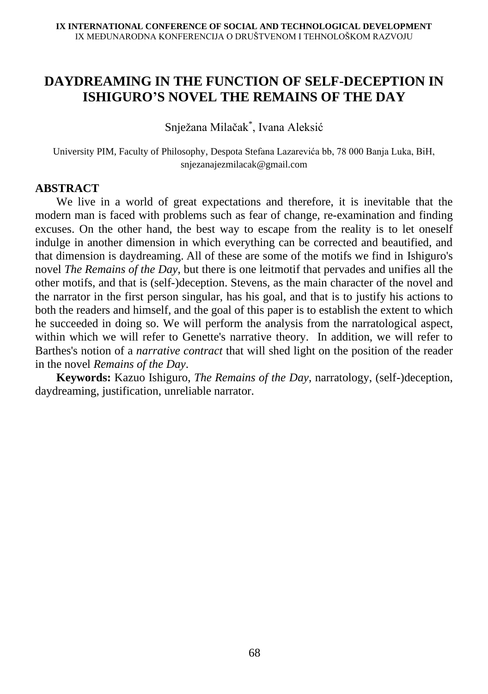## **DAYDREAMING IN THE FUNCTION OF SELF-DECEPTION IN ISHIGURO'S NOVEL THE REMAINS OF THE DAY**

Snježana Milačak\* , Ivana Aleksić

University PIM, Faculty of Philosophy, Despota Stefana Lazarevića bb, 78 000 Banja Luka, BiH, snjezanajezmilacak@gmail.com

## **ABSTRACT**

We live in a world of great expectations and therefore, it is inevitable that the modern man is faced with problems such as fear of change, re-examination and finding excuses. On the other hand, the best way to escape from the reality is to let oneself indulge in another dimension in which everything can be corrected and beautified, and that dimension is daydreaming. All of these are some of the motifs we find in Ishiguro's novel *The Remains of the Day*, but there is one leitmotif that pervades and unifies all the other motifs, and that is (self-)deception. Stevens, as the main character of the novel and the narrator in the first person singular, has his goal, and that is to justify his actions to both the readers and himself, and the goal of this paper is to establish the extent to which he succeeded in doing so. We will perform the analysis from the narratological aspect, within which we will refer to Genette's narrative theory. In addition, we will refer to Barthes's notion of a *narrative contract* that will shed light on the position of the reader in the novel *Remains of the Day*.

**Keywords:** Kazuo Ishiguro, *The Remains of the Day*, narratology, (self-)deception, daydreaming, justification, unreliable narrator.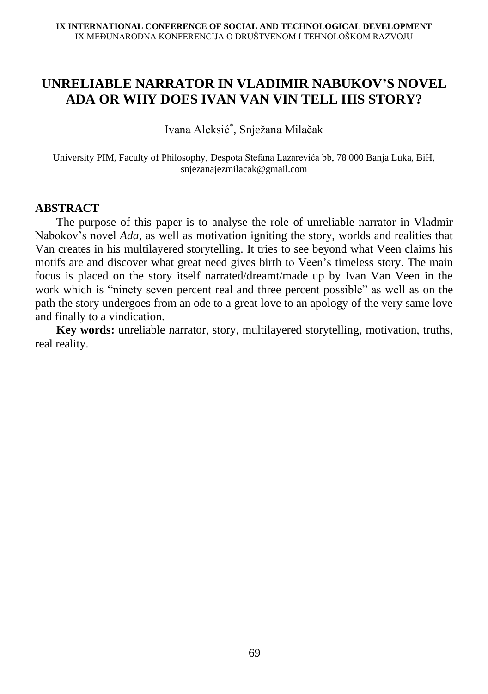# **UNRELIABLE NARRATOR IN VLADIMIR NABUKOV'S NOVEL ADA OR WHY DOES IVAN VAN VIN TELL HIS STORY?**

Ivana Aleksić\* , Snježana Milačak

University PIM, Faculty of Philosophy, Despota Stefana Lazarevića bb, 78 000 Banja Luka, BiH, snjezanajezmilacak@gmail.com

#### **ABSTRACT**

The purpose of this paper is to analyse the role of unreliable narrator in Vladmir Nabokov's novel *Ada*, as well as motivation igniting the story, worlds and realities that Van creates in his multilayered storytelling. It tries to see beyond what Veen claims his motifs are and discover what great need gives birth to Veen's timeless story. The main focus is placed on the story itself narrated/dreamt/made up by Ivan Van Veen in the work which is "ninety seven percent real and three percent possible" as well as on the path the story undergoes from an ode to a great love to an apology of the very same love and finally to a vindication.

**Key words:** unreliable narrator, story, multilayered storytelling, motivation, truths, real reality.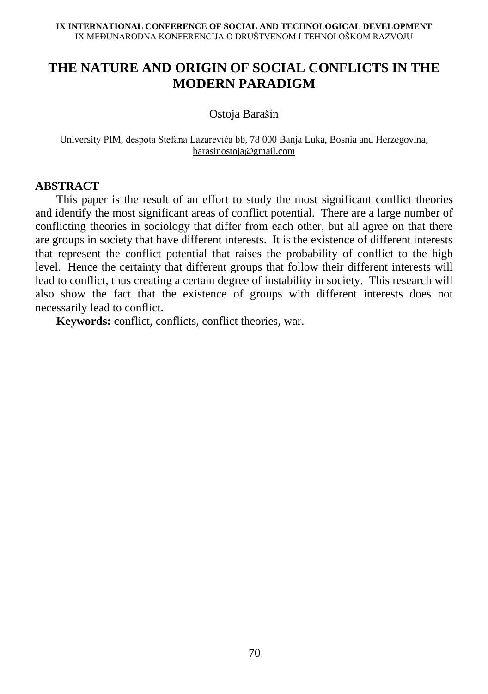# **THE NATURE AND ORIGIN OF SOCIAL CONFLICTS IN THE MODERN PARADIGM**

Ostoja Barašin

University PIM, despota Stefana Lazarevića bb, 78 000 Banja Luka, Bosnia and Herzegovina, [barasinostoja@gmail.com](mailto:barasinostoja@gmail.com)

#### **ABSTRACT**

This paper is the result of an effort to study the most significant conflict theories and identify the most significant areas of conflict potential. There are a large number of conflicting theories in sociology that differ from each other, but all agree on that there are groups in society that have different interests. It is the existence of different interests that represent the conflict potential that raises the probability of conflict to the high level. Hence the certainty that different groups that follow their different interests will lead to conflict, thus creating a certain degree of instability in society. This research will also show the fact that the existence of groups with different interests does not necessarily lead to conflict.

**Keywords:** conflict, conflicts, conflict theories, war.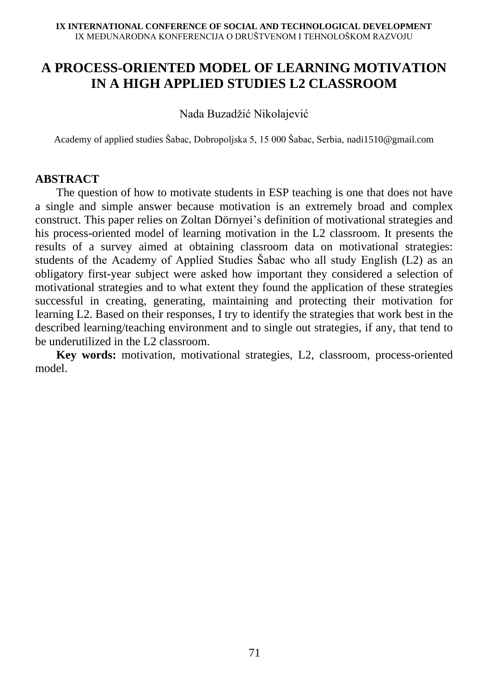# **A PROCESS-ORIENTED MODEL OF LEARNING MOTIVATION IN A HIGH APPLIED STUDIES L2 CLASSROOM**

Nada Buzadžić Nikolajević

Academy of applied studies Šabac, Dobropoljska 5, 15 000 Šabac, Serbia, nadi1510@gmail.com

## **ABSTRACT**

The question of how to motivate students in ESP teaching is one that does not have a single and simple answer because motivation is an extremely broad and complex construct. This paper relies on Zoltan Dörnyei's definition of motivational strategies and his process-oriented model of learning motivation in the L2 classroom. It presents the results of a survey aimed at obtaining classroom data on motivational strategies: students of the Academy of Applied Studies Šabac who all study English (L2) as an obligatory first-year subject were asked how important they considered a selection of motivational strategies and to what extent they found the application of these strategies successful in creating, generating, maintaining and protecting their motivation for learning L2. Based on their responses, I try to identify the strategies that work best in the described learning/teaching environment and to single out strategies, if any, that tend to be underutilized in the L2 classroom.

**Key words:** motivation, motivational strategies, L2, classroom, process-oriented model.